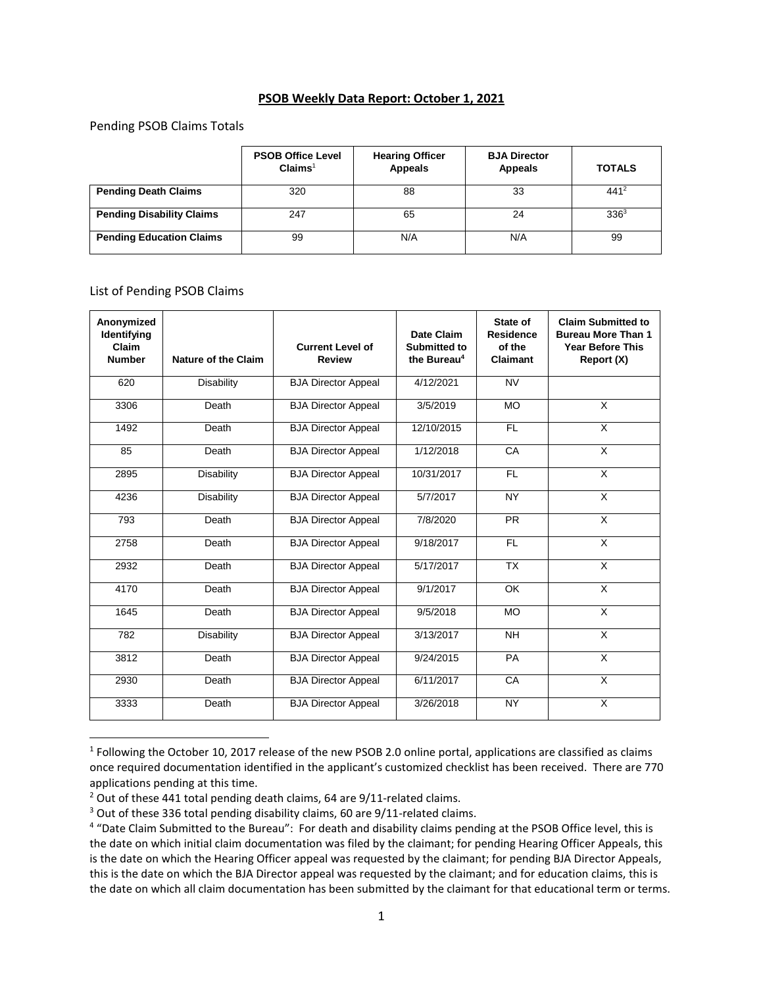## **PSOB Weekly Data Report: October 1, 2021**

## Pending PSOB Claims Totals

|                                  | <b>PSOB Office Level</b><br>Claims <sup>1</sup> | <b>Hearing Officer</b><br>Appeals | <b>BJA Director</b><br><b>Appeals</b> | <b>TOTALS</b> |
|----------------------------------|-------------------------------------------------|-----------------------------------|---------------------------------------|---------------|
| <b>Pending Death Claims</b>      | 320                                             | 88                                | 33                                    | $441^2$       |
| <b>Pending Disability Claims</b> | 247                                             | 65                                | 24                                    | $336^3$       |
| <b>Pending Education Claims</b>  | 99                                              | N/A                               | N/A                                   | 99            |

## List of Pending PSOB Claims

 $\overline{a}$ 

| Anonymized<br>Identifying<br>Claim<br><b>Number</b> | <b>Nature of the Claim</b> | <b>Current Level of</b><br><b>Review</b> | Date Claim<br>Submitted to<br>the Bureau <sup>4</sup> | State of<br><b>Residence</b><br>of the<br>Claimant | <b>Claim Submitted to</b><br><b>Bureau More Than 1</b><br><b>Year Before This</b><br>Report (X) |
|-----------------------------------------------------|----------------------------|------------------------------------------|-------------------------------------------------------|----------------------------------------------------|-------------------------------------------------------------------------------------------------|
| 620                                                 | <b>Disability</b>          | <b>BJA Director Appeal</b>               | 4/12/2021                                             | <b>NV</b>                                          |                                                                                                 |
| 3306                                                | Death                      | <b>BJA Director Appeal</b>               | 3/5/2019                                              | <b>MO</b>                                          | X                                                                                               |
| 1492                                                | Death                      | <b>BJA Director Appeal</b>               | 12/10/2015                                            | FL.                                                | X                                                                                               |
| 85                                                  | Death                      | <b>BJA Director Appeal</b>               | 1/12/2018                                             | CA                                                 | X                                                                                               |
| 2895                                                | Disability                 | <b>BJA Director Appeal</b>               | 10/31/2017                                            | FL.                                                | X                                                                                               |
| 4236                                                | <b>Disability</b>          | <b>BJA Director Appeal</b>               | 5/7/2017                                              | NY                                                 | $\overline{X}$                                                                                  |
| 793                                                 | Death                      | <b>BJA Director Appeal</b>               | 7/8/2020                                              | <b>PR</b>                                          | $\overline{X}$                                                                                  |
| 2758                                                | Death                      | <b>BJA Director Appeal</b>               | 9/18/2017                                             | FL.                                                | $\overline{X}$                                                                                  |
| 2932                                                | Death                      | <b>BJA Director Appeal</b>               | 5/17/2017                                             | $\overline{TX}$                                    | $\overline{\mathsf{x}}$                                                                         |
| 4170                                                | Death                      | <b>BJA Director Appeal</b>               | 9/1/2017                                              | OK                                                 | $\overline{\mathsf{x}}$                                                                         |
| 1645                                                | Death                      | <b>BJA Director Appeal</b>               | 9/5/2018                                              | <b>MO</b>                                          | X                                                                                               |
| 782                                                 | Disability                 | <b>BJA Director Appeal</b>               | 3/13/2017                                             | <b>NH</b>                                          | X                                                                                               |
| 3812                                                | Death                      | <b>BJA Director Appeal</b>               | 9/24/2015                                             | <b>PA</b>                                          | X                                                                                               |
| 2930                                                | Death                      | <b>BJA Director Appeal</b>               | 6/11/2017                                             | CA                                                 | $\overline{\mathsf{x}}$                                                                         |
| 3333                                                | Death                      | <b>BJA Director Appeal</b>               | 3/26/2018                                             | <b>NY</b>                                          | X                                                                                               |

 $1$  Following the October 10, 2017 release of the new PSOB 2.0 online portal, applications are classified as claims once required documentation identified in the applicant's customized checklist has been received. There are 770 applications pending at this time.

<sup>&</sup>lt;sup>2</sup> Out of these 441 total pending death claims, 64 are 9/11-related claims.

<sup>&</sup>lt;sup>3</sup> Out of these 336 total pending disability claims, 60 are 9/11-related claims.

<sup>&</sup>lt;sup>4</sup> "Date Claim Submitted to the Bureau": For death and disability claims pending at the PSOB Office level, this is the date on which initial claim documentation was filed by the claimant; for pending Hearing Officer Appeals, this is the date on which the Hearing Officer appeal was requested by the claimant; for pending BJA Director Appeals, this is the date on which the BJA Director appeal was requested by the claimant; and for education claims, this is the date on which all claim documentation has been submitted by the claimant for that educational term or terms.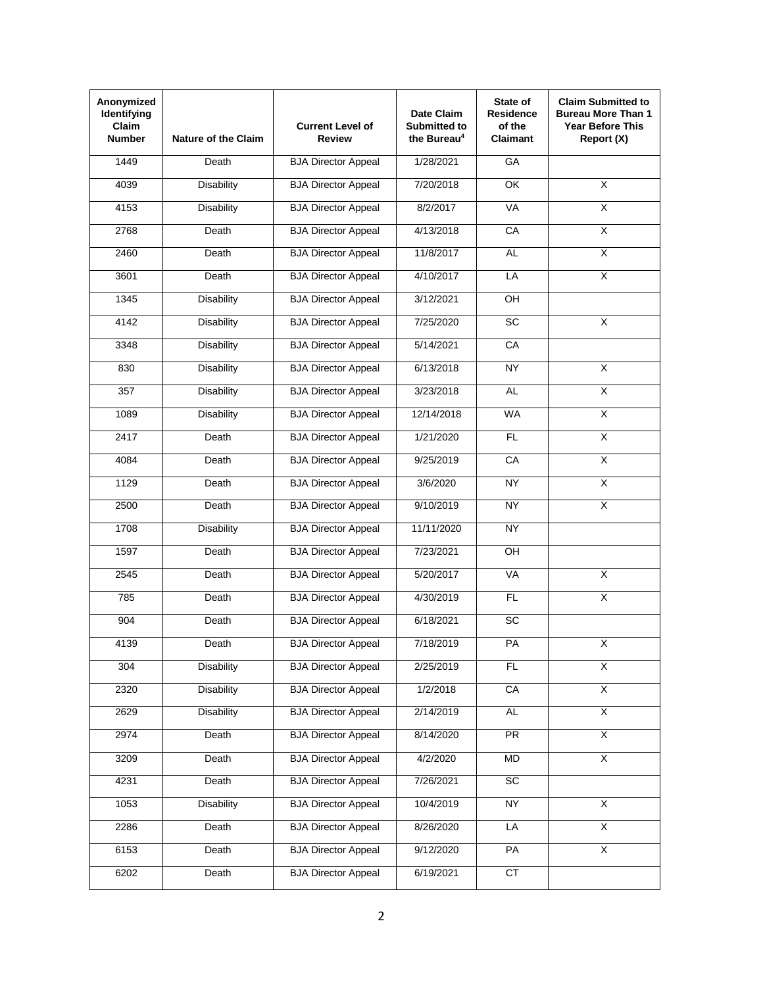| Anonymized<br>Identifying<br><b>Claim</b><br><b>Number</b> | <b>Nature of the Claim</b> | <b>Current Level of</b><br><b>Review</b> | Date Claim<br><b>Submitted to</b><br>the Bureau <sup>4</sup> | State of<br><b>Residence</b><br>of the<br><b>Claimant</b> | <b>Claim Submitted to</b><br><b>Bureau More Than 1</b><br><b>Year Before This</b><br>Report (X) |
|------------------------------------------------------------|----------------------------|------------------------------------------|--------------------------------------------------------------|-----------------------------------------------------------|-------------------------------------------------------------------------------------------------|
| 1449                                                       | Death                      | <b>BJA Director Appeal</b>               | 1/28/2021                                                    | GA                                                        |                                                                                                 |
| 4039                                                       | Disability                 | <b>BJA Director Appeal</b>               | 7/20/2018                                                    | OK                                                        | X                                                                                               |
| 4153                                                       | <b>Disability</b>          | <b>BJA Director Appeal</b>               | 8/2/2017                                                     | VA                                                        | $\overline{\mathsf{x}}$                                                                         |
| 2768                                                       | Death                      | <b>BJA Director Appeal</b>               | 4/13/2018                                                    | CA                                                        | $\overline{X}$                                                                                  |
| 2460                                                       | Death                      | <b>BJA Director Appeal</b>               | 11/8/2017                                                    | AL.                                                       | χ                                                                                               |
| 3601                                                       | Death                      | <b>BJA Director Appeal</b>               | 4/10/2017                                                    | LA                                                        | $\overline{\mathsf{x}}$                                                                         |
| 1345                                                       | <b>Disability</b>          | <b>BJA Director Appeal</b>               | 3/12/2021                                                    | OH                                                        |                                                                                                 |
| 4142                                                       | <b>Disability</b>          | <b>BJA Director Appeal</b>               | 7/25/2020                                                    | SC                                                        | X                                                                                               |
| 3348                                                       | <b>Disability</b>          | <b>BJA Director Appeal</b>               | 5/14/2021                                                    | CA                                                        |                                                                                                 |
| 830                                                        | <b>Disability</b>          | <b>BJA Director Appeal</b>               | 6/13/2018                                                    | NY                                                        | $\overline{\mathsf{x}}$                                                                         |
| 357                                                        | <b>Disability</b>          | <b>BJA Director Appeal</b>               | 3/23/2018                                                    | <b>AL</b>                                                 | $\overline{\mathsf{x}}$                                                                         |
| 1089                                                       | <b>Disability</b>          | <b>BJA Director Appeal</b>               | 12/14/2018                                                   | <b>WA</b>                                                 | $\overline{X}$                                                                                  |
| 2417                                                       | Death                      | <b>BJA Director Appeal</b>               | 1/21/2020                                                    | <b>FL</b>                                                 | $\overline{\mathsf{x}}$                                                                         |
| 4084                                                       | Death                      | <b>BJA Director Appeal</b>               | 9/25/2019                                                    | CA                                                        | $\overline{\mathsf{X}}$                                                                         |
| 1129                                                       | Death                      | <b>BJA Director Appeal</b>               | 3/6/2020                                                     | NY                                                        | $\overline{\mathsf{x}}$                                                                         |
| 2500                                                       | Death                      | <b>BJA Director Appeal</b>               | 9/10/2019                                                    | <b>NY</b>                                                 | $\overline{\mathsf{X}}$                                                                         |
| 1708                                                       | Disability                 | <b>BJA Director Appeal</b>               | 11/11/2020                                                   | <b>NY</b>                                                 |                                                                                                 |
| 1597                                                       | Death                      | <b>BJA Director Appeal</b>               | 7/23/2021                                                    | $rac{}{QH}$                                               |                                                                                                 |
| 2545                                                       | Death                      | <b>BJA Director Appeal</b>               | 5/20/2017                                                    | VA                                                        | X                                                                                               |
| 785                                                        | Death                      | <b>BJA Director Appeal</b>               | 4/30/2019                                                    | FL                                                        | X                                                                                               |
| 904                                                        | Death                      | <b>BJA Director Appeal</b>               | 6/18/2021                                                    | SC                                                        |                                                                                                 |
| 4139                                                       | Death                      | <b>BJA Director Appeal</b>               | 7/18/2019                                                    | PA                                                        | X                                                                                               |
| 304                                                        | <b>Disability</b>          | <b>BJA Director Appeal</b>               | 2/25/2019                                                    | FL                                                        | $\overline{X}$                                                                                  |
| 2320                                                       | <b>Disability</b>          | <b>BJA Director Appeal</b>               | 1/2/2018                                                     | CA                                                        | $\overline{\mathsf{x}}$                                                                         |
| 2629                                                       | <b>Disability</b>          | <b>BJA Director Appeal</b>               | 2/14/2019                                                    | <b>AL</b>                                                 | $\overline{\mathsf{x}}$                                                                         |
| 2974                                                       | Death                      | <b>BJA Director Appeal</b>               | 8/14/2020                                                    | <b>PR</b>                                                 | $\overline{X}$                                                                                  |
| 3209                                                       | Death                      | <b>BJA Director Appeal</b>               | 4/2/2020                                                     | MD                                                        | $\overline{X}$                                                                                  |
| 4231                                                       | Death                      | <b>BJA Director Appeal</b>               | 7/26/2021                                                    | SC                                                        |                                                                                                 |
| 1053                                                       | <b>Disability</b>          | <b>BJA</b> Director Appeal               | 10/4/2019                                                    | <b>NY</b>                                                 | $\overline{\mathsf{x}}$                                                                         |
| 2286                                                       | Death                      | <b>BJA Director Appeal</b>               | 8/26/2020                                                    | LA                                                        | $\overline{X}$                                                                                  |
| 6153                                                       | Death                      | <b>BJA Director Appeal</b>               | 9/12/2020                                                    | PA                                                        | χ                                                                                               |
| 6202                                                       | Death                      | <b>BJA Director Appeal</b>               | 6/19/2021                                                    | CT                                                        |                                                                                                 |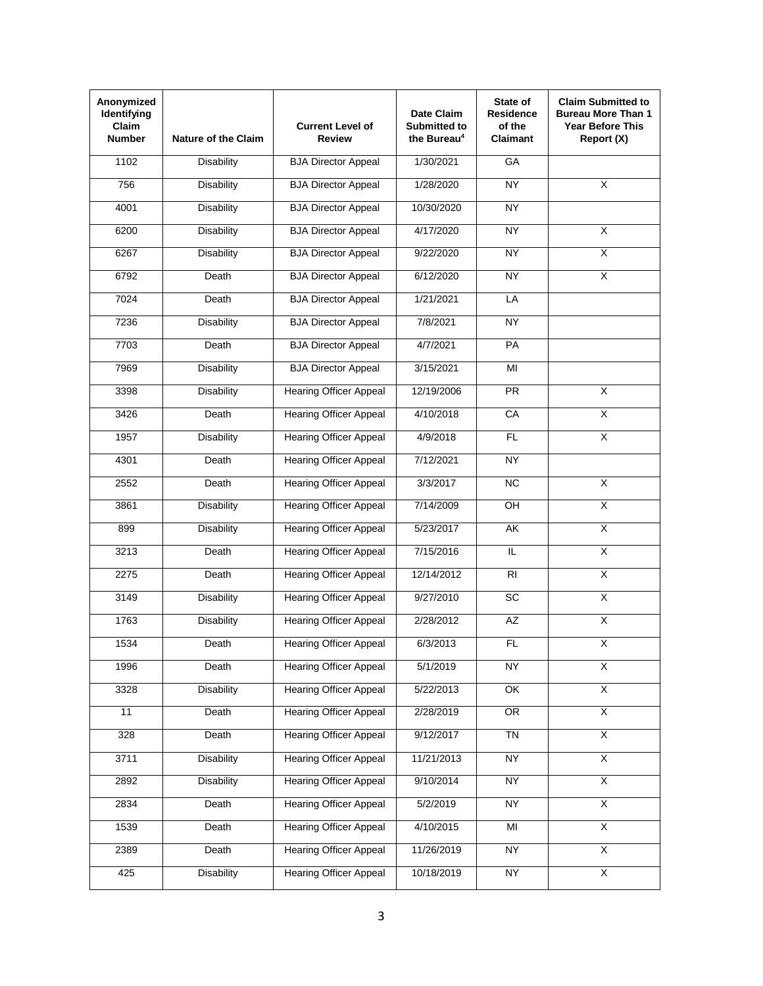| Anonymized<br>Identifying<br>Claim<br><b>Number</b> | <b>Nature of the Claim</b> | <b>Current Level of</b><br><b>Review</b> | Date Claim<br><b>Submitted to</b><br>the Bureau <sup>4</sup> | State of<br><b>Residence</b><br>of the<br><b>Claimant</b> | <b>Claim Submitted to</b><br><b>Bureau More Than 1</b><br><b>Year Before This</b><br>Report (X) |
|-----------------------------------------------------|----------------------------|------------------------------------------|--------------------------------------------------------------|-----------------------------------------------------------|-------------------------------------------------------------------------------------------------|
| 1102                                                | <b>Disability</b>          | <b>BJA Director Appeal</b>               | 1/30/2021                                                    | GA                                                        |                                                                                                 |
| 756                                                 | <b>Disability</b>          | <b>BJA Director Appeal</b>               | 1/28/2020                                                    | <b>NY</b>                                                 | X                                                                                               |
| 4001                                                | <b>Disability</b>          | <b>BJA Director Appeal</b>               | 10/30/2020                                                   | <b>NY</b>                                                 |                                                                                                 |
| 6200                                                | <b>Disability</b>          | <b>BJA Director Appeal</b>               | 4/17/2020                                                    | <b>NY</b>                                                 | $\overline{X}$                                                                                  |
| 6267                                                | <b>Disability</b>          | <b>BJA Director Appeal</b>               | 9/22/2020                                                    | <b>NY</b>                                                 | $\overline{\mathsf{x}}$                                                                         |
| 6792                                                | Death                      | <b>BJA Director Appeal</b>               | 6/12/2020                                                    | <b>NY</b>                                                 | X                                                                                               |
| 7024                                                | Death                      | <b>BJA Director Appeal</b>               | 1/21/2021                                                    | LA                                                        |                                                                                                 |
| 7236                                                | <b>Disability</b>          | <b>BJA Director Appeal</b>               | 7/8/2021                                                     | <b>NY</b>                                                 |                                                                                                 |
| 7703                                                | Death                      | <b>BJA Director Appeal</b>               | 4/7/2021                                                     | PA                                                        |                                                                                                 |
| 7969                                                | Disability                 | <b>BJA Director Appeal</b>               | 3/15/2021                                                    | MI                                                        |                                                                                                 |
| 3398                                                | <b>Disability</b>          | <b>Hearing Officer Appeal</b>            | 12/19/2006                                                   | PR                                                        | X                                                                                               |
| 3426                                                | Death                      | <b>Hearing Officer Appeal</b>            | 4/10/2018                                                    | CA                                                        | $\overline{X}$                                                                                  |
| 1957                                                | <b>Disability</b>          | <b>Hearing Officer Appeal</b>            | 4/9/2018                                                     | <b>FL</b>                                                 | $\overline{\mathsf{x}}$                                                                         |
| 4301                                                | Death                      | <b>Hearing Officer Appeal</b>            | 7/12/2021                                                    | <b>NY</b>                                                 |                                                                                                 |
| 2552                                                | Death                      | <b>Hearing Officer Appeal</b>            | 3/3/2017                                                     | NC                                                        | $\overline{\mathsf{x}}$                                                                         |
| 3861                                                | Disability                 | <b>Hearing Officer Appeal</b>            | 7/14/2009                                                    | OH                                                        | $\overline{\mathsf{X}}$                                                                         |
| 899                                                 | <b>Disability</b>          | <b>Hearing Officer Appeal</b>            | 5/23/2017                                                    | AK                                                        | $\overline{\mathsf{x}}$                                                                         |
| 3213                                                | Death                      | <b>Hearing Officer Appeal</b>            | 7/15/2016                                                    | IL                                                        | $\overline{\mathsf{x}}$                                                                         |
| 2275                                                | Death                      | <b>Hearing Officer Appeal</b>            | 12/14/2012                                                   | RI                                                        | X                                                                                               |
| 3149                                                | <b>Disability</b>          | <b>Hearing Officer Appeal</b>            | 9/27/2010                                                    | SC                                                        | $\overline{\mathsf{x}}$                                                                         |
| 1763                                                | <b>Disability</b>          | <b>Hearing Officer Appeal</b>            | 2/28/2012                                                    | <b>AZ</b>                                                 | $\overline{X}$                                                                                  |
| 1534                                                | Death                      | <b>Hearing Officer Appeal</b>            | 6/3/2013                                                     | FL                                                        | X                                                                                               |
| 1996                                                | Death                      | <b>Hearing Officer Appeal</b>            | 5/1/2019                                                     | <b>NY</b>                                                 | $\overline{X}$                                                                                  |
| 3328                                                | <b>Disability</b>          | <b>Hearing Officer Appeal</b>            | 5/22/2013                                                    | OK                                                        | $\overline{\mathsf{x}}$                                                                         |
| 11                                                  | Death                      | <b>Hearing Officer Appeal</b>            | 2/28/2019                                                    | OR                                                        | $\overline{\mathsf{x}}$                                                                         |
| 328                                                 | Death                      | <b>Hearing Officer Appeal</b>            | 9/12/2017                                                    | <b>TN</b>                                                 | $\overline{X}$                                                                                  |
| 3711                                                | <b>Disability</b>          | <b>Hearing Officer Appeal</b>            | 11/21/2013                                                   | <b>NY</b>                                                 | $\overline{X}$                                                                                  |
| 2892                                                | <b>Disability</b>          | <b>Hearing Officer Appeal</b>            | 9/10/2014                                                    | <b>NY</b>                                                 | $\overline{\mathsf{X}}$                                                                         |
| 2834                                                | Death                      | <b>Hearing Officer Appeal</b>            | 5/2/2019                                                     | <b>NY</b>                                                 | $\overline{\mathsf{X}}$                                                                         |
| 1539                                                | Death                      | <b>Hearing Officer Appeal</b>            | 4/10/2015                                                    | $\overline{\mathsf{M}}$                                   | $\overline{\mathsf{X}}$                                                                         |
| 2389                                                | Death                      | <b>Hearing Officer Appeal</b>            | 11/26/2019                                                   | <b>NY</b>                                                 | $\overline{\mathsf{x}}$                                                                         |
| 425                                                 | <b>Disability</b>          | <b>Hearing Officer Appeal</b>            | 10/18/2019                                                   | <b>NY</b>                                                 | X                                                                                               |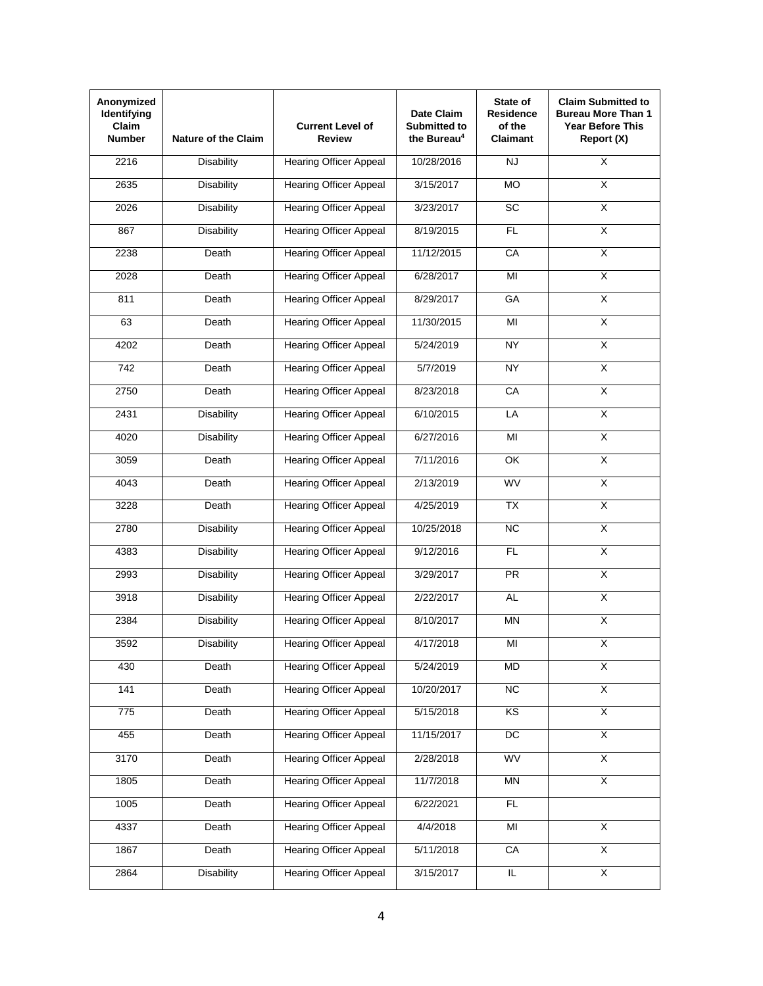| Anonymized<br>Identifying<br>Claim<br><b>Number</b> | <b>Nature of the Claim</b> | <b>Current Level of</b><br><b>Review</b> | Date Claim<br>Submitted to<br>the Bureau <sup>4</sup> | State of<br><b>Residence</b><br>of the<br><b>Claimant</b> | <b>Claim Submitted to</b><br><b>Bureau More Than 1</b><br><b>Year Before This</b><br>Report (X) |
|-----------------------------------------------------|----------------------------|------------------------------------------|-------------------------------------------------------|-----------------------------------------------------------|-------------------------------------------------------------------------------------------------|
| 2216                                                | <b>Disability</b>          | <b>Hearing Officer Appeal</b>            | 10/28/2016                                            | <b>NJ</b>                                                 | $\overline{\mathsf{x}}$                                                                         |
| 2635                                                | <b>Disability</b>          | <b>Hearing Officer Appeal</b>            | 3/15/2017                                             | <b>MO</b>                                                 | X                                                                                               |
| 2026                                                | <b>Disability</b>          | <b>Hearing Officer Appeal</b>            | 3/23/2017                                             | <b>SC</b>                                                 | $\overline{\mathsf{x}}$                                                                         |
| 867                                                 | <b>Disability</b>          | <b>Hearing Officer Appeal</b>            | 8/19/2015                                             | FL.                                                       | $\overline{\mathsf{x}}$                                                                         |
| 2238                                                | Death                      | <b>Hearing Officer Appeal</b>            | 11/12/2015                                            | CA                                                        | χ                                                                                               |
| 2028                                                | Death                      | <b>Hearing Officer Appeal</b>            | 6/28/2017                                             | MI                                                        | $\overline{\mathsf{x}}$                                                                         |
| 811                                                 | Death                      | <b>Hearing Officer Appeal</b>            | 8/29/2017                                             | GA                                                        | $\overline{X}$                                                                                  |
| 63                                                  | Death                      | <b>Hearing Officer Appeal</b>            | 11/30/2015                                            | MI                                                        | $\overline{\mathsf{x}}$                                                                         |
| 4202                                                | Death                      | <b>Hearing Officer Appeal</b>            | 5/24/2019                                             | <b>NY</b>                                                 | $\overline{\mathsf{X}}$                                                                         |
| 742                                                 | Death                      | <b>Hearing Officer Appeal</b>            | 5/7/2019                                              | <b>NY</b>                                                 | $\overline{\mathsf{x}}$                                                                         |
| 2750                                                | Death                      | <b>Hearing Officer Appeal</b>            | 8/23/2018                                             | CA                                                        | $\overline{X}$                                                                                  |
| 2431                                                | <b>Disability</b>          | <b>Hearing Officer Appeal</b>            | 6/10/2015                                             | LA                                                        | $\overline{X}$                                                                                  |
| 4020                                                | <b>Disability</b>          | <b>Hearing Officer Appeal</b>            | 6/27/2016                                             | MI                                                        | $\overline{\mathsf{x}}$                                                                         |
| 3059                                                | Death                      | <b>Hearing Officer Appeal</b>            | 7/11/2016                                             | <b>OK</b>                                                 | $\overline{\mathsf{X}}$                                                                         |
| 4043                                                | Death                      | <b>Hearing Officer Appeal</b>            | 2/13/2019                                             | <b>WV</b>                                                 | $\overline{\mathsf{x}}$                                                                         |
| 3228                                                | Death                      | <b>Hearing Officer Appeal</b>            | 4/25/2019                                             | <b>TX</b>                                                 | $\overline{\mathsf{X}}$                                                                         |
| 2780                                                | <b>Disability</b>          | <b>Hearing Officer Appeal</b>            | 10/25/2018                                            | <b>NC</b>                                                 | $\overline{\mathsf{x}}$                                                                         |
| 4383                                                | <b>Disability</b>          | <b>Hearing Officer Appeal</b>            | 9/12/2016                                             | FL                                                        | $\overline{X}$                                                                                  |
| 2993                                                | <b>Disability</b>          | <b>Hearing Officer Appeal</b>            | 3/29/2017                                             | PR                                                        | X                                                                                               |
| 3918                                                | <b>Disability</b>          | <b>Hearing Officer Appeal</b>            | 2/22/2017                                             | <b>AL</b>                                                 | $\overline{X}$                                                                                  |
| 2384                                                | Disability                 | <b>Hearing Officer Appeal</b>            | 8/10/2017                                             | <b>MN</b>                                                 | $\overline{X}$                                                                                  |
| 3592                                                | Disability                 | <b>Hearing Officer Appeal</b>            | 4/17/2018                                             | MI                                                        | X                                                                                               |
| 430                                                 | Death                      | <b>Hearing Officer Appeal</b>            | 5/24/2019                                             | MD                                                        | $\overline{X}$                                                                                  |
| 141                                                 | Death                      | <b>Hearing Officer Appeal</b>            | 10/20/2017                                            | $\overline{NC}$                                           | $\overline{\mathsf{x}}$                                                                         |
| 775                                                 | Death                      | <b>Hearing Officer Appeal</b>            | 5/15/2018                                             | KS                                                        | $\overline{\mathsf{x}}$                                                                         |
| 455                                                 | Death                      | <b>Hearing Officer Appeal</b>            | 11/15/2017                                            | DC                                                        | $\overline{X}$                                                                                  |
| 3170                                                | Death                      | <b>Hearing Officer Appeal</b>            | 2/28/2018                                             | WV                                                        | $\overline{\mathsf{x}}$                                                                         |
| 1805                                                | Death                      | <b>Hearing Officer Appeal</b>            | 11/7/2018                                             | <b>MN</b>                                                 | $\overline{X}$                                                                                  |
| 1005                                                | Death                      | <b>Hearing Officer Appeal</b>            | 6/22/2021                                             | $\overline{FL}$                                           |                                                                                                 |
| 4337                                                | Death                      | <b>Hearing Officer Appeal</b>            | 4/4/2018                                              | $\overline{\mathsf{M}}$                                   | $\overline{\mathsf{X}}$                                                                         |
| 1867                                                | Death                      | <b>Hearing Officer Appeal</b>            | 5/11/2018                                             | CA                                                        | $\overline{\mathsf{x}}$                                                                         |
| 2864                                                | <b>Disability</b>          | <b>Hearing Officer Appeal</b>            | 3/15/2017                                             | IL.                                                       | X                                                                                               |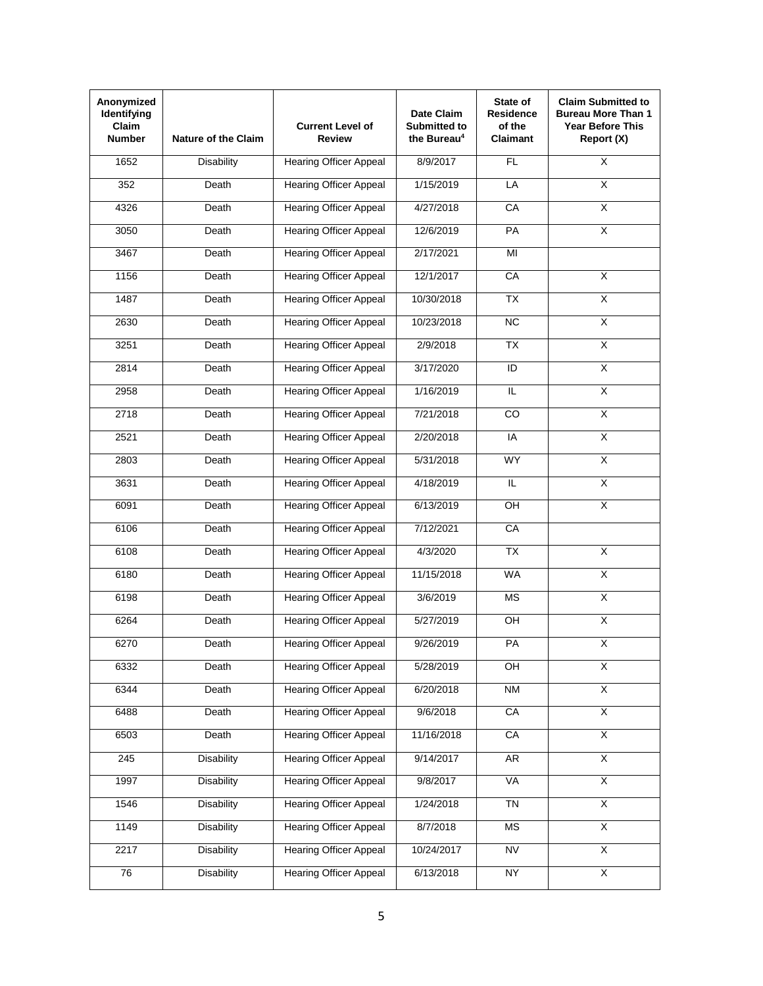| Anonymized<br>Identifying<br>Claim<br><b>Number</b> | <b>Nature of the Claim</b> | <b>Current Level of</b><br><b>Review</b> | Date Claim<br>Submitted to<br>the Bureau <sup>4</sup> | State of<br><b>Residence</b><br>of the<br><b>Claimant</b> | <b>Claim Submitted to</b><br><b>Bureau More Than 1</b><br><b>Year Before This</b><br>Report (X) |
|-----------------------------------------------------|----------------------------|------------------------------------------|-------------------------------------------------------|-----------------------------------------------------------|-------------------------------------------------------------------------------------------------|
| 1652                                                | <b>Disability</b>          | <b>Hearing Officer Appeal</b>            | 8/9/2017                                              | FL                                                        | $\overline{\mathsf{x}}$                                                                         |
| 352                                                 | Death                      | <b>Hearing Officer Appeal</b>            | 1/15/2019                                             | LA                                                        | X                                                                                               |
| 4326                                                | Death                      | <b>Hearing Officer Appeal</b>            | 4/27/2018                                             | CA                                                        | $\overline{\mathsf{x}}$                                                                         |
| 3050                                                | Death                      | <b>Hearing Officer Appeal</b>            | 12/6/2019                                             | PA                                                        | X                                                                                               |
| 3467                                                | Death                      | <b>Hearing Officer Appeal</b>            | 2/17/2021                                             | $\overline{\mathsf{M}}$                                   |                                                                                                 |
| 1156                                                | Death                      | <b>Hearing Officer Appeal</b>            | 12/1/2017                                             | CA                                                        | $\overline{\mathsf{x}}$                                                                         |
| 1487                                                | Death                      | <b>Hearing Officer Appeal</b>            | 10/30/2018                                            | <b>TX</b>                                                 | $\overline{\mathsf{X}}$                                                                         |
| 2630                                                | Death                      | <b>Hearing Officer Appeal</b>            | 10/23/2018                                            | NC                                                        | $\overline{\mathsf{x}}$                                                                         |
| 3251                                                | Death                      | <b>Hearing Officer Appeal</b>            | 2/9/2018                                              | TX                                                        | $\overline{\mathsf{X}}$                                                                         |
| 2814                                                | Death                      | <b>Hearing Officer Appeal</b>            | 3/17/2020                                             | ID                                                        | $\overline{\mathsf{x}}$                                                                         |
| 2958                                                | Death                      | <b>Hearing Officer Appeal</b>            | 1/16/2019                                             | IL                                                        | $\overline{X}$                                                                                  |
| 2718                                                | Death                      | <b>Hearing Officer Appeal</b>            | 7/21/2018                                             | CO                                                        | $\overline{X}$                                                                                  |
| 2521                                                | Death                      | <b>Hearing Officer Appeal</b>            | 2/20/2018                                             | IA                                                        | $\overline{\mathsf{x}}$                                                                         |
| 2803                                                | Death                      | <b>Hearing Officer Appeal</b>            | 5/31/2018                                             | <b>WY</b>                                                 | $\overline{\mathsf{X}}$                                                                         |
| 3631                                                | Death                      | <b>Hearing Officer Appeal</b>            | 4/18/2019                                             | IL.                                                       | $\overline{\mathsf{x}}$                                                                         |
| 6091                                                | Death                      | <b>Hearing Officer Appeal</b>            | 6/13/2019                                             | OH                                                        | $\overline{\mathsf{x}}$                                                                         |
| 6106                                                | Death                      | <b>Hearing Officer Appeal</b>            | 7/12/2021                                             | CA                                                        |                                                                                                 |
| 6108                                                | Death                      | <b>Hearing Officer Appeal</b>            | 4/3/2020                                              | $\overline{TX}$                                           | $\overline{\mathsf{x}}$                                                                         |
| 6180                                                | Death                      | <b>Hearing Officer Appeal</b>            | 11/15/2018                                            | <b>WA</b>                                                 | X                                                                                               |
| 6198                                                | Death                      | <b>Hearing Officer Appeal</b>            | 3/6/2019                                              | <b>MS</b>                                                 | $\overline{X}$                                                                                  |
| 6264                                                | Death                      | <b>Hearing Officer Appeal</b>            | 5/27/2019                                             | OH                                                        | $\overline{X}$                                                                                  |
| 6270                                                | Death                      | <b>Hearing Officer Appeal</b>            | 9/26/2019                                             | PA                                                        | X                                                                                               |
| 6332                                                | Death                      | <b>Hearing Officer Appeal</b>            | 5/28/2019                                             | $rac{}{P}{P}$                                             | $\overline{X}$                                                                                  |
| 6344                                                | Death                      | <b>Hearing Officer Appeal</b>            | 6/20/2018                                             | <b>NM</b>                                                 | $\overline{\mathsf{x}}$                                                                         |
| 6488                                                | Death                      | <b>Hearing Officer Appeal</b>            | 9/6/2018                                              | CA                                                        | $\overline{\mathsf{x}}$                                                                         |
| 6503                                                | Death                      | <b>Hearing Officer Appeal</b>            | 11/16/2018                                            | CA                                                        | $\overline{X}$                                                                                  |
| 245                                                 | <b>Disability</b>          | <b>Hearing Officer Appeal</b>            | 9/14/2017                                             | AR                                                        | $\overline{X}$                                                                                  |
| 1997                                                | <b>Disability</b>          | <b>Hearing Officer Appeal</b>            | 9/8/2017                                              | <b>VA</b>                                                 | $\overline{X}$                                                                                  |
| 1546                                                | <b>Disability</b>          | <b>Hearing Officer Appeal</b>            | 1/24/2018                                             | <b>TN</b>                                                 | $\overline{\mathsf{X}}$                                                                         |
| 1149                                                | <b>Disability</b>          | <b>Hearing Officer Appeal</b>            | 8/7/2018                                              | <b>MS</b>                                                 | $\overline{\mathsf{X}}$                                                                         |
| 2217                                                | <b>Disability</b>          | <b>Hearing Officer Appeal</b>            | 10/24/2017                                            | <b>NV</b>                                                 | $\overline{\mathsf{x}}$                                                                         |
| 76                                                  | <b>Disability</b>          | <b>Hearing Officer Appeal</b>            | 6/13/2018                                             | <b>NY</b>                                                 | X                                                                                               |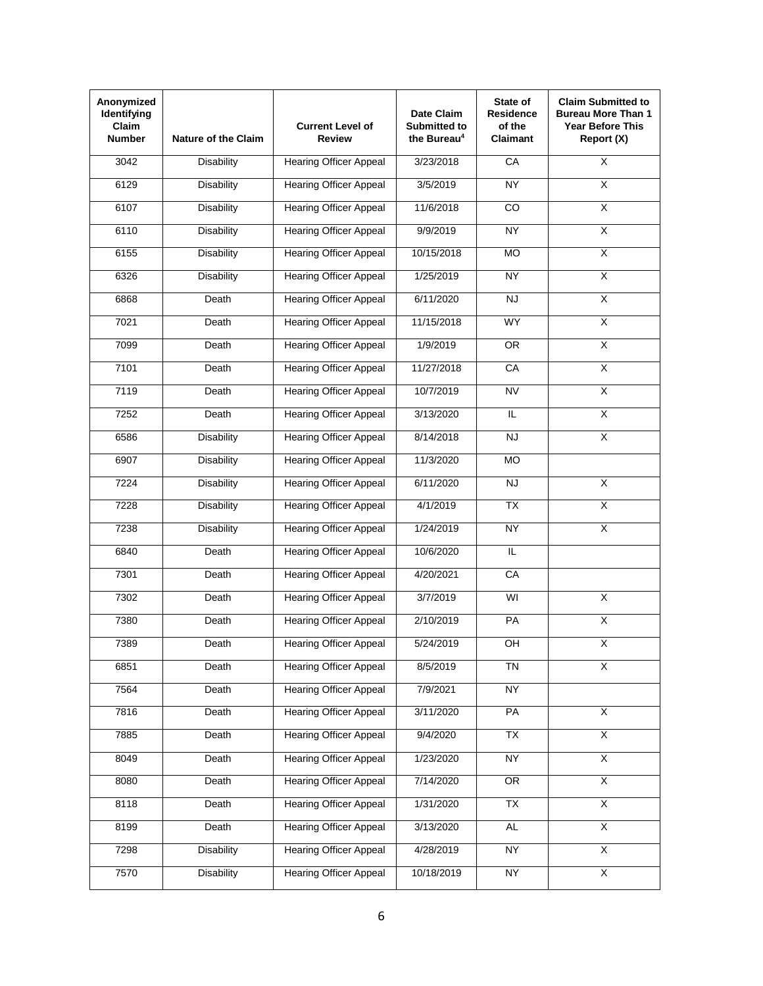| Anonymized<br>Identifying<br>Claim<br><b>Number</b> | <b>Nature of the Claim</b> | <b>Current Level of</b><br><b>Review</b> | Date Claim<br>Submitted to<br>the Bureau <sup>4</sup> | State of<br><b>Residence</b><br>of the<br><b>Claimant</b> | <b>Claim Submitted to</b><br><b>Bureau More Than 1</b><br><b>Year Before This</b><br>Report (X) |
|-----------------------------------------------------|----------------------------|------------------------------------------|-------------------------------------------------------|-----------------------------------------------------------|-------------------------------------------------------------------------------------------------|
| 3042                                                | <b>Disability</b>          | <b>Hearing Officer Appeal</b>            | 3/23/2018                                             | CA                                                        | $\overline{\mathsf{x}}$                                                                         |
| 6129                                                | <b>Disability</b>          | <b>Hearing Officer Appeal</b>            | 3/5/2019                                              | <b>NY</b>                                                 | X                                                                                               |
| 6107                                                | <b>Disability</b>          | <b>Hearing Officer Appeal</b>            | 11/6/2018                                             | CO                                                        | $\overline{\mathsf{x}}$                                                                         |
| 6110                                                | <b>Disability</b>          | <b>Hearing Officer Appeal</b>            | 9/9/2019                                              | <b>NY</b>                                                 | $\overline{X}$                                                                                  |
| 6155                                                | <b>Disability</b>          | <b>Hearing Officer Appeal</b>            | 10/15/2018                                            | MO                                                        | χ                                                                                               |
| 6326                                                | <b>Disability</b>          | <b>Hearing Officer Appeal</b>            | 1/25/2019                                             | <b>NY</b>                                                 | $\overline{\mathsf{x}}$                                                                         |
| 6868                                                | Death                      | <b>Hearing Officer Appeal</b>            | 6/11/2020                                             | <b>NJ</b>                                                 | $\overline{\mathsf{X}}$                                                                         |
| 7021                                                | Death                      | <b>Hearing Officer Appeal</b>            | 11/15/2018                                            | <b>WY</b>                                                 | $\overline{\mathsf{x}}$                                                                         |
| 7099                                                | Death                      | <b>Hearing Officer Appeal</b>            | 1/9/2019                                              | <b>OR</b>                                                 | $\overline{\mathsf{X}}$                                                                         |
| 7101                                                | Death                      | <b>Hearing Officer Appeal</b>            | 11/27/2018                                            | CA                                                        | $\overline{\mathsf{x}}$                                                                         |
| 7119                                                | Death                      | <b>Hearing Officer Appeal</b>            | 10/7/2019                                             | <b>NV</b>                                                 | $\overline{X}$                                                                                  |
| 7252                                                | Death                      | <b>Hearing Officer Appeal</b>            | 3/13/2020                                             | IL.                                                       | $\overline{X}$                                                                                  |
| 6586                                                | <b>Disability</b>          | <b>Hearing Officer Appeal</b>            | 8/14/2018                                             | <b>NJ</b>                                                 | $\overline{\mathsf{x}}$                                                                         |
| 6907                                                | <b>Disability</b>          | <b>Hearing Officer Appeal</b>            | 11/3/2020                                             | <b>MO</b>                                                 |                                                                                                 |
| 7224                                                | <b>Disability</b>          | <b>Hearing Officer Appeal</b>            | 6/11/2020                                             | <b>NJ</b>                                                 | $\overline{\mathsf{x}}$                                                                         |
| 7228                                                | <b>Disability</b>          | <b>Hearing Officer Appeal</b>            | 4/1/2019                                              | TX                                                        | $\overline{\mathsf{X}}$                                                                         |
| 7238                                                | Disability                 | <b>Hearing Officer Appeal</b>            | 1/24/2019                                             | <b>NY</b>                                                 | X                                                                                               |
| 6840                                                | Death                      | <b>Hearing Officer Appeal</b>            | 10/6/2020                                             | $\overline{\mathsf{L}}$                                   |                                                                                                 |
| 7301                                                | Death                      | <b>Hearing Officer Appeal</b>            | 4/20/2021                                             | CA                                                        |                                                                                                 |
| 7302                                                | Death                      | <b>Hearing Officer Appeal</b>            | 3/7/2019                                              | WI                                                        | X                                                                                               |
| 7380                                                | Death                      | <b>Hearing Officer Appeal</b>            | 2/10/2019                                             | PA                                                        | $\overline{X}$                                                                                  |
| 7389                                                | Death                      | <b>Hearing Officer Appeal</b>            | 5/24/2019                                             | OH                                                        | X                                                                                               |
| 6851                                                | Death                      | <b>Hearing Officer Appeal</b>            | 8/5/2019                                              | <b>TN</b>                                                 | $\overline{X}$                                                                                  |
| 7564                                                | Death                      | <b>Hearing Officer Appeal</b>            | 7/9/2021                                              | <b>NY</b>                                                 |                                                                                                 |
| 7816                                                | Death                      | <b>Hearing Officer Appeal</b>            | 3/11/2020                                             | PA                                                        | $\overline{\mathsf{x}}$                                                                         |
| 7885                                                | Death                      | <b>Hearing Officer Appeal</b>            | 9/4/2020                                              | TX                                                        | $\overline{X}$                                                                                  |
| 8049                                                | Death                      | <b>Hearing Officer Appeal</b>            | 1/23/2020                                             | <b>NY</b>                                                 | $\overline{\mathsf{x}}$                                                                         |
| 8080                                                | Death                      | <b>Hearing Officer Appeal</b>            | 7/14/2020                                             | OR                                                        | $\overline{X}$                                                                                  |
| 8118                                                | Death                      | <b>Hearing Officer Appeal</b>            | 1/31/2020                                             | TX                                                        | $\overline{\mathsf{x}}$                                                                         |
| 8199                                                | Death                      | <b>Hearing Officer Appeal</b>            | 3/13/2020                                             | <b>AL</b>                                                 | $\overline{\mathsf{X}}$                                                                         |
| 7298                                                | <b>Disability</b>          | <b>Hearing Officer Appeal</b>            | 4/28/2019                                             | <b>NY</b>                                                 | $\overline{\mathsf{x}}$                                                                         |
| 7570                                                | <b>Disability</b>          | <b>Hearing Officer Appeal</b>            | 10/18/2019                                            | <b>NY</b>                                                 | X                                                                                               |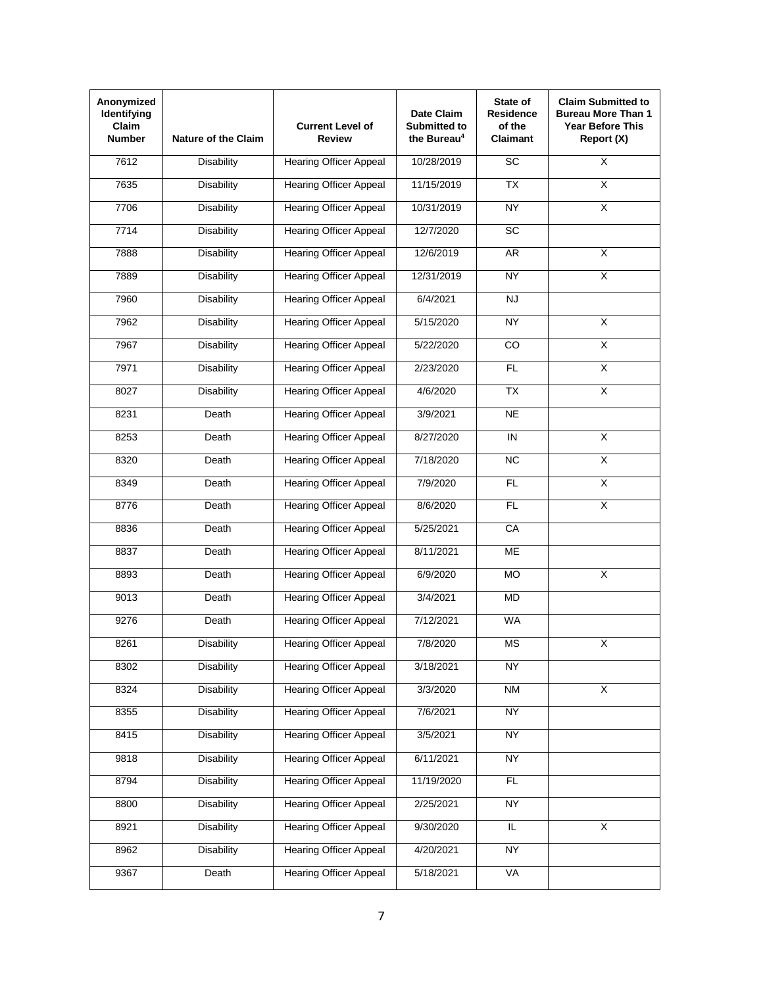| Anonymized<br>Identifying<br>Claim<br><b>Number</b> | <b>Nature of the Claim</b> | <b>Current Level of</b><br><b>Review</b> | Date Claim<br><b>Submitted to</b><br>the Bureau <sup>4</sup> | State of<br><b>Residence</b><br>of the<br><b>Claimant</b> | <b>Claim Submitted to</b><br><b>Bureau More Than 1</b><br><b>Year Before This</b><br>Report (X) |
|-----------------------------------------------------|----------------------------|------------------------------------------|--------------------------------------------------------------|-----------------------------------------------------------|-------------------------------------------------------------------------------------------------|
| 7612                                                | <b>Disability</b>          | <b>Hearing Officer Appeal</b>            | 10/28/2019                                                   | SC                                                        | $\overline{X}$                                                                                  |
| 7635                                                | <b>Disability</b>          | <b>Hearing Officer Appeal</b>            | 11/15/2019                                                   | <b>TX</b>                                                 | X                                                                                               |
| 7706                                                | <b>Disability</b>          | <b>Hearing Officer Appeal</b>            | 10/31/2019                                                   | <b>NY</b>                                                 | X                                                                                               |
| 7714                                                | <b>Disability</b>          | <b>Hearing Officer Appeal</b>            | 12/7/2020                                                    | SC                                                        |                                                                                                 |
| 7888                                                | <b>Disability</b>          | <b>Hearing Officer Appeal</b>            | 12/6/2019                                                    | AR                                                        | $\overline{\mathsf{x}}$                                                                         |
| 7889                                                | <b>Disability</b>          | <b>Hearing Officer Appeal</b>            | 12/31/2019                                                   | <b>NY</b>                                                 | X                                                                                               |
| 7960                                                | <b>Disability</b>          | <b>Hearing Officer Appeal</b>            | 6/4/2021                                                     | <b>NJ</b>                                                 |                                                                                                 |
| 7962                                                | <b>Disability</b>          | <b>Hearing Officer Appeal</b>            | 5/15/2020                                                    | <b>NY</b>                                                 | X                                                                                               |
| 7967                                                | <b>Disability</b>          | <b>Hearing Officer Appeal</b>            | 5/22/2020                                                    | CO                                                        | $\overline{\mathsf{X}}$                                                                         |
| 7971                                                | <b>Disability</b>          | <b>Hearing Officer Appeal</b>            | 2/23/2020                                                    | <b>FL</b>                                                 | $\overline{\mathsf{x}}$                                                                         |
| 8027                                                | <b>Disability</b>          | <b>Hearing Officer Appeal</b>            | 4/6/2020                                                     | <b>TX</b>                                                 | $\overline{X}$                                                                                  |
| 8231                                                | Death                      | <b>Hearing Officer Appeal</b>            | 3/9/2021                                                     | <b>NE</b>                                                 |                                                                                                 |
| 8253                                                | Death                      | <b>Hearing Officer Appeal</b>            | 8/27/2020                                                    | IN                                                        | $\overline{\mathsf{x}}$                                                                         |
| 8320                                                | Death                      | <b>Hearing Officer Appeal</b>            | 7/18/2020                                                    | NC                                                        | $\overline{\mathsf{x}}$                                                                         |
| 8349                                                | Death                      | <b>Hearing Officer Appeal</b>            | 7/9/2020                                                     | <b>FL</b>                                                 | $\overline{\mathsf{x}}$                                                                         |
| 8776                                                | Death                      | <b>Hearing Officer Appeal</b>            | 8/6/2020                                                     | FL                                                        | X                                                                                               |
| 8836                                                | Death                      | <b>Hearing Officer Appeal</b>            | 5/25/2021                                                    | CA                                                        |                                                                                                 |
| 8837                                                | Death                      | <b>Hearing Officer Appeal</b>            | 8/11/2021                                                    | <b>ME</b>                                                 |                                                                                                 |
| 8893                                                | Death                      | <b>Hearing Officer Appeal</b>            | 6/9/2020                                                     | <b>MO</b>                                                 | X                                                                                               |
| 9013                                                | Death                      | <b>Hearing Officer Appeal</b>            | 3/4/2021                                                     | <b>MD</b>                                                 |                                                                                                 |
| 9276                                                | Death                      | <b>Hearing Officer Appeal</b>            | 7/12/2021                                                    | <b>WA</b>                                                 |                                                                                                 |
| 8261                                                | Disability                 | <b>Hearing Officer Appeal</b>            | 7/8/2020                                                     | <b>MS</b>                                                 | X                                                                                               |
| 8302                                                | <b>Disability</b>          | <b>Hearing Officer Appeal</b>            | 3/18/2021                                                    | <b>NY</b>                                                 |                                                                                                 |
| 8324                                                | <b>Disability</b>          | <b>Hearing Officer Appeal</b>            | 3/3/2020                                                     | <b>NM</b>                                                 | $\overline{\mathsf{x}}$                                                                         |
| 8355                                                | <b>Disability</b>          | <b>Hearing Officer Appeal</b>            | 7/6/2021                                                     | <b>NY</b>                                                 |                                                                                                 |
| 8415                                                | <b>Disability</b>          | <b>Hearing Officer Appeal</b>            | 3/5/2021                                                     | <b>NY</b>                                                 |                                                                                                 |
| 9818                                                | <b>Disability</b>          | <b>Hearing Officer Appeal</b>            | 6/11/2021                                                    | <b>NY</b>                                                 |                                                                                                 |
| 8794                                                | <b>Disability</b>          | <b>Hearing Officer Appeal</b>            | 11/19/2020                                                   | FL                                                        |                                                                                                 |
| 8800                                                | <b>Disability</b>          | <b>Hearing Officer Appeal</b>            | 2/25/2021                                                    | <b>NY</b>                                                 |                                                                                                 |
| 8921                                                | <b>Disability</b>          | <b>Hearing Officer Appeal</b>            | 9/30/2020                                                    | $\overline{\mathsf{L}}$                                   | X                                                                                               |
| 8962                                                | <b>Disability</b>          | <b>Hearing Officer Appeal</b>            | 4/20/2021                                                    | <b>NY</b>                                                 |                                                                                                 |
| 9367                                                | Death                      | <b>Hearing Officer Appeal</b>            | 5/18/2021                                                    | VA                                                        |                                                                                                 |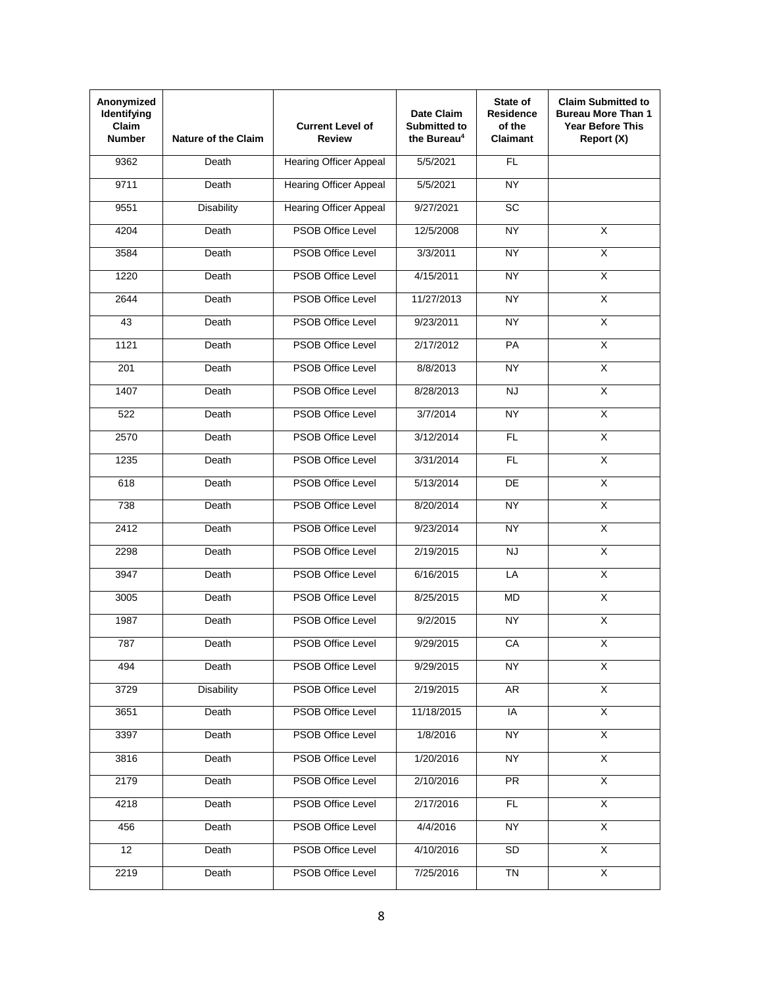| Anonymized<br>Identifying<br>Claim<br><b>Number</b> | <b>Nature of the Claim</b> | <b>Current Level of</b><br><b>Review</b> | Date Claim<br><b>Submitted to</b><br>the Bureau <sup>4</sup> | State of<br><b>Residence</b><br>of the<br><b>Claimant</b> | <b>Claim Submitted to</b><br><b>Bureau More Than 1</b><br><b>Year Before This</b><br>Report (X) |
|-----------------------------------------------------|----------------------------|------------------------------------------|--------------------------------------------------------------|-----------------------------------------------------------|-------------------------------------------------------------------------------------------------|
| 9362                                                | Death                      | <b>Hearing Officer Appeal</b>            | 5/5/2021                                                     | <b>FL</b>                                                 |                                                                                                 |
| 9711                                                | Death                      | <b>Hearing Officer Appeal</b>            | 5/5/2021                                                     | <b>NY</b>                                                 |                                                                                                 |
| 9551                                                | <b>Disability</b>          | <b>Hearing Officer Appeal</b>            | 9/27/2021                                                    | <b>SC</b>                                                 |                                                                                                 |
| 4204                                                | Death                      | <b>PSOB Office Level</b>                 | 12/5/2008                                                    | <b>NY</b>                                                 | $\overline{X}$                                                                                  |
| 3584                                                | Death                      | <b>PSOB Office Level</b>                 | 3/3/2011                                                     | <b>NY</b>                                                 | $\overline{\mathsf{x}}$                                                                         |
| 1220                                                | Death                      | <b>PSOB Office Level</b>                 | 4/15/2011                                                    | <b>NY</b>                                                 | $\overline{\mathsf{x}}$                                                                         |
| 2644                                                | Death                      | <b>PSOB Office Level</b>                 | 11/27/2013                                                   | <b>NY</b>                                                 | $\overline{\mathsf{x}}$                                                                         |
| 43                                                  | Death                      | <b>PSOB Office Level</b>                 | 9/23/2011                                                    | <b>NY</b>                                                 | $\overline{\mathsf{x}}$                                                                         |
| 1121                                                | Death                      | <b>PSOB Office Level</b>                 | 2/17/2012                                                    | PA                                                        | $\overline{\mathsf{X}}$                                                                         |
| 201                                                 | Death                      | <b>PSOB Office Level</b>                 | 8/8/2013                                                     | <b>NY</b>                                                 | $\overline{\mathsf{x}}$                                                                         |
| 1407                                                | Death                      | <b>PSOB Office Level</b>                 | 8/28/2013                                                    | <b>NJ</b>                                                 | $\overline{\mathsf{x}}$                                                                         |
| 522                                                 | Death                      | <b>PSOB Office Level</b>                 | 3/7/2014                                                     | <b>NY</b>                                                 | $\overline{\mathsf{x}}$                                                                         |
| 2570                                                | Death                      | <b>PSOB Office Level</b>                 | 3/12/2014                                                    | <b>FL</b>                                                 | $\overline{\mathsf{x}}$                                                                         |
| 1235                                                | Death                      | <b>PSOB Office Level</b>                 | 3/31/2014                                                    | <b>FL</b>                                                 | $\overline{\mathsf{x}}$                                                                         |
| 618                                                 | Death                      | <b>PSOB Office Level</b>                 | 5/13/2014                                                    | DE                                                        | $\overline{\mathsf{x}}$                                                                         |
| 738                                                 | Death                      | <b>PSOB Office Level</b>                 | 8/20/2014                                                    | <b>NY</b>                                                 | $\overline{\mathsf{X}}$                                                                         |
| 2412                                                | Death                      | <b>PSOB Office Level</b>                 | 9/23/2014                                                    | NY.                                                       | $\overline{\mathsf{x}}$                                                                         |
| 2298                                                | Death                      | <b>PSOB Office Level</b>                 | 2/19/2015                                                    | NJ                                                        | $\overline{\mathsf{x}}$                                                                         |
| 3947                                                | Death                      | <b>PSOB Office Level</b>                 | 6/16/2015                                                    | LA                                                        | X                                                                                               |
| 3005                                                | Death                      | <b>PSOB Office Level</b>                 | 8/25/2015                                                    | <b>MD</b>                                                 | $\overline{\mathsf{x}}$                                                                         |
| 1987                                                | Death                      | <b>PSOB Office Level</b>                 | 9/2/2015                                                     | <b>NY</b>                                                 | $\overline{X}$                                                                                  |
| 787                                                 | Death                      | PSOB Office Level                        | 9/29/2015                                                    | CA                                                        | Χ                                                                                               |
| 494                                                 | Death                      | PSOB Office Level                        | 9/29/2015                                                    | <b>NY</b>                                                 | X                                                                                               |
| 3729                                                | <b>Disability</b>          | PSOB Office Level                        | 2/19/2015                                                    | AR                                                        | $\overline{X}$                                                                                  |
| 3651                                                | Death                      | <b>PSOB Office Level</b>                 | 11/18/2015                                                   | IA                                                        | $\overline{\mathsf{x}}$                                                                         |
| 3397                                                | Death                      | <b>PSOB Office Level</b>                 | 1/8/2016                                                     | <b>NY</b>                                                 | $\overline{X}$                                                                                  |
| 3816                                                | Death                      | <b>PSOB Office Level</b>                 | 1/20/2016                                                    | <b>NY</b>                                                 | $\overline{X}$                                                                                  |
| 2179                                                | Death                      | <b>PSOB Office Level</b>                 | 2/10/2016                                                    | <b>PR</b>                                                 | $\overline{X}$                                                                                  |
| 4218                                                | Death                      | PSOB Office Level                        | 2/17/2016                                                    | FL.                                                       | $\overline{X}$                                                                                  |
| 456                                                 | Death                      | PSOB Office Level                        | 4/4/2016                                                     | <b>NY</b>                                                 | $\overline{X}$                                                                                  |
| 12                                                  | Death                      | PSOB Office Level                        | 4/10/2016                                                    | SD                                                        | $\overline{\mathsf{x}}$                                                                         |
| 2219                                                | Death                      | PSOB Office Level                        | 7/25/2016                                                    | $\overline{T}N$                                           | $\overline{\mathsf{x}}$                                                                         |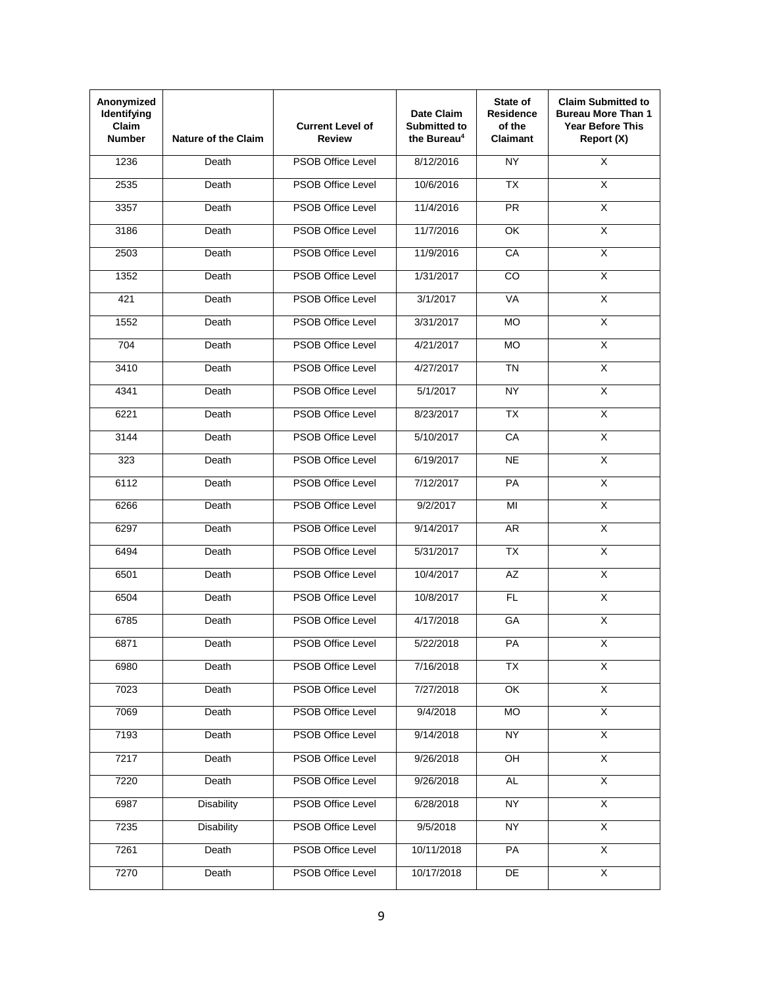| Anonymized<br>Identifying<br>Claim<br><b>Number</b> | <b>Nature of the Claim</b> | <b>Current Level of</b><br>Review | Date Claim<br><b>Submitted to</b><br>the Bureau <sup>4</sup> | State of<br><b>Residence</b><br>of the<br><b>Claimant</b> | <b>Claim Submitted to</b><br><b>Bureau More Than 1</b><br><b>Year Before This</b><br>Report (X) |
|-----------------------------------------------------|----------------------------|-----------------------------------|--------------------------------------------------------------|-----------------------------------------------------------|-------------------------------------------------------------------------------------------------|
| 1236                                                | Death                      | <b>PSOB Office Level</b>          | 8/12/2016                                                    | NY                                                        | $\overline{\mathsf{x}}$                                                                         |
| 2535                                                | Death                      | <b>PSOB Office Level</b>          | 10/6/2016                                                    | <b>TX</b>                                                 | X                                                                                               |
| 3357                                                | Death                      | <b>PSOB Office Level</b>          | 11/4/2016                                                    | <b>PR</b>                                                 | $\overline{\mathsf{x}}$                                                                         |
| 3186                                                | Death                      | <b>PSOB Office Level</b>          | 11/7/2016                                                    | OK                                                        | $\overline{X}$                                                                                  |
| 2503                                                | Death                      | <b>PSOB Office Level</b>          | 11/9/2016                                                    | CA                                                        | X                                                                                               |
| 1352                                                | Death                      | <b>PSOB Office Level</b>          | 1/31/2017                                                    | CO.                                                       | $\overline{\mathsf{x}}$                                                                         |
| 421                                                 | Death                      | <b>PSOB Office Level</b>          | 3/1/2017                                                     | <b>VA</b>                                                 | $\overline{\mathsf{x}}$                                                                         |
| 1552                                                | Death                      | <b>PSOB Office Level</b>          | 3/31/2017                                                    | <b>MO</b>                                                 | $\overline{\mathsf{x}}$                                                                         |
| 704                                                 | Death                      | <b>PSOB Office Level</b>          | 4/21/2017                                                    | <b>MO</b>                                                 | $\overline{\mathsf{X}}$                                                                         |
| 3410                                                | Death                      | <b>PSOB Office Level</b>          | 4/27/2017                                                    | <b>TN</b>                                                 | $\overline{\mathsf{x}}$                                                                         |
| 4341                                                | Death                      | <b>PSOB Office Level</b>          | 5/1/2017                                                     | <b>NY</b>                                                 | $\overline{\mathsf{x}}$                                                                         |
| 6221                                                | Death                      | <b>PSOB Office Level</b>          | 8/23/2017                                                    | <b>TX</b>                                                 | $\overline{X}$                                                                                  |
| 3144                                                | Death                      | <b>PSOB Office Level</b>          | 5/10/2017                                                    | CA                                                        | $\overline{\mathsf{x}}$                                                                         |
| 323                                                 | Death                      | <b>PSOB Office Level</b>          | 6/19/2017                                                    | <b>NE</b>                                                 | $\overline{\mathsf{x}}$                                                                         |
| 6112                                                | Death                      | <b>PSOB Office Level</b>          | 7/12/2017                                                    | PA                                                        | $\overline{\mathsf{x}}$                                                                         |
| 6266                                                | Death                      | <b>PSOB Office Level</b>          | 9/2/2017                                                     | MI                                                        | $\overline{\mathsf{x}}$                                                                         |
| 6297                                                | Death                      | <b>PSOB Office Level</b>          | 9/14/2017                                                    | AR.                                                       | X                                                                                               |
| 6494                                                | Death                      | <b>PSOB Office Level</b>          | 5/31/2017                                                    | $\overline{TX}$                                           | $\overline{\mathsf{x}}$                                                                         |
| 6501                                                | Death                      | <b>PSOB Office Level</b>          | 10/4/2017                                                    | <b>AZ</b>                                                 | X                                                                                               |
| 6504                                                | Death                      | <b>PSOB Office Level</b>          | 10/8/2017                                                    | FL                                                        | $\overline{\mathsf{x}}$                                                                         |
| 6785                                                | Death                      | <b>PSOB Office Level</b>          | 4/17/2018                                                    | GA                                                        | $\overline{\mathsf{x}}$                                                                         |
| 6871                                                | Death                      | <b>PSOB Office Level</b>          | 5/22/2018                                                    | PA                                                        | X                                                                                               |
| 6980                                                | Death                      | PSOB Office Level                 | 7/16/2018                                                    | <b>TX</b>                                                 | $\overline{X}$                                                                                  |
| 7023                                                | Death                      | <b>PSOB Office Level</b>          | 7/27/2018                                                    | OK                                                        | $\overline{X}$                                                                                  |
| 7069                                                | Death                      | <b>PSOB Office Level</b>          | 9/4/2018                                                     | MO                                                        | $\overline{\mathsf{x}}$                                                                         |
| 7193                                                | Death                      | <b>PSOB Office Level</b>          | 9/14/2018                                                    | <b>NY</b>                                                 | $\overline{X}$                                                                                  |
| 7217                                                | Death                      | <b>PSOB Office Level</b>          | 9/26/2018                                                    | OH                                                        | $\overline{X}$                                                                                  |
| 7220                                                | Death                      | <b>PSOB Office Level</b>          | 9/26/2018                                                    | <b>AL</b>                                                 | $\overline{X}$                                                                                  |
| 6987                                                | <b>Disability</b>          | <b>PSOB Office Level</b>          | 6/28/2018                                                    | <b>NY</b>                                                 | $\overline{X}$                                                                                  |
| 7235                                                | <b>Disability</b>          | PSOB Office Level                 | 9/5/2018                                                     | <b>NY</b>                                                 | $\overline{\mathsf{x}}$                                                                         |
| 7261                                                | Death                      | PSOB Office Level                 | 10/11/2018                                                   | PA                                                        | $\overline{\mathsf{x}}$                                                                         |
| 7270                                                | Death                      | PSOB Office Level                 | 10/17/2018                                                   | DE                                                        | $\overline{\mathsf{x}}$                                                                         |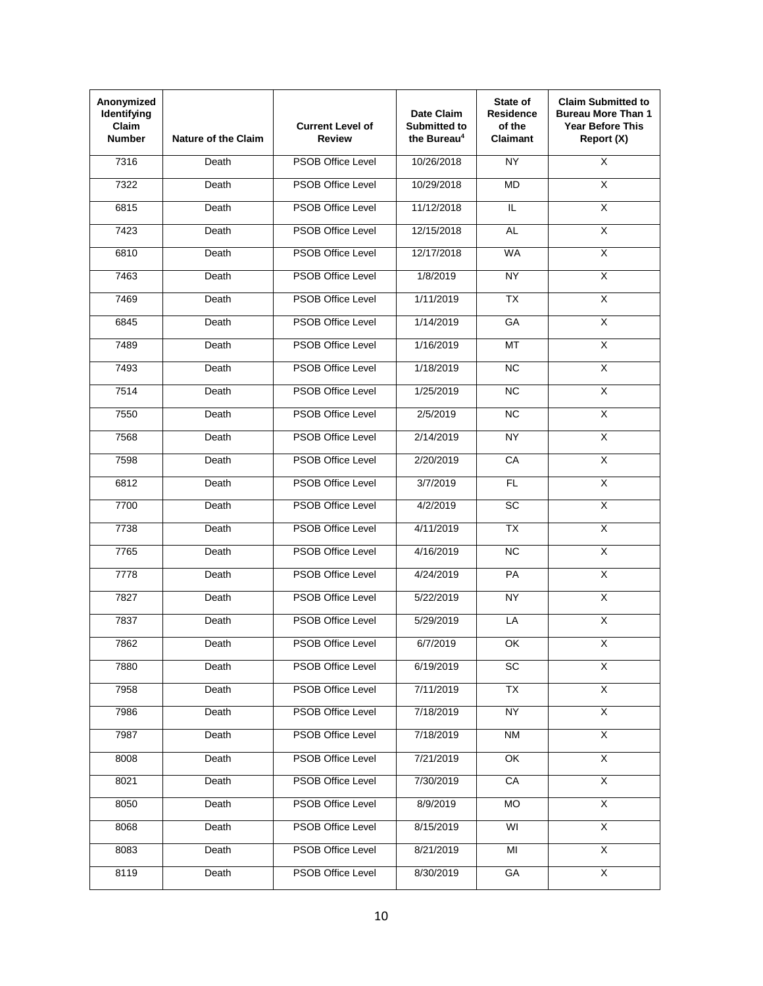| Anonymized<br>Identifying<br>Claim<br><b>Number</b> | <b>Nature of the Claim</b> | <b>Current Level of</b><br>Review | Date Claim<br><b>Submitted to</b><br>the Bureau <sup>4</sup> | State of<br><b>Residence</b><br>of the<br><b>Claimant</b> | <b>Claim Submitted to</b><br><b>Bureau More Than 1</b><br><b>Year Before This</b><br>Report (X) |
|-----------------------------------------------------|----------------------------|-----------------------------------|--------------------------------------------------------------|-----------------------------------------------------------|-------------------------------------------------------------------------------------------------|
| 7316                                                | Death                      | <b>PSOB Office Level</b>          | 10/26/2018                                                   | <b>NY</b>                                                 | $\overline{\mathsf{x}}$                                                                         |
| 7322                                                | Death                      | <b>PSOB Office Level</b>          | 10/29/2018                                                   | <b>MD</b>                                                 | X                                                                                               |
| 6815                                                | Death                      | <b>PSOB Office Level</b>          | 11/12/2018                                                   | IL.                                                       | $\overline{\mathsf{x}}$                                                                         |
| 7423                                                | Death                      | <b>PSOB Office Level</b>          | 12/15/2018                                                   | <b>AL</b>                                                 | $\overline{X}$                                                                                  |
| 6810                                                | Death                      | <b>PSOB Office Level</b>          | 12/17/2018                                                   | <b>WA</b>                                                 | X                                                                                               |
| 7463                                                | Death                      | <b>PSOB Office Level</b>          | 1/8/2019                                                     | <b>NY</b>                                                 | $\overline{\mathsf{x}}$                                                                         |
| 7469                                                | Death                      | <b>PSOB Office Level</b>          | 1/11/2019                                                    | <b>TX</b>                                                 | $\overline{\mathsf{x}}$                                                                         |
| 6845                                                | Death                      | <b>PSOB Office Level</b>          | 1/14/2019                                                    | GA                                                        | $\overline{\mathsf{x}}$                                                                         |
| 7489                                                | Death                      | <b>PSOB Office Level</b>          | 1/16/2019                                                    | <b>MT</b>                                                 | $\overline{\mathsf{X}}$                                                                         |
| 7493                                                | Death                      | <b>PSOB Office Level</b>          | 1/18/2019                                                    | <b>NC</b>                                                 | $\overline{\mathsf{x}}$                                                                         |
| 7514                                                | Death                      | <b>PSOB Office Level</b>          | 1/25/2019                                                    | <b>NC</b>                                                 | $\overline{\mathsf{x}}$                                                                         |
| 7550                                                | Death                      | <b>PSOB Office Level</b>          | 2/5/2019                                                     | <b>NC</b>                                                 | $\overline{X}$                                                                                  |
| 7568                                                | Death                      | <b>PSOB Office Level</b>          | 2/14/2019                                                    | <b>NY</b>                                                 | $\overline{\mathsf{x}}$                                                                         |
| 7598                                                | Death                      | <b>PSOB Office Level</b>          | 2/20/2019                                                    | CA                                                        | $\overline{\mathsf{x}}$                                                                         |
| 6812                                                | Death                      | <b>PSOB Office Level</b>          | 3/7/2019                                                     | <b>FL</b>                                                 | $\overline{\mathsf{x}}$                                                                         |
| 7700                                                | Death                      | <b>PSOB Office Level</b>          | 4/2/2019                                                     | SC                                                        | $\overline{\mathsf{x}}$                                                                         |
| 7738                                                | Death                      | <b>PSOB Office Level</b>          | 4/11/2019                                                    | <b>TX</b>                                                 | $\overline{\mathsf{x}}$                                                                         |
| 7765                                                | Death                      | <b>PSOB Office Level</b>          | 4/16/2019                                                    | $\overline{NC}$                                           | $\overline{\mathsf{x}}$                                                                         |
| 7778                                                | Death                      | <b>PSOB Office Level</b>          | 4/24/2019                                                    | PA                                                        | X                                                                                               |
| 7827                                                | Death                      | <b>PSOB Office Level</b>          | 5/22/2019                                                    | <b>NY</b>                                                 | $\overline{\mathsf{x}}$                                                                         |
| 7837                                                | Death                      | <b>PSOB Office Level</b>          | 5/29/2019                                                    | LA                                                        | $\overline{\mathsf{x}}$                                                                         |
| 7862                                                | Death                      | PSOB Office Level                 | 6/7/2019                                                     | OK                                                        | X                                                                                               |
| 7880                                                | Death                      | <b>PSOB Office Level</b>          | 6/19/2019                                                    | SC                                                        | X                                                                                               |
| 7958                                                | Death                      | PSOB Office Level                 | 7/11/2019                                                    | $\overline{TX}$                                           | $\overline{X}$                                                                                  |
| 7986                                                | Death                      | <b>PSOB Office Level</b>          | 7/18/2019                                                    | <b>NY</b>                                                 | $\overline{X}$                                                                                  |
| 7987                                                | Death                      | PSOB Office Level                 | 7/18/2019                                                    | <b>NM</b>                                                 | $\overline{X}$                                                                                  |
| 8008                                                | Death                      | PSOB Office Level                 | 7/21/2019                                                    | OK                                                        | $\overline{X}$                                                                                  |
| 8021                                                | Death                      | PSOB Office Level                 | 7/30/2019                                                    | CA                                                        | $\overline{X}$                                                                                  |
| 8050                                                | Death                      | PSOB Office Level                 | 8/9/2019                                                     | <b>MO</b>                                                 | $\overline{X}$                                                                                  |
| 8068                                                | Death                      | PSOB Office Level                 | 8/15/2019                                                    | WI                                                        | $\overline{\mathsf{x}}$                                                                         |
| 8083                                                | Death                      | PSOB Office Level                 | 8/21/2019                                                    | MI                                                        | $\overline{\mathsf{x}}$                                                                         |
| 8119                                                | Death                      | PSOB Office Level                 | 8/30/2019                                                    | GA                                                        | $\overline{\mathsf{x}}$                                                                         |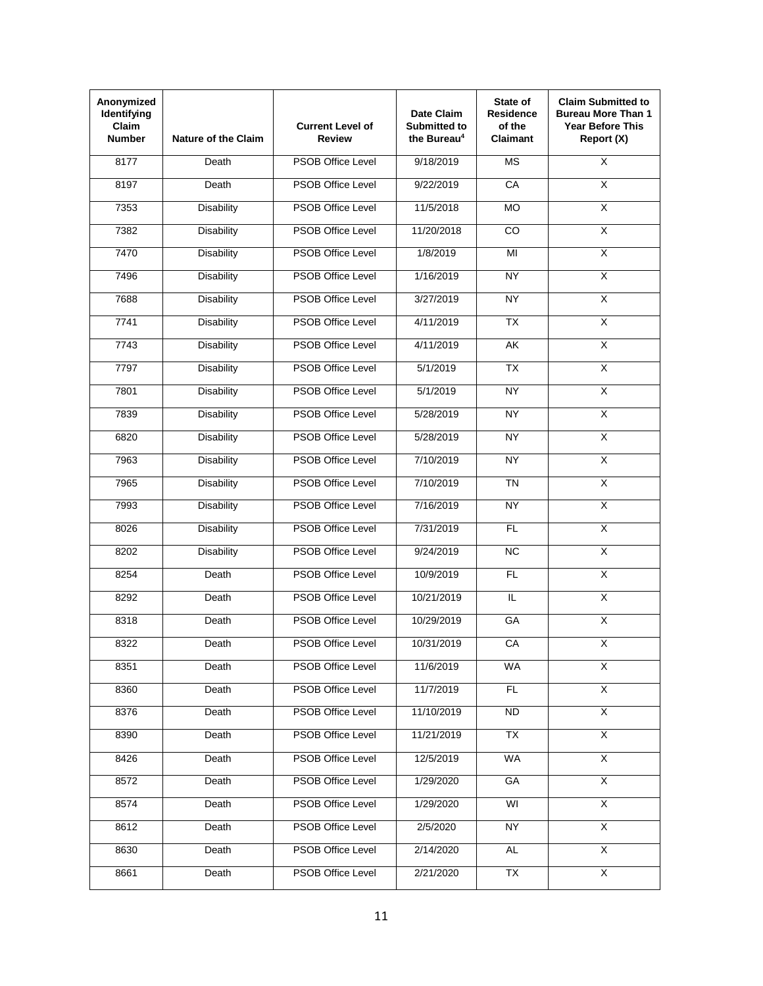| Anonymized<br>Identifying<br><b>Claim</b><br><b>Number</b> | <b>Nature of the Claim</b> | <b>Current Level of</b><br><b>Review</b> | Date Claim<br><b>Submitted to</b><br>the Bureau <sup>4</sup> | State of<br><b>Residence</b><br>of the<br><b>Claimant</b> | <b>Claim Submitted to</b><br><b>Bureau More Than 1</b><br><b>Year Before This</b><br>Report (X) |
|------------------------------------------------------------|----------------------------|------------------------------------------|--------------------------------------------------------------|-----------------------------------------------------------|-------------------------------------------------------------------------------------------------|
| 8177                                                       | Death                      | <b>PSOB Office Level</b>                 | 9/18/2019                                                    | <b>MS</b>                                                 | $\overline{\mathsf{x}}$                                                                         |
| 8197                                                       | Death                      | <b>PSOB Office Level</b>                 | 9/22/2019                                                    | CA                                                        | X                                                                                               |
| 7353                                                       | <b>Disability</b>          | <b>PSOB Office Level</b>                 | 11/5/2018                                                    | <b>MO</b>                                                 | $\overline{\mathsf{x}}$                                                                         |
| 7382                                                       | <b>Disability</b>          | <b>PSOB Office Level</b>                 | 11/20/2018                                                   | <b>CO</b>                                                 | $\overline{X}$                                                                                  |
| 7470                                                       | <b>Disability</b>          | <b>PSOB Office Level</b>                 | 1/8/2019                                                     | $\overline{M}$                                            | X                                                                                               |
| 7496                                                       | <b>Disability</b>          | <b>PSOB Office Level</b>                 | 1/16/2019                                                    | <b>NY</b>                                                 | $\overline{\mathsf{x}}$                                                                         |
| 7688                                                       | <b>Disability</b>          | <b>PSOB Office Level</b>                 | 3/27/2019                                                    | <b>NY</b>                                                 | $\overline{\mathsf{x}}$                                                                         |
| 7741                                                       | <b>Disability</b>          | <b>PSOB Office Level</b>                 | 4/11/2019                                                    | <b>TX</b>                                                 | $\overline{\mathsf{x}}$                                                                         |
| 7743                                                       | <b>Disability</b>          | <b>PSOB Office Level</b>                 | 4/11/2019                                                    | AK                                                        | $\overline{\mathsf{X}}$                                                                         |
| 7797                                                       | <b>Disability</b>          | <b>PSOB Office Level</b>                 | 5/1/2019                                                     | $\overline{TX}$                                           | $\overline{\mathsf{x}}$                                                                         |
| 7801                                                       | <b>Disability</b>          | <b>PSOB Office Level</b>                 | 5/1/2019                                                     | <b>NY</b>                                                 | $\overline{\mathsf{x}}$                                                                         |
| 7839                                                       | <b>Disability</b>          | <b>PSOB Office Level</b>                 | 5/28/2019                                                    | NY                                                        | $\overline{X}$                                                                                  |
| 6820                                                       | <b>Disability</b>          | <b>PSOB Office Level</b>                 | 5/28/2019                                                    | <b>NY</b>                                                 | $\overline{\mathsf{x}}$                                                                         |
| 7963                                                       | <b>Disability</b>          | <b>PSOB Office Level</b>                 | 7/10/2019                                                    | <b>NY</b>                                                 | $\overline{\mathsf{x}}$                                                                         |
| 7965                                                       | <b>Disability</b>          | <b>PSOB Office Level</b>                 | 7/10/2019                                                    | <b>TN</b>                                                 | $\overline{\mathsf{x}}$                                                                         |
| 7993                                                       | <b>Disability</b>          | <b>PSOB Office Level</b>                 | 7/16/2019                                                    | <b>NY</b>                                                 | $\overline{\mathsf{x}}$                                                                         |
| 8026                                                       | <b>Disability</b>          | <b>PSOB Office Level</b>                 | 7/31/2019                                                    | <b>FL</b>                                                 | $\overline{\mathsf{x}}$                                                                         |
| 8202                                                       | <b>Disability</b>          | <b>PSOB Office Level</b>                 | 9/24/2019                                                    | $\overline{NC}$                                           | $\overline{\mathsf{x}}$                                                                         |
| 8254                                                       | Death                      | <b>PSOB Office Level</b>                 | 10/9/2019                                                    | <b>FL</b>                                                 | X                                                                                               |
| 8292                                                       | Death                      | <b>PSOB Office Level</b>                 | 10/21/2019                                                   | IL.                                                       | $\overline{\mathsf{x}}$                                                                         |
| 8318                                                       | Death                      | <b>PSOB Office Level</b>                 | 10/29/2019                                                   | GA                                                        | $\overline{\mathsf{x}}$                                                                         |
| 8322                                                       | Death                      | <b>PSOB Office Level</b>                 | 10/31/2019                                                   | CA                                                        | Χ                                                                                               |
| 8351                                                       | Death                      | PSOB Office Level                        | 11/6/2019                                                    | <b>WA</b>                                                 | X                                                                                               |
| 8360                                                       | Death                      | PSOB Office Level                        | 11/7/2019                                                    | FL                                                        | $\overline{X}$                                                                                  |
| 8376                                                       | Death                      | PSOB Office Level                        | 11/10/2019                                                   | <b>ND</b>                                                 | $\overline{X}$                                                                                  |
| 8390                                                       | Death                      | PSOB Office Level                        | 11/21/2019                                                   | <b>TX</b>                                                 | $\overline{X}$                                                                                  |
| 8426                                                       | Death                      | PSOB Office Level                        | 12/5/2019                                                    | <b>WA</b>                                                 | $\overline{X}$                                                                                  |
| 8572                                                       | Death                      | PSOB Office Level                        | 1/29/2020                                                    | GA                                                        | $\overline{X}$                                                                                  |
| 8574                                                       | Death                      | PSOB Office Level                        | 1/29/2020                                                    | WI                                                        | $\overline{X}$                                                                                  |
| 8612                                                       | Death                      | PSOB Office Level                        | 2/5/2020                                                     | <b>NY</b>                                                 | X                                                                                               |
| 8630                                                       | Death                      | <b>PSOB Office Level</b>                 | 2/14/2020                                                    | <b>AL</b>                                                 | $\overline{\mathsf{x}}$                                                                         |
| 8661                                                       | Death                      | PSOB Office Level                        | 2/21/2020                                                    | TX                                                        | $\overline{X}$                                                                                  |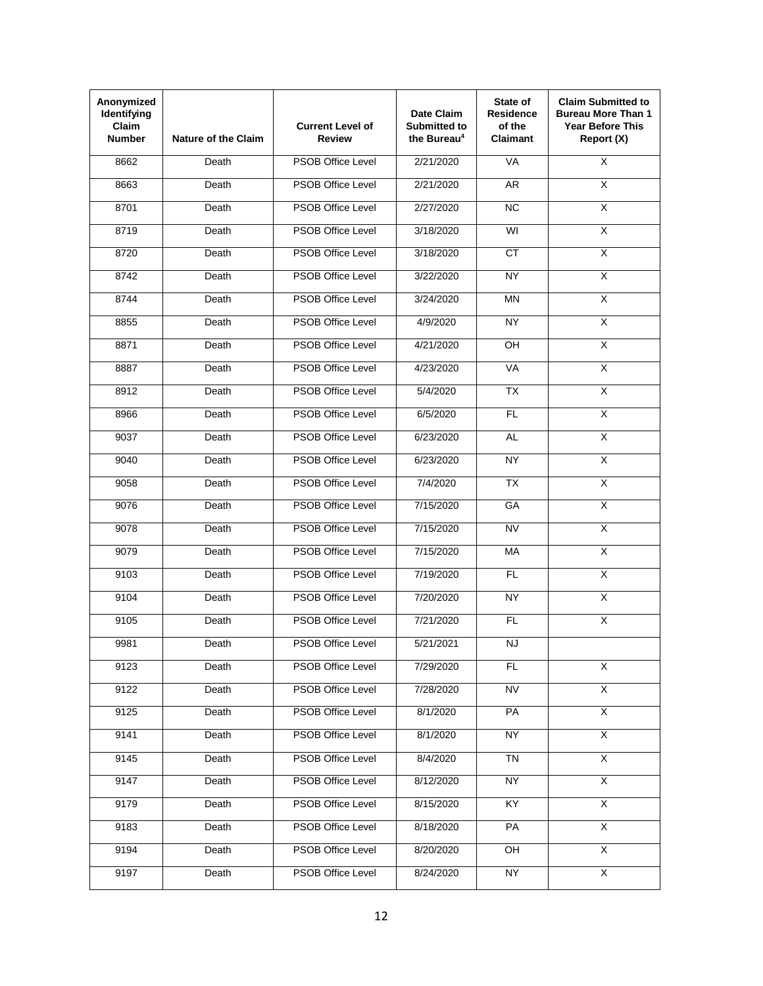| Anonymized<br>Identifying<br>Claim<br><b>Number</b> | <b>Nature of the Claim</b>  | <b>Current Level of</b><br>Review | Date Claim<br><b>Submitted to</b><br>the Bureau <sup>4</sup> | State of<br><b>Residence</b><br>of the<br><b>Claimant</b> | <b>Claim Submitted to</b><br><b>Bureau More Than 1</b><br><b>Year Before This</b><br>Report (X) |
|-----------------------------------------------------|-----------------------------|-----------------------------------|--------------------------------------------------------------|-----------------------------------------------------------|-------------------------------------------------------------------------------------------------|
| 8662                                                | Death                       | <b>PSOB Office Level</b>          | 2/21/2020                                                    | <b>VA</b>                                                 | $\overline{\mathsf{x}}$                                                                         |
| 8663                                                | Death                       | <b>PSOB Office Level</b>          | 2/21/2020                                                    | AR                                                        | X                                                                                               |
| 8701                                                | Death                       | <b>PSOB Office Level</b>          | 2/27/2020                                                    | <b>NC</b>                                                 | $\overline{\mathsf{x}}$                                                                         |
| 8719                                                | Death                       | <b>PSOB Office Level</b>          | 3/18/2020                                                    | WI                                                        | $\overline{X}$                                                                                  |
| 8720                                                | Death                       | <b>PSOB Office Level</b>          | 3/18/2020                                                    | $\overline{CT}$                                           | X                                                                                               |
| 8742                                                | Death                       | <b>PSOB Office Level</b>          | 3/22/2020                                                    | <b>NY</b>                                                 | $\overline{\mathsf{x}}$                                                                         |
| 8744                                                | Death                       | <b>PSOB Office Level</b>          | 3/24/2020                                                    | <b>MN</b>                                                 | $\overline{\mathsf{x}}$                                                                         |
| 8855                                                | Death                       | <b>PSOB Office Level</b>          | 4/9/2020                                                     | <b>NY</b>                                                 | $\overline{\mathsf{x}}$                                                                         |
| 8871                                                | Death                       | <b>PSOB Office Level</b>          | 4/21/2020                                                    | OH                                                        | $\overline{\mathsf{X}}$                                                                         |
| 8887                                                | Death                       | <b>PSOB Office Level</b>          | 4/23/2020                                                    | <b>VA</b>                                                 | $\overline{\mathsf{x}}$                                                                         |
| 8912                                                | Death                       | <b>PSOB Office Level</b>          | 5/4/2020                                                     | <b>TX</b>                                                 | $\overline{\mathsf{x}}$                                                                         |
| 8966                                                | Death                       | <b>PSOB Office Level</b>          | 6/5/2020                                                     | <b>FL</b>                                                 | $\overline{X}$                                                                                  |
| 9037                                                | Death                       | <b>PSOB Office Level</b>          | 6/23/2020                                                    | <b>AL</b>                                                 | $\overline{\mathsf{x}}$                                                                         |
| 9040                                                | Death                       | <b>PSOB Office Level</b>          | 6/23/2020                                                    | <b>NY</b>                                                 | $\overline{\mathsf{x}}$                                                                         |
| 9058                                                | Death                       | <b>PSOB Office Level</b>          | 7/4/2020                                                     | <b>TX</b>                                                 | $\overline{\mathsf{x}}$                                                                         |
| 9076                                                | Death                       | <b>PSOB Office Level</b>          | 7/15/2020                                                    | GA                                                        | $\overline{\mathsf{x}}$                                                                         |
| 9078                                                | Death                       | <b>PSOB Office Level</b>          | 7/15/2020                                                    | <b>NV</b>                                                 | X                                                                                               |
| 9079                                                | Death                       | <b>PSOB Office Level</b>          | 7/15/2020                                                    | MA                                                        | $\overline{\mathsf{x}}$                                                                         |
| 9103                                                | Death                       | <b>PSOB Office Level</b>          | 7/19/2020                                                    | FL.                                                       | X                                                                                               |
| 9104                                                | Death                       | <b>PSOB Office Level</b>          | 7/20/2020                                                    | NY.                                                       | $\overline{\mathsf{x}}$                                                                         |
| 9105                                                | $\overline{\mathsf{Death}}$ | <b>PSOB Office Level</b>          | 7/21/2020                                                    | FL.                                                       | $\overline{X}$                                                                                  |
| 9981                                                | Death                       | PSOB Office Level                 | 5/21/2021                                                    | <b>NJ</b>                                                 |                                                                                                 |
| 9123                                                | Death                       | <b>PSOB Office Level</b>          | 7/29/2020                                                    | FL.                                                       | X                                                                                               |
| 9122                                                | Death                       | PSOB Office Level                 | 7/28/2020                                                    | $\overline{\text{NV}}$                                    | $\overline{X}$                                                                                  |
| 9125                                                | Death                       | <b>PSOB Office Level</b>          | 8/1/2020                                                     | PA                                                        | $\overline{X}$                                                                                  |
| 9141                                                | Death                       | PSOB Office Level                 | 8/1/2020                                                     | <b>NY</b>                                                 | $\overline{X}$                                                                                  |
| 9145                                                | Death                       | PSOB Office Level                 | 8/4/2020                                                     | <b>TN</b>                                                 | $\overline{X}$                                                                                  |
| 9147                                                | Death                       | <b>PSOB Office Level</b>          | 8/12/2020                                                    | NY                                                        | $\overline{X}$                                                                                  |
| 9179                                                | Death                       | PSOB Office Level                 | 8/15/2020                                                    | KY.                                                       | $\overline{X}$                                                                                  |
| 9183                                                | Death                       | PSOB Office Level                 | 8/18/2020                                                    | PA                                                        | X                                                                                               |
| 9194                                                | Death                       | PSOB Office Level                 | 8/20/2020                                                    | OH                                                        | $\overline{\mathsf{x}}$                                                                         |
| 9197                                                | Death                       | PSOB Office Level                 | 8/24/2020                                                    | <b>NY</b>                                                 | $\overline{\mathsf{x}}$                                                                         |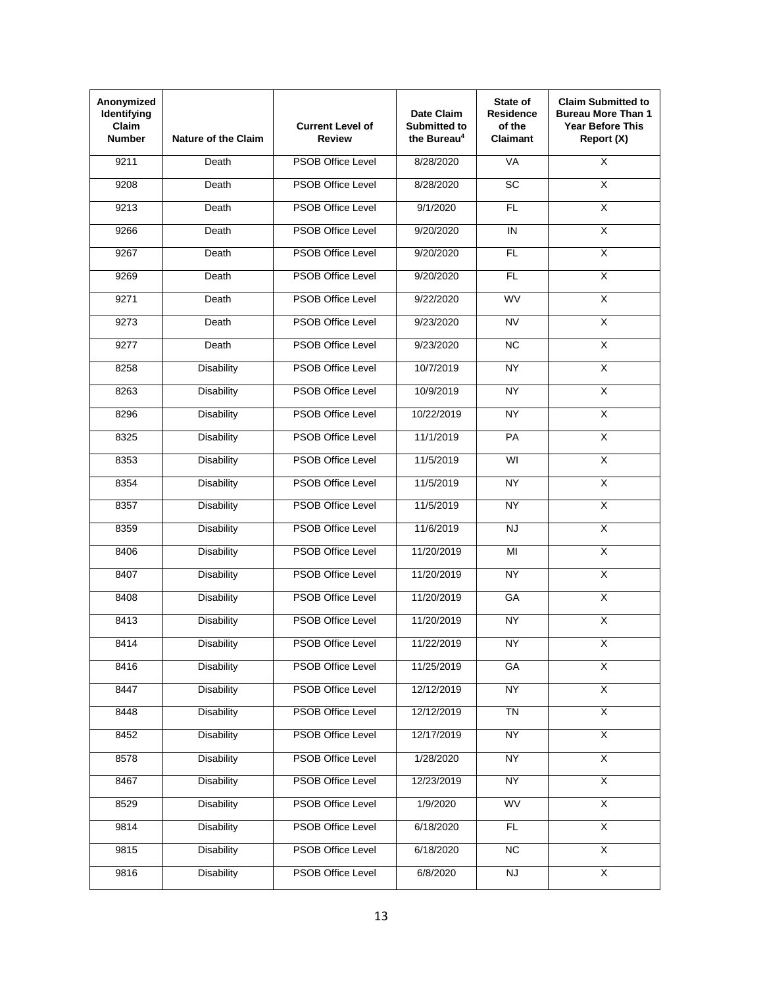| Anonymized<br>Identifying<br><b>Claim</b><br><b>Number</b> | <b>Nature of the Claim</b> | <b>Current Level of</b><br>Review | Date Claim<br><b>Submitted to</b><br>the Bureau <sup>4</sup> | State of<br><b>Residence</b><br>of the<br><b>Claimant</b> | <b>Claim Submitted to</b><br><b>Bureau More Than 1</b><br><b>Year Before This</b><br>Report (X) |
|------------------------------------------------------------|----------------------------|-----------------------------------|--------------------------------------------------------------|-----------------------------------------------------------|-------------------------------------------------------------------------------------------------|
| 9211                                                       | Death                      | <b>PSOB Office Level</b>          | 8/28/2020                                                    | <b>VA</b>                                                 | $\overline{\mathsf{x}}$                                                                         |
| 9208                                                       | Death                      | <b>PSOB Office Level</b>          | 8/28/2020                                                    | SC                                                        | X                                                                                               |
| 9213                                                       | Death                      | <b>PSOB Office Level</b>          | 9/1/2020                                                     | <b>FL</b>                                                 | $\overline{\mathsf{x}}$                                                                         |
| 9266                                                       | Death                      | <b>PSOB Office Level</b>          | 9/20/2020                                                    | IN                                                        | X                                                                                               |
| 9267                                                       | Death                      | <b>PSOB Office Level</b>          | 9/20/2020                                                    | FL                                                        | $\overline{\mathsf{x}}$                                                                         |
| 9269                                                       | Death                      | <b>PSOB Office Level</b>          | 9/20/2020                                                    | <b>FL</b>                                                 | $\overline{\mathsf{x}}$                                                                         |
| 9271                                                       | Death                      | <b>PSOB Office Level</b>          | 9/22/2020                                                    | <b>WV</b>                                                 | $\overline{\mathsf{x}}$                                                                         |
| 9273                                                       | Death                      | <b>PSOB Office Level</b>          | 9/23/2020                                                    | <b>NV</b>                                                 | $\overline{\mathsf{x}}$                                                                         |
| 9277                                                       | Death                      | <b>PSOB Office Level</b>          | 9/23/2020                                                    | <b>NC</b>                                                 | $\overline{\mathsf{X}}$                                                                         |
| 8258                                                       | Disability                 | <b>PSOB Office Level</b>          | 10/7/2019                                                    | <b>NY</b>                                                 | $\overline{\mathsf{x}}$                                                                         |
| 8263                                                       | <b>Disability</b>          | <b>PSOB Office Level</b>          | 10/9/2019                                                    | <b>NY</b>                                                 | $\overline{\mathsf{x}}$                                                                         |
| 8296                                                       | <b>Disability</b>          | <b>PSOB Office Level</b>          | 10/22/2019                                                   | <b>NY</b>                                                 | $\overline{\mathsf{x}}$                                                                         |
| 8325                                                       | <b>Disability</b>          | <b>PSOB Office Level</b>          | 11/1/2019                                                    | PA                                                        | $\overline{\mathsf{x}}$                                                                         |
| 8353                                                       | <b>Disability</b>          | <b>PSOB Office Level</b>          | 11/5/2019                                                    | WI                                                        | $\overline{\mathsf{x}}$                                                                         |
| 8354                                                       | <b>Disability</b>          | <b>PSOB Office Level</b>          | 11/5/2019                                                    | <b>NY</b>                                                 | $\overline{\mathsf{x}}$                                                                         |
| 8357                                                       | <b>Disability</b>          | <b>PSOB Office Level</b>          | 11/5/2019                                                    | <b>NY</b>                                                 | $\overline{\mathsf{x}}$                                                                         |
| 8359                                                       | <b>Disability</b>          | <b>PSOB Office Level</b>          | 11/6/2019                                                    | <b>NJ</b>                                                 | $\overline{\mathsf{x}}$                                                                         |
| 8406                                                       | <b>Disability</b>          | <b>PSOB Office Level</b>          | 11/20/2019                                                   | MI                                                        | $\overline{\mathsf{x}}$                                                                         |
| 8407                                                       | <b>Disability</b>          | <b>PSOB Office Level</b>          | 11/20/2019                                                   | NY.                                                       | X                                                                                               |
| 8408                                                       | <b>Disability</b>          | <b>PSOB Office Level</b>          | 11/20/2019                                                   | GA                                                        | $\overline{\mathsf{x}}$                                                                         |
| 8413                                                       | <b>Disability</b>          | <b>PSOB Office Level</b>          | 11/20/2019                                                   | <b>NY</b>                                                 | $\overline{\mathsf{x}}$                                                                         |
| 8414                                                       | Disability                 | PSOB Office Level                 | 11/22/2019                                                   | <b>NY</b>                                                 | Χ                                                                                               |
| 8416                                                       | <b>Disability</b>          | PSOB Office Level                 | 11/25/2019                                                   | GA                                                        | $\overline{X}$                                                                                  |
| 8447                                                       | <b>Disability</b>          | <b>PSOB Office Level</b>          | 12/12/2019                                                   | <b>NY</b>                                                 | $\overline{X}$                                                                                  |
| 8448                                                       | <b>Disability</b>          | <b>PSOB Office Level</b>          | 12/12/2019                                                   | <b>TN</b>                                                 | $\overline{\mathsf{x}}$                                                                         |
| 8452                                                       | <b>Disability</b>          | PSOB Office Level                 | 12/17/2019                                                   | <b>NY</b>                                                 | $\overline{X}$                                                                                  |
| 8578                                                       | <b>Disability</b>          | <b>PSOB Office Level</b>          | 1/28/2020                                                    | <b>NY</b>                                                 | $\overline{X}$                                                                                  |
| 8467                                                       | <b>Disability</b>          | PSOB Office Level                 | 12/23/2019                                                   | <b>NY</b>                                                 | $\overline{X}$                                                                                  |
| 8529                                                       | <b>Disability</b>          | PSOB Office Level                 | 1/9/2020                                                     | <b>WV</b>                                                 | $\overline{X}$                                                                                  |
| 9814                                                       | <b>Disability</b>          | PSOB Office Level                 | 6/18/2020                                                    | FL.                                                       | $\overline{X}$                                                                                  |
| 9815                                                       | <b>Disability</b>          | PSOB Office Level                 | 6/18/2020                                                    | $\overline{NC}$                                           | $\overline{X}$                                                                                  |
| 9816                                                       | <b>Disability</b>          | PSOB Office Level                 | 6/8/2020                                                     | <b>NJ</b>                                                 | $\overline{\mathsf{x}}$                                                                         |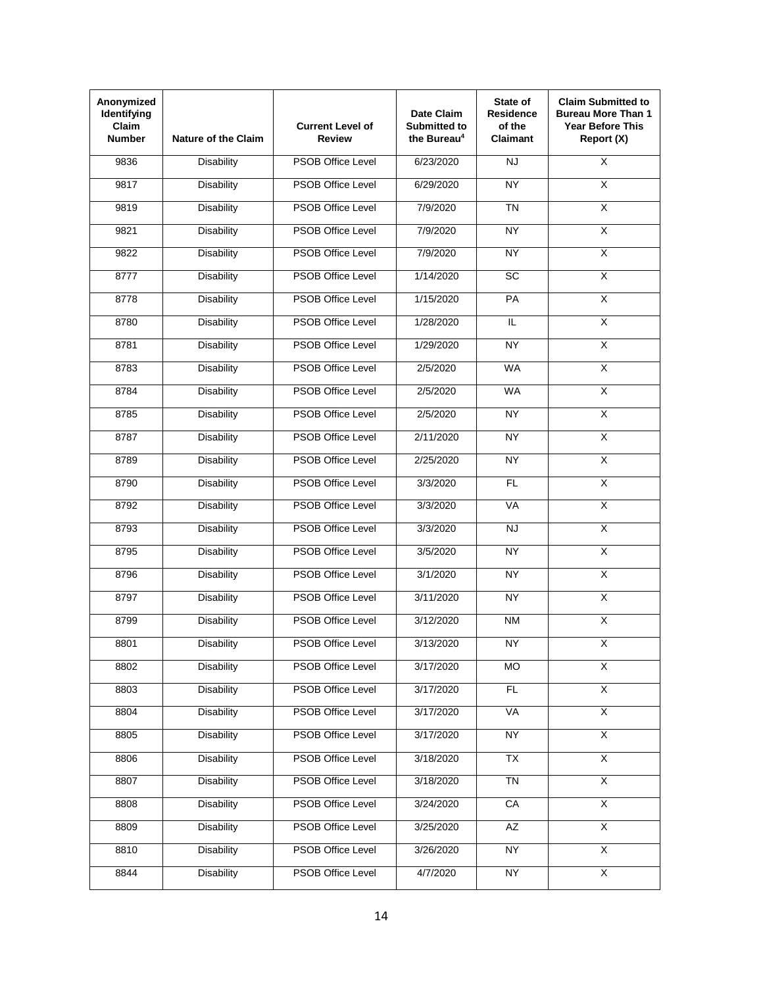| Anonymized<br>Identifying<br><b>Claim</b><br><b>Number</b> | <b>Nature of the Claim</b> | <b>Current Level of</b><br><b>Review</b> | Date Claim<br><b>Submitted to</b><br>the Bureau <sup>4</sup> | State of<br><b>Residence</b><br>of the<br><b>Claimant</b> | <b>Claim Submitted to</b><br><b>Bureau More Than 1</b><br><b>Year Before This</b><br>Report (X) |
|------------------------------------------------------------|----------------------------|------------------------------------------|--------------------------------------------------------------|-----------------------------------------------------------|-------------------------------------------------------------------------------------------------|
| 9836                                                       | <b>Disability</b>          | <b>PSOB Office Level</b>                 | 6/23/2020                                                    | <b>NJ</b>                                                 | $\overline{\mathsf{x}}$                                                                         |
| 9817                                                       | <b>Disability</b>          | <b>PSOB Office Level</b>                 | 6/29/2020                                                    | <b>NY</b>                                                 | X                                                                                               |
| 9819                                                       | <b>Disability</b>          | <b>PSOB Office Level</b>                 | 7/9/2020                                                     | <b>TN</b>                                                 | $\overline{\mathsf{x}}$                                                                         |
| 9821                                                       | <b>Disability</b>          | <b>PSOB Office Level</b>                 | 7/9/2020                                                     | <b>NY</b>                                                 | X                                                                                               |
| 9822                                                       | <b>Disability</b>          | <b>PSOB Office Level</b>                 | 7/9/2020                                                     | $\overline{NY}$                                           | $\overline{\mathsf{x}}$                                                                         |
| 8777                                                       | <b>Disability</b>          | <b>PSOB Office Level</b>                 | 1/14/2020                                                    | <b>SC</b>                                                 | $\overline{\mathsf{x}}$                                                                         |
| 8778                                                       | <b>Disability</b>          | <b>PSOB Office Level</b>                 | 1/15/2020                                                    | PA                                                        | $\overline{\mathsf{x}}$                                                                         |
| 8780                                                       | <b>Disability</b>          | <b>PSOB Office Level</b>                 | 1/28/2020                                                    | IL.                                                       | $\overline{\mathsf{x}}$                                                                         |
| 8781                                                       | <b>Disability</b>          | <b>PSOB Office Level</b>                 | 1/29/2020                                                    | NY                                                        | $\overline{\mathsf{X}}$                                                                         |
| 8783                                                       | <b>Disability</b>          | <b>PSOB Office Level</b>                 | 2/5/2020                                                     | <b>WA</b>                                                 | $\overline{\mathsf{x}}$                                                                         |
| 8784                                                       | <b>Disability</b>          | <b>PSOB Office Level</b>                 | 2/5/2020                                                     | <b>WA</b>                                                 | $\overline{\mathsf{x}}$                                                                         |
| 8785                                                       | <b>Disability</b>          | <b>PSOB Office Level</b>                 | 2/5/2020                                                     | <b>NY</b>                                                 | $\overline{\mathsf{x}}$                                                                         |
| 8787                                                       | <b>Disability</b>          | <b>PSOB Office Level</b>                 | 2/11/2020                                                    | <b>NY</b>                                                 | $\overline{\mathsf{x}}$                                                                         |
| 8789                                                       | <b>Disability</b>          | <b>PSOB Office Level</b>                 | 2/25/2020                                                    | <b>NY</b>                                                 | $\overline{\mathsf{x}}$                                                                         |
| 8790                                                       | <b>Disability</b>          | <b>PSOB Office Level</b>                 | 3/3/2020                                                     | <b>FL</b>                                                 | $\overline{\mathsf{x}}$                                                                         |
| 8792                                                       | <b>Disability</b>          | <b>PSOB Office Level</b>                 | 3/3/2020                                                     | VA                                                        | $\overline{\mathsf{x}}$                                                                         |
| 8793                                                       | <b>Disability</b>          | <b>PSOB Office Level</b>                 | 3/3/2020                                                     | <b>NJ</b>                                                 | $\overline{\mathsf{x}}$                                                                         |
| 8795                                                       | <b>Disability</b>          | <b>PSOB Office Level</b>                 | 3/5/2020                                                     | NY                                                        | $\overline{\mathsf{x}}$                                                                         |
| 8796                                                       | <b>Disability</b>          | <b>PSOB Office Level</b>                 | 3/1/2020                                                     | NY.                                                       | X                                                                                               |
| 8797                                                       | <b>Disability</b>          | <b>PSOB Office Level</b>                 | 3/11/2020                                                    | <b>NY</b>                                                 | $\overline{\mathsf{x}}$                                                                         |
| 8799                                                       | <b>Disability</b>          | <b>PSOB Office Level</b>                 | 3/12/2020                                                    | <b>NM</b>                                                 | $\overline{\mathsf{x}}$                                                                         |
| 8801                                                       | Disability                 | PSOB Office Level                        | 3/13/2020                                                    | NY                                                        | X                                                                                               |
| 8802                                                       | <b>Disability</b>          | PSOB Office Level                        | 3/17/2020                                                    | <b>MO</b>                                                 | $\overline{X}$                                                                                  |
| 8803                                                       | <b>Disability</b>          | <b>PSOB Office Level</b>                 | 3/17/2020                                                    | FL                                                        | $\overline{X}$                                                                                  |
| 8804                                                       | <b>Disability</b>          | <b>PSOB Office Level</b>                 | 3/17/2020                                                    | VA                                                        | $\overline{\mathsf{x}}$                                                                         |
| 8805                                                       | <b>Disability</b>          | PSOB Office Level                        | 3/17/2020                                                    | <b>NY</b>                                                 | $\overline{X}$                                                                                  |
| 8806                                                       | <b>Disability</b>          | PSOB Office Level                        | 3/18/2020                                                    | <b>TX</b>                                                 | $\overline{X}$                                                                                  |
| 8807                                                       | <b>Disability</b>          | PSOB Office Level                        | 3/18/2020                                                    | <b>TN</b>                                                 | $\overline{X}$                                                                                  |
| 8808                                                       | <b>Disability</b>          | PSOB Office Level                        | 3/24/2020                                                    | CA                                                        | $\overline{\mathsf{x}}$                                                                         |
| 8809                                                       | <b>Disability</b>          | PSOB Office Level                        | 3/25/2020                                                    | AZ                                                        | $\overline{X}$                                                                                  |
| 8810                                                       | <b>Disability</b>          | PSOB Office Level                        | 3/26/2020                                                    | <b>NY</b>                                                 | X                                                                                               |
| 8844                                                       | <b>Disability</b>          | PSOB Office Level                        | 4/7/2020                                                     | <b>NY</b>                                                 | $\overline{\mathsf{x}}$                                                                         |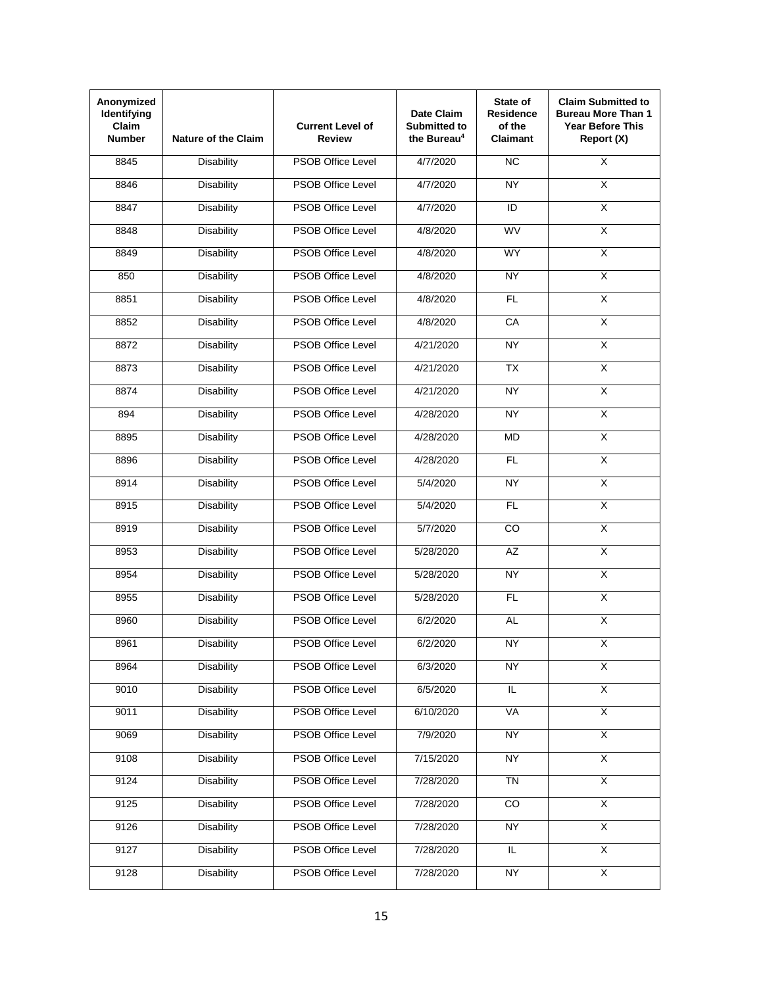| Anonymized<br>Identifying<br><b>Claim</b><br><b>Number</b> | <b>Nature of the Claim</b> | <b>Current Level of</b><br><b>Review</b> | Date Claim<br><b>Submitted to</b><br>the Bureau <sup>4</sup> | State of<br><b>Residence</b><br>of the<br><b>Claimant</b> | <b>Claim Submitted to</b><br><b>Bureau More Than 1</b><br><b>Year Before This</b><br>Report (X) |
|------------------------------------------------------------|----------------------------|------------------------------------------|--------------------------------------------------------------|-----------------------------------------------------------|-------------------------------------------------------------------------------------------------|
| 8845                                                       | <b>Disability</b>          | <b>PSOB Office Level</b>                 | 4/7/2020                                                     | $\overline{NC}$                                           | $\overline{\mathsf{x}}$                                                                         |
| 8846                                                       | <b>Disability</b>          | <b>PSOB Office Level</b>                 | 4/7/2020                                                     | <b>NY</b>                                                 | X                                                                                               |
| 8847                                                       | <b>Disability</b>          | <b>PSOB Office Level</b>                 | 4/7/2020                                                     | ID                                                        | $\overline{\mathsf{x}}$                                                                         |
| 8848                                                       | <b>Disability</b>          | <b>PSOB Office Level</b>                 | 4/8/2020                                                     | <b>WV</b>                                                 | X                                                                                               |
| 8849                                                       | <b>Disability</b>          | <b>PSOB Office Level</b>                 | 4/8/2020                                                     | <b>WY</b>                                                 | $\overline{\mathsf{x}}$                                                                         |
| 850                                                        | <b>Disability</b>          | <b>PSOB Office Level</b>                 | 4/8/2020                                                     | <b>NY</b>                                                 | $\overline{\mathsf{x}}$                                                                         |
| 8851                                                       | <b>Disability</b>          | <b>PSOB Office Level</b>                 | 4/8/2020                                                     | FL                                                        | $\overline{\mathsf{x}}$                                                                         |
| 8852                                                       | <b>Disability</b>          | <b>PSOB Office Level</b>                 | 4/8/2020                                                     | CA                                                        | $\overline{\mathsf{x}}$                                                                         |
| 8872                                                       | <b>Disability</b>          | <b>PSOB Office Level</b>                 | 4/21/2020                                                    | <b>NY</b>                                                 | $\overline{\mathsf{X}}$                                                                         |
| 8873                                                       | <b>Disability</b>          | <b>PSOB Office Level</b>                 | 4/21/2020                                                    | $\overline{TX}$                                           | $\overline{\mathsf{x}}$                                                                         |
| 8874                                                       | <b>Disability</b>          | <b>PSOB Office Level</b>                 | 4/21/2020                                                    | <b>NY</b>                                                 | $\overline{\mathsf{x}}$                                                                         |
| 894                                                        | <b>Disability</b>          | <b>PSOB Office Level</b>                 | 4/28/2020                                                    | <b>NY</b>                                                 | $\overline{\mathsf{x}}$                                                                         |
| 8895                                                       | <b>Disability</b>          | <b>PSOB Office Level</b>                 | 4/28/2020                                                    | <b>MD</b>                                                 | $\overline{\mathsf{x}}$                                                                         |
| 8896                                                       | <b>Disability</b>          | <b>PSOB Office Level</b>                 | 4/28/2020                                                    | FL                                                        | $\overline{\mathsf{x}}$                                                                         |
| 8914                                                       | <b>Disability</b>          | <b>PSOB Office Level</b>                 | 5/4/2020                                                     | <b>NY</b>                                                 | $\overline{\mathsf{x}}$                                                                         |
| 8915                                                       | <b>Disability</b>          | <b>PSOB Office Level</b>                 | 5/4/2020                                                     | <b>FL</b>                                                 | $\overline{\mathsf{x}}$                                                                         |
| 8919                                                       | <b>Disability</b>          | <b>PSOB Office Level</b>                 | 5/7/2020                                                     | <b>CO</b>                                                 | $\overline{\mathsf{x}}$                                                                         |
| 8953                                                       | <b>Disability</b>          | <b>PSOB Office Level</b>                 | 5/28/2020                                                    | $\overline{AZ}$                                           | $\overline{\mathsf{x}}$                                                                         |
| 8954                                                       | <b>Disability</b>          | <b>PSOB Office Level</b>                 | 5/28/2020                                                    | <b>NY</b>                                                 | X                                                                                               |
| 8955                                                       | <b>Disability</b>          | <b>PSOB Office Level</b>                 | 5/28/2020                                                    | <b>FL</b>                                                 | $\overline{\mathsf{x}}$                                                                         |
| 8960                                                       | <b>Disability</b>          | <b>PSOB Office Level</b>                 | 6/2/2020                                                     | <b>AL</b>                                                 | $\overline{\mathsf{x}}$                                                                         |
| 8961                                                       | Disability                 | PSOB Office Level                        | 6/2/2020                                                     | <b>NY</b>                                                 | X                                                                                               |
| 8964                                                       | <b>Disability</b>          | PSOB Office Level                        | 6/3/2020                                                     | <b>NY</b>                                                 | $\overline{X}$                                                                                  |
| 9010                                                       | <b>Disability</b>          | <b>PSOB Office Level</b>                 | 6/5/2020                                                     | $\overline{\mathsf{L}}$                                   | $\overline{X}$                                                                                  |
| 9011                                                       | <b>Disability</b>          | <b>PSOB Office Level</b>                 | 6/10/2020                                                    | VA                                                        | $\overline{\mathsf{x}}$                                                                         |
| 9069                                                       | <b>Disability</b>          | PSOB Office Level                        | 7/9/2020                                                     | <b>NY</b>                                                 | $\overline{X}$                                                                                  |
| 9108                                                       | <b>Disability</b>          | PSOB Office Level                        | 7/15/2020                                                    | <b>NY</b>                                                 | $\overline{X}$                                                                                  |
| 9124                                                       | <b>Disability</b>          | PSOB Office Level                        | 7/28/2020                                                    | <b>TN</b>                                                 | $\overline{X}$                                                                                  |
| 9125                                                       | <b>Disability</b>          | PSOB Office Level                        | 7/28/2020                                                    | $\overline{co}$                                           | $\overline{X}$                                                                                  |
| 9126                                                       | <b>Disability</b>          | PSOB Office Level                        | 7/28/2020                                                    | <b>NY</b>                                                 | $\overline{X}$                                                                                  |
| 9127                                                       | <b>Disability</b>          | PSOB Office Level                        | 7/28/2020                                                    | IL                                                        | $\overline{\mathsf{x}}$                                                                         |
| 9128                                                       | <b>Disability</b>          | PSOB Office Level                        | 7/28/2020                                                    | <b>NY</b>                                                 | $\overline{\mathsf{x}}$                                                                         |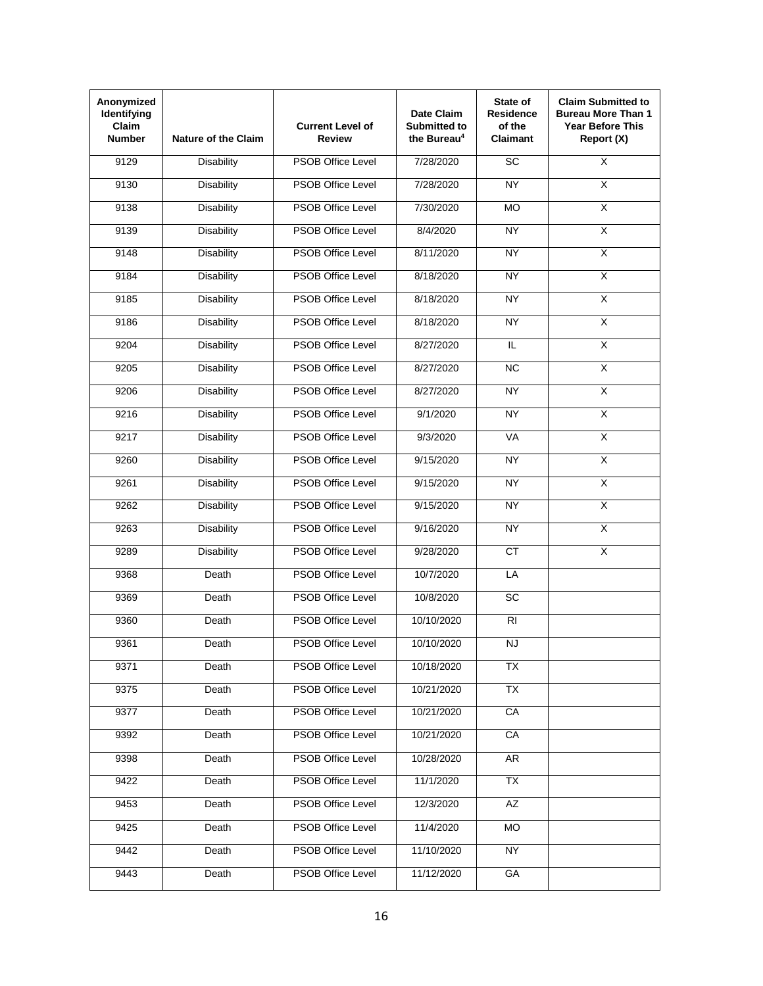| Anonymized<br>Identifying<br>Claim<br><b>Number</b> | <b>Nature of the Claim</b> | <b>Current Level of</b><br><b>Review</b> | Date Claim<br><b>Submitted to</b><br>the Bureau <sup>4</sup> | State of<br><b>Residence</b><br>of the<br><b>Claimant</b> | <b>Claim Submitted to</b><br><b>Bureau More Than 1</b><br><b>Year Before This</b><br>Report (X) |
|-----------------------------------------------------|----------------------------|------------------------------------------|--------------------------------------------------------------|-----------------------------------------------------------|-------------------------------------------------------------------------------------------------|
| 9129                                                | <b>Disability</b>          | <b>PSOB Office Level</b>                 | 7/28/2020                                                    | $\overline{SC}$                                           | $\overline{\mathsf{x}}$                                                                         |
| 9130                                                | <b>Disability</b>          | <b>PSOB Office Level</b>                 | 7/28/2020                                                    | <b>NY</b>                                                 | X                                                                                               |
| 9138                                                | <b>Disability</b>          | <b>PSOB Office Level</b>                 | 7/30/2020                                                    | <b>MO</b>                                                 | $\overline{\mathsf{x}}$                                                                         |
| 9139                                                | <b>Disability</b>          | <b>PSOB Office Level</b>                 | 8/4/2020                                                     | <b>NY</b>                                                 | $\overline{X}$                                                                                  |
| 9148                                                | <b>Disability</b>          | <b>PSOB Office Level</b>                 | 8/11/2020                                                    | NY                                                        | $\overline{\mathsf{x}}$                                                                         |
| 9184                                                | <b>Disability</b>          | <b>PSOB Office Level</b>                 | 8/18/2020                                                    | <b>NY</b>                                                 | $\overline{\mathsf{x}}$                                                                         |
| 9185                                                | <b>Disability</b>          | <b>PSOB Office Level</b>                 | 8/18/2020                                                    | <b>NY</b>                                                 | $\overline{\mathsf{x}}$                                                                         |
| 9186                                                | <b>Disability</b>          | <b>PSOB Office Level</b>                 | 8/18/2020                                                    | NY                                                        | $\overline{\mathsf{x}}$                                                                         |
| 9204                                                | <b>Disability</b>          | <b>PSOB Office Level</b>                 | 8/27/2020                                                    | IL.                                                       | $\overline{\mathsf{X}}$                                                                         |
| 9205                                                | <b>Disability</b>          | <b>PSOB Office Level</b>                 | 8/27/2020                                                    | <b>NC</b>                                                 | $\overline{\mathsf{x}}$                                                                         |
| 9206                                                | <b>Disability</b>          | PSOB Office Level                        | 8/27/2020                                                    | <b>NY</b>                                                 | $\overline{\mathsf{x}}$                                                                         |
| 9216                                                | <b>Disability</b>          | <b>PSOB Office Level</b>                 | 9/1/2020                                                     | <b>NY</b>                                                 | $\overline{\mathsf{x}}$                                                                         |
| 9217                                                | <b>Disability</b>          | <b>PSOB Office Level</b>                 | 9/3/2020                                                     | VA                                                        | $\overline{\mathsf{x}}$                                                                         |
| 9260                                                | <b>Disability</b>          | <b>PSOB Office Level</b>                 | 9/15/2020                                                    | <b>NY</b>                                                 | $\overline{\mathsf{x}}$                                                                         |
| 9261                                                | <b>Disability</b>          | <b>PSOB Office Level</b>                 | 9/15/2020                                                    | <b>NY</b>                                                 | $\overline{\mathsf{x}}$                                                                         |
| 9262                                                | <b>Disability</b>          | <b>PSOB Office Level</b>                 | 9/15/2020                                                    | <b>NY</b>                                                 | $\overline{\mathsf{X}}$                                                                         |
| 9263                                                | <b>Disability</b>          | <b>PSOB Office Level</b>                 | 9/16/2020                                                    | <b>NY</b>                                                 | X                                                                                               |
| 9289                                                | <b>Disability</b>          | <b>PSOB Office Level</b>                 | 9/28/2020                                                    | CT                                                        | $\overline{X}$                                                                                  |
| 9368                                                | Death                      | <b>PSOB Office Level</b>                 | 10/7/2020                                                    | LA                                                        |                                                                                                 |
| 9369                                                | Death                      | <b>PSOB Office Level</b>                 | 10/8/2020                                                    | <b>SC</b>                                                 |                                                                                                 |
| 9360                                                | Death                      | <b>PSOB Office Level</b>                 | 10/10/2020                                                   | R <sub>l</sub>                                            |                                                                                                 |
| 9361                                                | Death                      | <b>PSOB Office Level</b>                 | 10/10/2020                                                   | <b>NJ</b>                                                 |                                                                                                 |
| 9371                                                | Death                      | <b>PSOB Office Level</b>                 | 10/18/2020                                                   | <b>TX</b>                                                 |                                                                                                 |
| 9375                                                | Death                      | PSOB Office Level                        | 10/21/2020                                                   | $\overline{TX}$                                           |                                                                                                 |
| 9377                                                | Death                      | <b>PSOB Office Level</b>                 | 10/21/2020                                                   | CA                                                        |                                                                                                 |
| 9392                                                | Death                      | PSOB Office Level                        | 10/21/2020                                                   | CA                                                        |                                                                                                 |
| 9398                                                | Death                      | PSOB Office Level                        | 10/28/2020                                                   | AR                                                        |                                                                                                 |
| 9422                                                | Death                      | PSOB Office Level                        | 11/1/2020                                                    | <b>TX</b>                                                 |                                                                                                 |
| 9453                                                | Death                      | PSOB Office Level                        | 12/3/2020                                                    | AZ                                                        |                                                                                                 |
| 9425                                                | Death                      | <b>PSOB Office Level</b>                 | 11/4/2020                                                    | <b>MO</b>                                                 |                                                                                                 |
| 9442                                                | Death                      | PSOB Office Level                        | 11/10/2020                                                   | NY                                                        |                                                                                                 |
| 9443                                                | Death                      | PSOB Office Level                        | 11/12/2020                                                   | GA                                                        |                                                                                                 |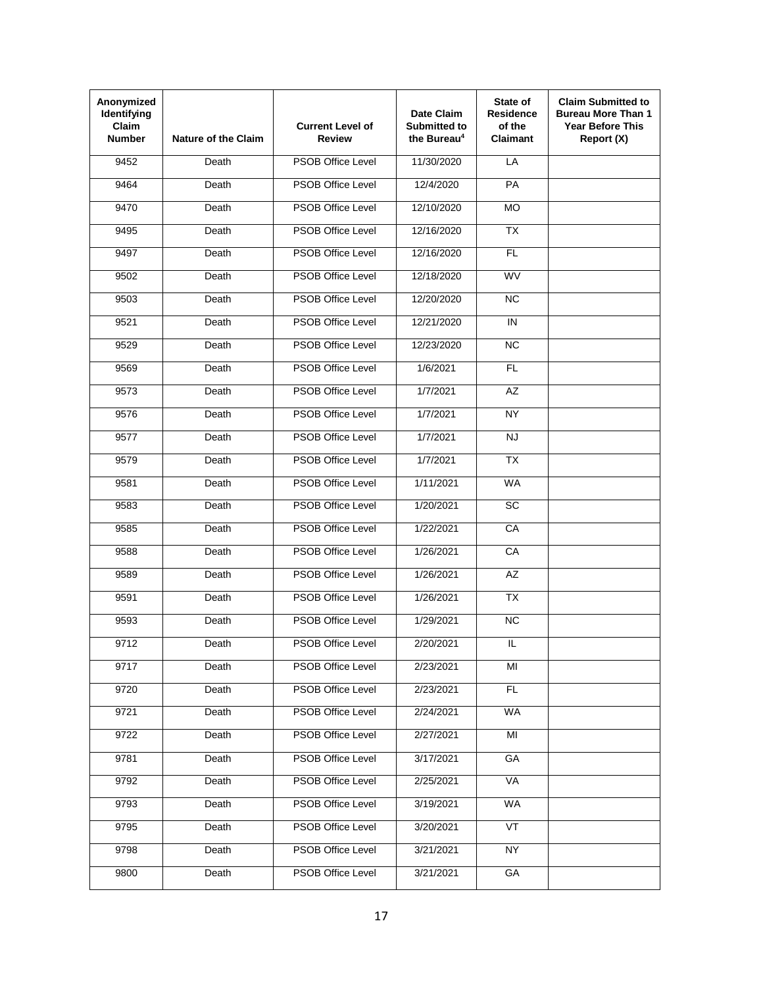| Anonymized<br>Identifying<br>Claim<br><b>Number</b> | <b>Nature of the Claim</b> | <b>Current Level of</b><br>Review | Date Claim<br><b>Submitted to</b><br>the Bureau <sup>4</sup> | State of<br><b>Residence</b><br>of the<br><b>Claimant</b> | <b>Claim Submitted to</b><br><b>Bureau More Than 1</b><br><b>Year Before This</b><br>Report (X) |
|-----------------------------------------------------|----------------------------|-----------------------------------|--------------------------------------------------------------|-----------------------------------------------------------|-------------------------------------------------------------------------------------------------|
| 9452                                                | Death                      | <b>PSOB Office Level</b>          | 11/30/2020                                                   | LA                                                        |                                                                                                 |
| 9464                                                | Death                      | <b>PSOB Office Level</b>          | 12/4/2020                                                    | <b>PA</b>                                                 |                                                                                                 |
| 9470                                                | Death                      | <b>PSOB Office Level</b>          | 12/10/2020                                                   | <b>MO</b>                                                 |                                                                                                 |
| 9495                                                | Death                      | <b>PSOB Office Level</b>          | 12/16/2020                                                   | <b>TX</b>                                                 |                                                                                                 |
| 9497                                                | Death                      | <b>PSOB Office Level</b>          | 12/16/2020                                                   | FL                                                        |                                                                                                 |
| 9502                                                | Death                      | <b>PSOB Office Level</b>          | 12/18/2020                                                   | <b>WV</b>                                                 |                                                                                                 |
| 9503                                                | Death                      | <b>PSOB Office Level</b>          | 12/20/2020                                                   | <b>NC</b>                                                 |                                                                                                 |
| 9521                                                | Death                      | <b>PSOB Office Level</b>          | 12/21/2020                                                   | IN                                                        |                                                                                                 |
| 9529                                                | Death                      | <b>PSOB Office Level</b>          | 12/23/2020                                                   | NC                                                        |                                                                                                 |
| 9569                                                | Death                      | <b>PSOB Office Level</b>          | 1/6/2021                                                     | <b>FL</b>                                                 |                                                                                                 |
| 9573                                                | Death                      | <b>PSOB Office Level</b>          | 1/7/2021                                                     | <b>AZ</b>                                                 |                                                                                                 |
| 9576                                                | Death                      | <b>PSOB Office Level</b>          | 1/7/2021                                                     | NY                                                        |                                                                                                 |
| 9577                                                | Death                      | <b>PSOB Office Level</b>          | 1/7/2021                                                     | <b>NJ</b>                                                 |                                                                                                 |
| 9579                                                | Death                      | <b>PSOB Office Level</b>          | 1/7/2021                                                     | <b>TX</b>                                                 |                                                                                                 |
| 9581                                                | Death                      | <b>PSOB Office Level</b>          | 1/11/2021                                                    | <b>WA</b>                                                 |                                                                                                 |
| 9583                                                | Death                      | <b>PSOB Office Level</b>          | 1/20/2021                                                    | <b>SC</b>                                                 |                                                                                                 |
| 9585                                                | Death                      | <b>PSOB Office Level</b>          | 1/22/2021                                                    | CA                                                        |                                                                                                 |
| 9588                                                | Death                      | <b>PSOB Office Level</b>          | 1/26/2021                                                    | CA                                                        |                                                                                                 |
| 9589                                                | Death                      | <b>PSOB Office Level</b>          | 1/26/2021                                                    | <b>AZ</b>                                                 |                                                                                                 |
| 9591                                                | Death                      | <b>PSOB Office Level</b>          | 1/26/2021                                                    | <b>TX</b>                                                 |                                                                                                 |
| 9593                                                | Death                      | <b>PSOB Office Level</b>          | 1/29/2021                                                    | <b>NC</b>                                                 |                                                                                                 |
| 9712                                                | Death                      | PSOB Office Level                 | 2/20/2021                                                    | IL                                                        |                                                                                                 |
| 9717                                                | Death                      | <b>PSOB Office Level</b>          | 2/23/2021                                                    | MI                                                        |                                                                                                 |
| 9720                                                | Death                      | PSOB Office Level                 | 2/23/2021                                                    | FL                                                        |                                                                                                 |
| 9721                                                | Death                      | <b>PSOB Office Level</b>          | 2/24/2021                                                    | <b>WA</b>                                                 |                                                                                                 |
| 9722                                                | Death                      | PSOB Office Level                 | 2/27/2021                                                    | MI                                                        |                                                                                                 |
| 9781                                                | Death                      | PSOB Office Level                 | 3/17/2021                                                    | GA                                                        |                                                                                                 |
| 9792                                                | Death                      | PSOB Office Level                 | 2/25/2021                                                    | <b>VA</b>                                                 |                                                                                                 |
| 9793                                                | Death                      | PSOB Office Level                 | 3/19/2021                                                    | <b>WA</b>                                                 |                                                                                                 |
| 9795                                                | Death                      | PSOB Office Level                 | 3/20/2021                                                    | <b>VT</b>                                                 |                                                                                                 |
| 9798                                                | Death                      | <b>PSOB Office Level</b>          | 3/21/2021                                                    | NY                                                        |                                                                                                 |
| 9800                                                | Death                      | PSOB Office Level                 | 3/21/2021                                                    | GA                                                        |                                                                                                 |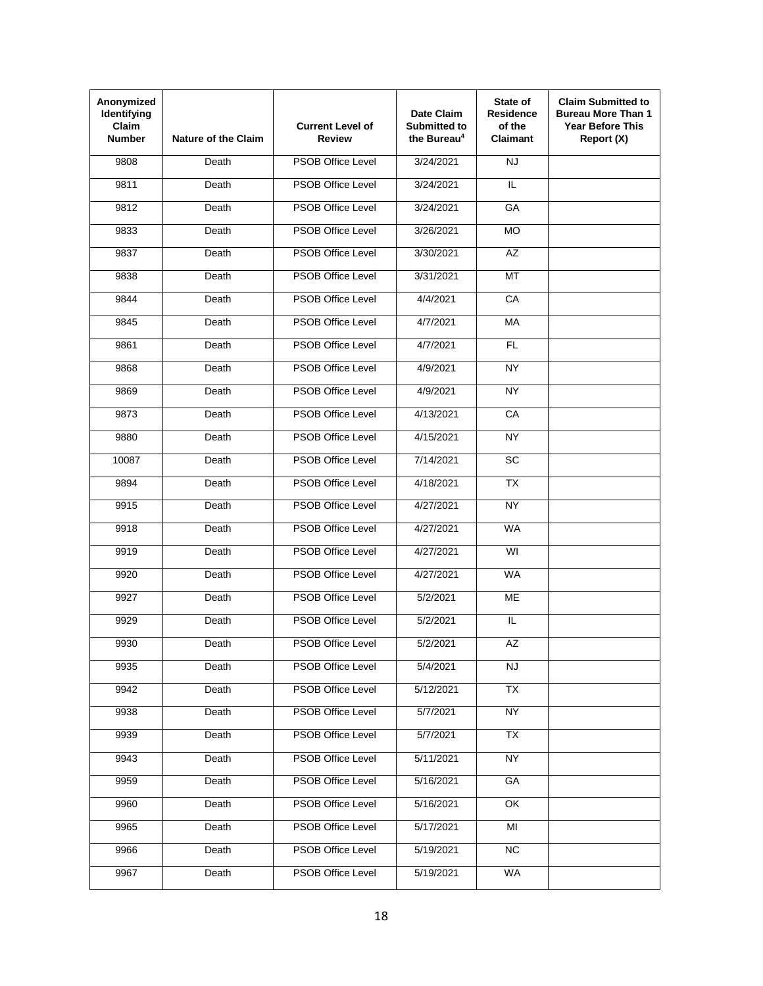| Anonymized<br>Identifying<br>Claim<br><b>Number</b> | <b>Nature of the Claim</b> | <b>Current Level of</b><br>Review | Date Claim<br><b>Submitted to</b><br>the Bureau <sup>4</sup> | State of<br><b>Residence</b><br>of the<br><b>Claimant</b> | <b>Claim Submitted to</b><br><b>Bureau More Than 1</b><br><b>Year Before This</b><br>Report (X) |
|-----------------------------------------------------|----------------------------|-----------------------------------|--------------------------------------------------------------|-----------------------------------------------------------|-------------------------------------------------------------------------------------------------|
| 9808                                                | Death                      | <b>PSOB Office Level</b>          | 3/24/2021                                                    | <b>NJ</b>                                                 |                                                                                                 |
| 9811                                                | Death                      | <b>PSOB Office Level</b>          | 3/24/2021                                                    | IL                                                        |                                                                                                 |
| 9812                                                | Death                      | <b>PSOB Office Level</b>          | 3/24/2021                                                    | GA                                                        |                                                                                                 |
| 9833                                                | Death                      | <b>PSOB Office Level</b>          | 3/26/2021                                                    | <b>MO</b>                                                 |                                                                                                 |
| 9837                                                | Death                      | <b>PSOB Office Level</b>          | 3/30/2021                                                    | $\overline{AZ}$                                           |                                                                                                 |
| 9838                                                | Death                      | <b>PSOB Office Level</b>          | 3/31/2021                                                    | <b>MT</b>                                                 |                                                                                                 |
| 9844                                                | Death                      | <b>PSOB Office Level</b>          | 4/4/2021                                                     | CA                                                        |                                                                                                 |
| 9845                                                | Death                      | <b>PSOB Office Level</b>          | 4/7/2021                                                     | <b>MA</b>                                                 |                                                                                                 |
| 9861                                                | Death                      | <b>PSOB Office Level</b>          | 4/7/2021                                                     | <b>FL</b>                                                 |                                                                                                 |
| 9868                                                | Death                      | <b>PSOB Office Level</b>          | 4/9/2021                                                     | NY                                                        |                                                                                                 |
| 9869                                                | Death                      | <b>PSOB Office Level</b>          | 4/9/2021                                                     | <b>NY</b>                                                 |                                                                                                 |
| 9873                                                | Death                      | <b>PSOB Office Level</b>          | 4/13/2021                                                    | CA                                                        |                                                                                                 |
| 9880                                                | Death                      | <b>PSOB Office Level</b>          | 4/15/2021                                                    | <b>NY</b>                                                 |                                                                                                 |
| 10087                                               | Death                      | <b>PSOB Office Level</b>          | 7/14/2021                                                    | <b>SC</b>                                                 |                                                                                                 |
| 9894                                                | Death                      | <b>PSOB Office Level</b>          | 4/18/2021                                                    | <b>TX</b>                                                 |                                                                                                 |
| 9915                                                | Death                      | <b>PSOB Office Level</b>          | 4/27/2021                                                    | <b>NY</b>                                                 |                                                                                                 |
| 9918                                                | Death                      | <b>PSOB Office Level</b>          | 4/27/2021                                                    | <b>WA</b>                                                 |                                                                                                 |
| 9919                                                | Death                      | <b>PSOB Office Level</b>          | 4/27/2021                                                    | WI                                                        |                                                                                                 |
| 9920                                                | Death                      | <b>PSOB Office Level</b>          | 4/27/2021                                                    | <b>WA</b>                                                 |                                                                                                 |
| 9927                                                | Death                      | <b>PSOB Office Level</b>          | 5/2/2021                                                     | <b>ME</b>                                                 |                                                                                                 |
| 9929                                                | Death                      | <b>PSOB Office Level</b>          | 5/2/2021                                                     | IL.                                                       |                                                                                                 |
| 9930                                                | Death                      | PSOB Office Level                 | 5/2/2021                                                     | AZ                                                        |                                                                                                 |
| 9935                                                | Death                      | <b>PSOB Office Level</b>          | 5/4/2021                                                     | <b>NJ</b>                                                 |                                                                                                 |
| 9942                                                | Death                      | PSOB Office Level                 | 5/12/2021                                                    | $\overline{TX}$                                           |                                                                                                 |
| 9938                                                | Death                      | PSOB Office Level                 | 5/7/2021                                                     | NY                                                        |                                                                                                 |
| 9939                                                | Death                      | PSOB Office Level                 | 5/7/2021                                                     | TX                                                        |                                                                                                 |
| 9943                                                | Death                      | PSOB Office Level                 | 5/11/2021                                                    | <b>NY</b>                                                 |                                                                                                 |
| 9959                                                | Death                      | PSOB Office Level                 | 5/16/2021                                                    | GA                                                        |                                                                                                 |
| 9960                                                | Death                      | PSOB Office Level                 | 5/16/2021                                                    | OK                                                        |                                                                                                 |
| 9965                                                | Death                      | PSOB Office Level                 | 5/17/2021                                                    | MI                                                        |                                                                                                 |
| 9966                                                | Death                      | <b>PSOB Office Level</b>          | 5/19/2021                                                    | <b>NC</b>                                                 |                                                                                                 |
| 9967                                                | Death                      | PSOB Office Level                 | 5/19/2021                                                    | WA                                                        |                                                                                                 |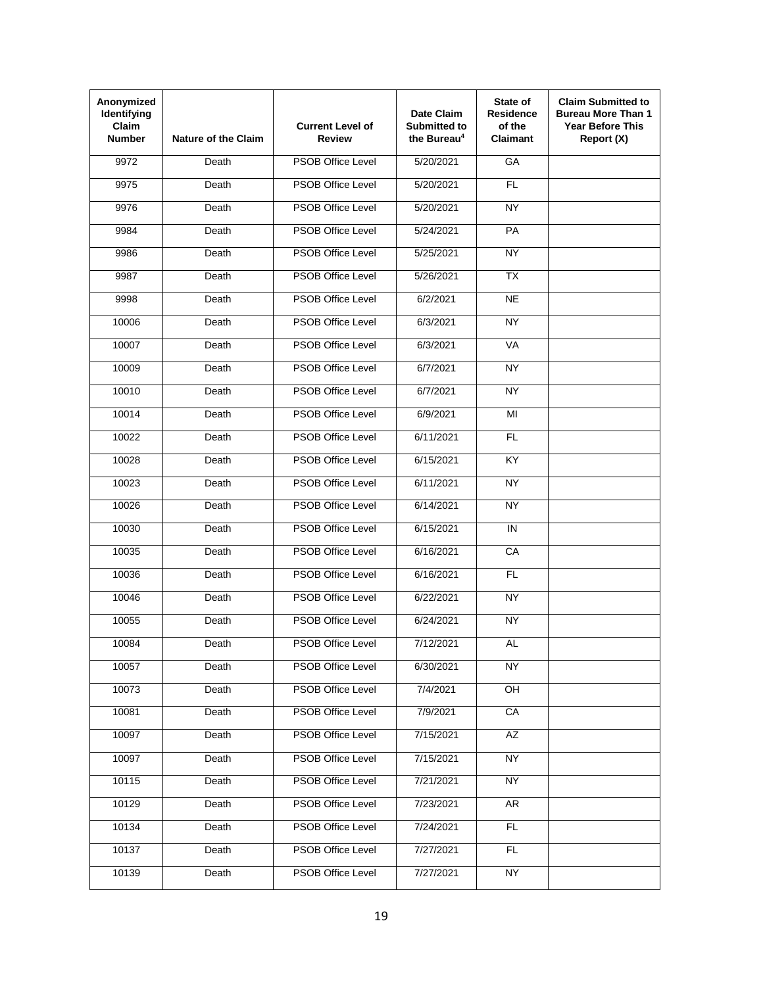| Anonymized<br>Identifying<br>Claim<br><b>Number</b> | <b>Nature of the Claim</b> | <b>Current Level of</b><br>Review | Date Claim<br><b>Submitted to</b><br>the Bureau <sup>4</sup> | State of<br><b>Residence</b><br>of the<br><b>Claimant</b> | <b>Claim Submitted to</b><br><b>Bureau More Than 1</b><br><b>Year Before This</b><br>Report (X) |
|-----------------------------------------------------|----------------------------|-----------------------------------|--------------------------------------------------------------|-----------------------------------------------------------|-------------------------------------------------------------------------------------------------|
| 9972                                                | Death                      | <b>PSOB Office Level</b>          | 5/20/2021                                                    | GA                                                        |                                                                                                 |
| 9975                                                | Death                      | <b>PSOB Office Level</b>          | 5/20/2021                                                    | <b>FL</b>                                                 |                                                                                                 |
| 9976                                                | Death                      | <b>PSOB Office Level</b>          | 5/20/2021                                                    | <b>NY</b>                                                 |                                                                                                 |
| 9984                                                | Death                      | <b>PSOB Office Level</b>          | 5/24/2021                                                    | <b>PA</b>                                                 |                                                                                                 |
| 9986                                                | Death                      | <b>PSOB Office Level</b>          | 5/25/2021                                                    | NY                                                        |                                                                                                 |
| 9987                                                | Death                      | <b>PSOB Office Level</b>          | 5/26/2021                                                    | <b>TX</b>                                                 |                                                                                                 |
| 9998                                                | Death                      | <b>PSOB Office Level</b>          | 6/2/2021                                                     | <b>NE</b>                                                 |                                                                                                 |
| 10006                                               | Death                      | <b>PSOB Office Level</b>          | 6/3/2021                                                     | <b>NY</b>                                                 |                                                                                                 |
| 10007                                               | Death                      | <b>PSOB Office Level</b>          | 6/3/2021                                                     | VA                                                        |                                                                                                 |
| 10009                                               | Death                      | <b>PSOB Office Level</b>          | 6/7/2021                                                     | NY                                                        |                                                                                                 |
| 10010                                               | Death                      | <b>PSOB Office Level</b>          | 6/7/2021                                                     | <b>NY</b>                                                 |                                                                                                 |
| 10014                                               | Death                      | <b>PSOB Office Level</b>          | 6/9/2021                                                     | MI                                                        |                                                                                                 |
| 10022                                               | Death                      | <b>PSOB Office Level</b>          | 6/11/2021                                                    | <b>FL</b>                                                 |                                                                                                 |
| 10028                                               | Death                      | <b>PSOB Office Level</b>          | 6/15/2021                                                    | <b>KY</b>                                                 |                                                                                                 |
| 10023                                               | Death                      | <b>PSOB Office Level</b>          | 6/11/2021                                                    | <b>NY</b>                                                 |                                                                                                 |
| 10026                                               | Death                      | <b>PSOB Office Level</b>          | 6/14/2021                                                    | <b>NY</b>                                                 |                                                                                                 |
| 10030                                               | Death                      | <b>PSOB Office Level</b>          | 6/15/2021                                                    | IN                                                        |                                                                                                 |
| 10035                                               | Death                      | <b>PSOB Office Level</b>          | 6/16/2021                                                    | CA                                                        |                                                                                                 |
| 10036                                               | Death                      | <b>PSOB Office Level</b>          | 6/16/2021                                                    | <b>FL</b>                                                 |                                                                                                 |
| 10046                                               | Death                      | <b>PSOB Office Level</b>          | 6/22/2021                                                    | <b>NY</b>                                                 |                                                                                                 |
| 10055                                               | Death                      | <b>PSOB Office Level</b>          | 6/24/2021                                                    | <b>NY</b>                                                 |                                                                                                 |
| 10084                                               | Death                      | PSOB Office Level                 | 7/12/2021                                                    | <b>AL</b>                                                 |                                                                                                 |
| 10057                                               | Death                      | <b>PSOB Office Level</b>          | 6/30/2021                                                    | <b>NY</b>                                                 |                                                                                                 |
| 10073                                               | Death                      | PSOB Office Level                 | 7/4/2021                                                     | $rac{}{QH}$                                               |                                                                                                 |
| 10081                                               | Death                      | PSOB Office Level                 | 7/9/2021                                                     | CA                                                        |                                                                                                 |
| 10097                                               | Death                      | PSOB Office Level                 | 7/15/2021                                                    | AZ                                                        |                                                                                                 |
| 10097                                               | Death                      | PSOB Office Level                 | 7/15/2021                                                    | <b>NY</b>                                                 |                                                                                                 |
| 10115                                               | Death                      | PSOB Office Level                 | 7/21/2021                                                    | <b>NY</b>                                                 |                                                                                                 |
| 10129                                               | Death                      | PSOB Office Level                 | 7/23/2021                                                    | AR                                                        |                                                                                                 |
| 10134                                               | Death                      | PSOB Office Level                 | 7/24/2021                                                    | FL.                                                       |                                                                                                 |
| 10137                                               | Death                      | PSOB Office Level                 | 7/27/2021                                                    | FL.                                                       |                                                                                                 |
| 10139                                               | Death                      | PSOB Office Level                 | 7/27/2021                                                    | NY                                                        |                                                                                                 |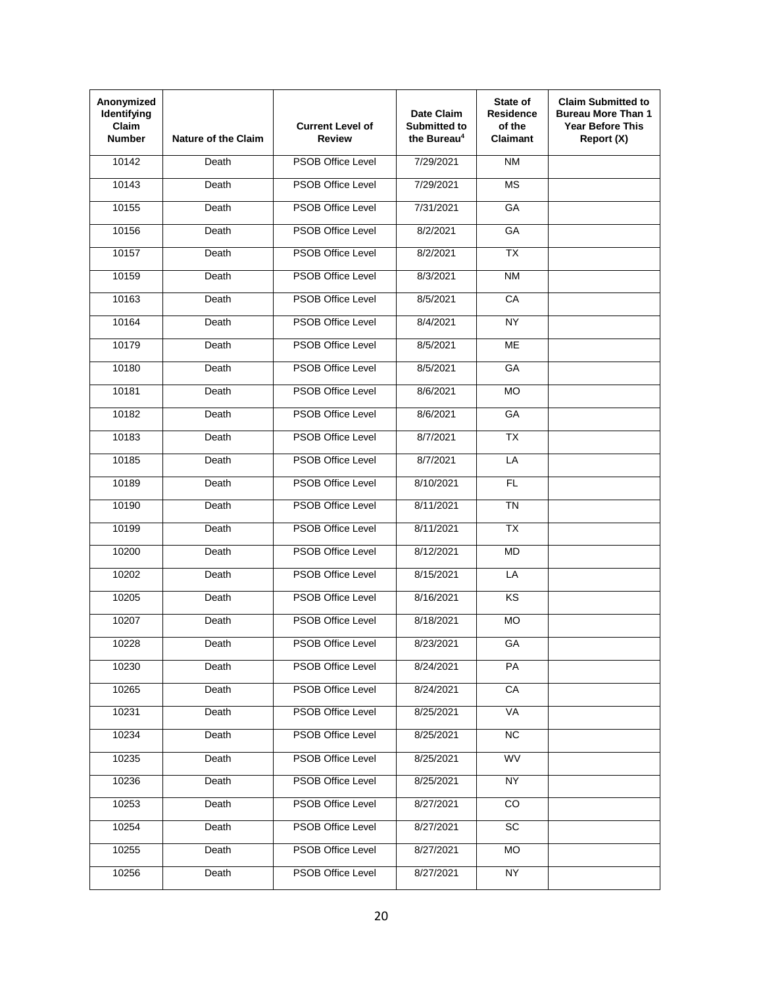| Anonymized<br>Identifying<br>Claim<br><b>Number</b> | <b>Nature of the Claim</b> | <b>Current Level of</b><br>Review | Date Claim<br><b>Submitted to</b><br>the Bureau <sup>4</sup> | State of<br><b>Residence</b><br>of the<br><b>Claimant</b> | <b>Claim Submitted to</b><br><b>Bureau More Than 1</b><br><b>Year Before This</b><br>Report (X) |
|-----------------------------------------------------|----------------------------|-----------------------------------|--------------------------------------------------------------|-----------------------------------------------------------|-------------------------------------------------------------------------------------------------|
| 10142                                               | Death                      | <b>PSOB Office Level</b>          | 7/29/2021                                                    | <b>NM</b>                                                 |                                                                                                 |
| 10143                                               | Death                      | <b>PSOB Office Level</b>          | 7/29/2021                                                    | <b>MS</b>                                                 |                                                                                                 |
| 10155                                               | Death                      | <b>PSOB Office Level</b>          | 7/31/2021                                                    | GA                                                        |                                                                                                 |
| 10156                                               | Death                      | <b>PSOB Office Level</b>          | 8/2/2021                                                     | <b>GA</b>                                                 |                                                                                                 |
| 10157                                               | Death                      | <b>PSOB Office Level</b>          | 8/2/2021                                                     | $\overline{TX}$                                           |                                                                                                 |
| 10159                                               | Death                      | <b>PSOB Office Level</b>          | 8/3/2021                                                     | <b>NM</b>                                                 |                                                                                                 |
| 10163                                               | Death                      | <b>PSOB Office Level</b>          | 8/5/2021                                                     | CA                                                        |                                                                                                 |
| 10164                                               | Death                      | <b>PSOB Office Level</b>          | 8/4/2021                                                     | NY                                                        |                                                                                                 |
| 10179                                               | Death                      | <b>PSOB Office Level</b>          | 8/5/2021                                                     | <b>ME</b>                                                 |                                                                                                 |
| 10180                                               | Death                      | <b>PSOB Office Level</b>          | 8/5/2021                                                     | GA                                                        |                                                                                                 |
| 10181                                               | Death                      | <b>PSOB Office Level</b>          | 8/6/2021                                                     | <b>MO</b>                                                 |                                                                                                 |
| 10182                                               | Death                      | <b>PSOB Office Level</b>          | 8/6/2021                                                     | GA                                                        |                                                                                                 |
| 10183                                               | Death                      | <b>PSOB Office Level</b>          | 8/7/2021                                                     | <b>TX</b>                                                 |                                                                                                 |
| 10185                                               | Death                      | <b>PSOB Office Level</b>          | 8/7/2021                                                     | LA                                                        |                                                                                                 |
| 10189                                               | Death                      | <b>PSOB Office Level</b>          | 8/10/2021                                                    | <b>FL</b>                                                 |                                                                                                 |
| 10190                                               | Death                      | <b>PSOB Office Level</b>          | 8/11/2021                                                    | <b>TN</b>                                                 |                                                                                                 |
| 10199                                               | Death                      | <b>PSOB Office Level</b>          | 8/11/2021                                                    | <b>TX</b>                                                 |                                                                                                 |
| 10200                                               | Death                      | <b>PSOB Office Level</b>          | 8/12/2021                                                    | MD                                                        |                                                                                                 |
| 10202                                               | Death                      | <b>PSOB Office Level</b>          | 8/15/2021                                                    | LA                                                        |                                                                                                 |
| 10205                                               | Death                      | <b>PSOB Office Level</b>          | 8/16/2021                                                    | <b>KS</b>                                                 |                                                                                                 |
| 10207                                               | Death                      | <b>PSOB Office Level</b>          | 8/18/2021                                                    | <b>MO</b>                                                 |                                                                                                 |
| 10228                                               | Death                      | <b>PSOB Office Level</b>          | 8/23/2021                                                    | GA                                                        |                                                                                                 |
| 10230                                               | Death                      | <b>PSOB Office Level</b>          | 8/24/2021                                                    | PA                                                        |                                                                                                 |
| 10265                                               | Death                      | PSOB Office Level                 | 8/24/2021                                                    | CA                                                        |                                                                                                 |
| 10231                                               | Death                      | PSOB Office Level                 | 8/25/2021                                                    | VA                                                        |                                                                                                 |
| 10234                                               | Death                      | PSOB Office Level                 | 8/25/2021                                                    | NC                                                        |                                                                                                 |
| 10235                                               | Death                      | PSOB Office Level                 | 8/25/2021                                                    | <b>WV</b>                                                 |                                                                                                 |
| 10236                                               | Death                      | PSOB Office Level                 | 8/25/2021                                                    | <b>NY</b>                                                 |                                                                                                 |
| 10253                                               | Death                      | PSOB Office Level                 | 8/27/2021                                                    | CO                                                        |                                                                                                 |
| 10254                                               | Death                      | PSOB Office Level                 | 8/27/2021                                                    | <b>SC</b>                                                 |                                                                                                 |
| 10255                                               | Death                      | <b>PSOB Office Level</b>          | 8/27/2021                                                    | <b>MO</b>                                                 |                                                                                                 |
| 10256                                               | Death                      | PSOB Office Level                 | 8/27/2021                                                    | NY                                                        |                                                                                                 |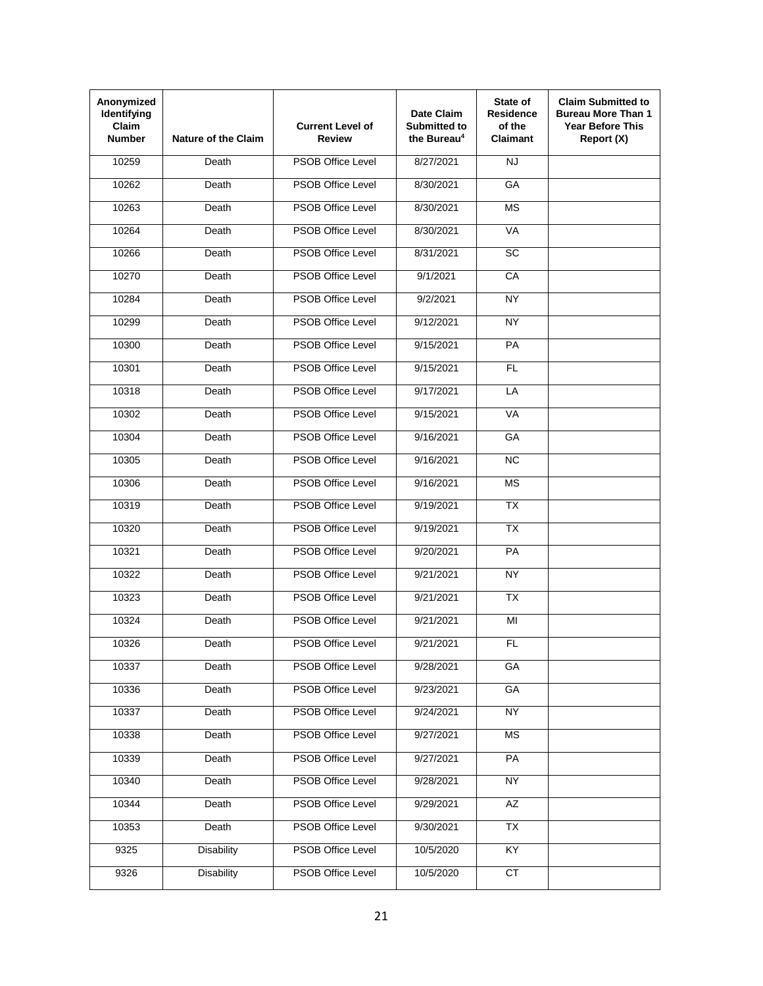| Anonymized<br>Identifying<br>Claim<br><b>Number</b> | <b>Nature of the Claim</b> | <b>Current Level of</b><br>Review | Date Claim<br><b>Submitted to</b><br>the Bureau <sup>4</sup> | State of<br><b>Residence</b><br>of the<br><b>Claimant</b> | <b>Claim Submitted to</b><br><b>Bureau More Than 1</b><br><b>Year Before This</b><br>Report (X) |
|-----------------------------------------------------|----------------------------|-----------------------------------|--------------------------------------------------------------|-----------------------------------------------------------|-------------------------------------------------------------------------------------------------|
| 10259                                               | Death                      | <b>PSOB Office Level</b>          | 8/27/2021                                                    | <b>NJ</b>                                                 |                                                                                                 |
| 10262                                               | Death                      | <b>PSOB Office Level</b>          | 8/30/2021                                                    | GA                                                        |                                                                                                 |
| 10263                                               | Death                      | <b>PSOB Office Level</b>          | 8/30/2021                                                    | <b>MS</b>                                                 |                                                                                                 |
| 10264                                               | Death                      | <b>PSOB Office Level</b>          | 8/30/2021                                                    | VA                                                        |                                                                                                 |
| 10266                                               | Death                      | <b>PSOB Office Level</b>          | 8/31/2021                                                    | $\overline{SC}$                                           |                                                                                                 |
| 10270                                               | Death                      | <b>PSOB Office Level</b>          | 9/1/2021                                                     | CA                                                        |                                                                                                 |
| 10284                                               | Death                      | <b>PSOB Office Level</b>          | 9/2/2021                                                     | <b>NY</b>                                                 |                                                                                                 |
| 10299                                               | Death                      | <b>PSOB Office Level</b>          | 9/12/2021                                                    | NY                                                        |                                                                                                 |
| 10300                                               | Death                      | <b>PSOB Office Level</b>          | 9/15/2021                                                    | PA                                                        |                                                                                                 |
| 10301                                               | Death                      | <b>PSOB Office Level</b>          | 9/15/2021                                                    | <b>FL</b>                                                 |                                                                                                 |
| 10318                                               | Death                      | <b>PSOB Office Level</b>          | 9/17/2021                                                    | LA                                                        |                                                                                                 |
| 10302                                               | Death                      | <b>PSOB Office Level</b>          | 9/15/2021                                                    | VA                                                        |                                                                                                 |
| 10304                                               | Death                      | <b>PSOB Office Level</b>          | 9/16/2021                                                    | GA                                                        |                                                                                                 |
| 10305                                               | Death                      | <b>PSOB Office Level</b>          | 9/16/2021                                                    | <b>NC</b>                                                 |                                                                                                 |
| 10306                                               | Death                      | <b>PSOB Office Level</b>          | 9/16/2021                                                    | <b>MS</b>                                                 |                                                                                                 |
| 10319                                               | Death                      | <b>PSOB Office Level</b>          | 9/19/2021                                                    | <b>TX</b>                                                 |                                                                                                 |
| 10320                                               | Death                      | <b>PSOB Office Level</b>          | 9/19/2021                                                    | <b>TX</b>                                                 |                                                                                                 |
| 10321                                               | Death                      | <b>PSOB Office Level</b>          | 9/20/2021                                                    | PA                                                        |                                                                                                 |
| 10322                                               | Death                      | <b>PSOB Office Level</b>          | 9/21/2021                                                    | NY.                                                       |                                                                                                 |
| 10323                                               | Death                      | <b>PSOB Office Level</b>          | 9/21/2021                                                    | <b>TX</b>                                                 |                                                                                                 |
| 10324                                               | Death                      | <b>PSOB Office Level</b>          | 9/21/2021                                                    | MI                                                        |                                                                                                 |
| 10326                                               | Death                      | PSOB Office Level                 | 9/21/2021                                                    | FL                                                        |                                                                                                 |
| 10337                                               | Death                      | PSOB Office Level                 | 9/28/2021                                                    | GA                                                        |                                                                                                 |
| 10336                                               | Death                      | <b>PSOB Office Level</b>          | 9/23/2021                                                    | GA                                                        |                                                                                                 |
| 10337                                               | Death                      | <b>PSOB Office Level</b>          | 9/24/2021                                                    | <b>NY</b>                                                 |                                                                                                 |
| 10338                                               | Death                      | <b>PSOB Office Level</b>          | 9/27/2021                                                    | <b>MS</b>                                                 |                                                                                                 |
| 10339                                               | Death                      | <b>PSOB Office Level</b>          | 9/27/2021                                                    | PA                                                        |                                                                                                 |
| 10340                                               | Death                      | PSOB Office Level                 | 9/28/2021                                                    | <b>NY</b>                                                 |                                                                                                 |
| 10344                                               | Death                      | PSOB Office Level                 | 9/29/2021                                                    | AZ                                                        |                                                                                                 |
| 10353                                               | Death                      | PSOB Office Level                 | 9/30/2021                                                    | TX                                                        |                                                                                                 |
| 9325                                                | <b>Disability</b>          | PSOB Office Level                 | 10/5/2020                                                    | $\overline{KY}$                                           |                                                                                                 |
| 9326                                                | <b>Disability</b>          | PSOB Office Level                 | 10/5/2020                                                    | CT                                                        |                                                                                                 |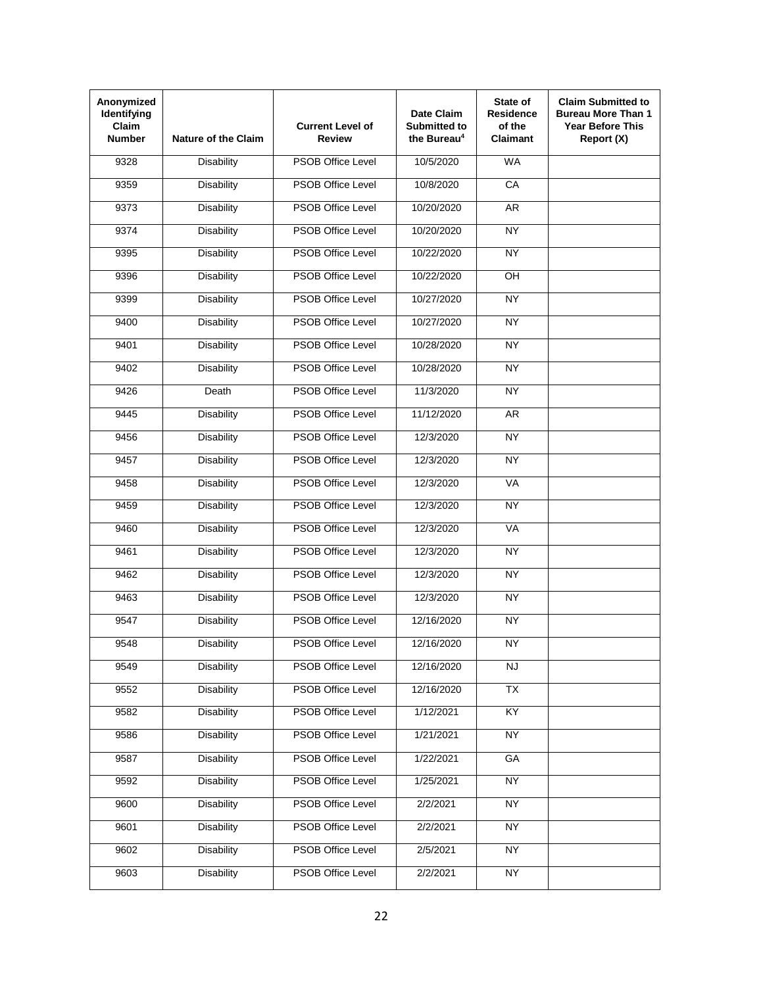| Anonymized<br>Identifying<br><b>Claim</b><br><b>Number</b> | <b>Nature of the Claim</b> | <b>Current Level of</b><br><b>Review</b> | Date Claim<br><b>Submitted to</b><br>the Bureau <sup>4</sup> | State of<br><b>Residence</b><br>of the<br><b>Claimant</b> | <b>Claim Submitted to</b><br><b>Bureau More Than 1</b><br><b>Year Before This</b><br>Report (X) |
|------------------------------------------------------------|----------------------------|------------------------------------------|--------------------------------------------------------------|-----------------------------------------------------------|-------------------------------------------------------------------------------------------------|
| 9328                                                       | <b>Disability</b>          | <b>PSOB Office Level</b>                 | 10/5/2020                                                    | <b>WA</b>                                                 |                                                                                                 |
| 9359                                                       | <b>Disability</b>          | <b>PSOB Office Level</b>                 | 10/8/2020                                                    | CA                                                        |                                                                                                 |
| 9373                                                       | <b>Disability</b>          | <b>PSOB Office Level</b>                 | 10/20/2020                                                   | <b>AR</b>                                                 |                                                                                                 |
| 9374                                                       | <b>Disability</b>          | <b>PSOB Office Level</b>                 | 10/20/2020                                                   | <b>NY</b>                                                 |                                                                                                 |
| 9395                                                       | <b>Disability</b>          | <b>PSOB Office Level</b>                 | 10/22/2020                                                   | NY                                                        |                                                                                                 |
| 9396                                                       | <b>Disability</b>          | <b>PSOB Office Level</b>                 | 10/22/2020                                                   | OH                                                        |                                                                                                 |
| 9399                                                       | <b>Disability</b>          | <b>PSOB Office Level</b>                 | 10/27/2020                                                   | <b>NY</b>                                                 |                                                                                                 |
| 9400                                                       | <b>Disability</b>          | <b>PSOB Office Level</b>                 | 10/27/2020                                                   | NY                                                        |                                                                                                 |
| 9401                                                       | <b>Disability</b>          | <b>PSOB Office Level</b>                 | 10/28/2020                                                   | <b>NY</b>                                                 |                                                                                                 |
| 9402                                                       | <b>Disability</b>          | <b>PSOB Office Level</b>                 | 10/28/2020                                                   | NY                                                        |                                                                                                 |
| 9426                                                       | Death                      | <b>PSOB Office Level</b>                 | 11/3/2020                                                    | <b>NY</b>                                                 |                                                                                                 |
| 9445                                                       | <b>Disability</b>          | <b>PSOB Office Level</b>                 | 11/12/2020                                                   | <b>AR</b>                                                 |                                                                                                 |
| 9456                                                       | <b>Disability</b>          | <b>PSOB Office Level</b>                 | 12/3/2020                                                    | <b>NY</b>                                                 |                                                                                                 |
| 9457                                                       | <b>Disability</b>          | <b>PSOB Office Level</b>                 | 12/3/2020                                                    | <b>NY</b>                                                 |                                                                                                 |
| 9458                                                       | <b>Disability</b>          | <b>PSOB Office Level</b>                 | 12/3/2020                                                    | <b>VA</b>                                                 |                                                                                                 |
| 9459                                                       | <b>Disability</b>          | <b>PSOB Office Level</b>                 | 12/3/2020                                                    | <b>NY</b>                                                 |                                                                                                 |
| 9460                                                       | <b>Disability</b>          | <b>PSOB Office Level</b>                 | 12/3/2020                                                    | <b>VA</b>                                                 |                                                                                                 |
| 9461                                                       | <b>Disability</b>          | <b>PSOB Office Level</b>                 | 12/3/2020                                                    | NY                                                        |                                                                                                 |
| 9462                                                       | <b>Disability</b>          | <b>PSOB Office Level</b>                 | 12/3/2020                                                    | <b>NY</b>                                                 |                                                                                                 |
| 9463                                                       | <b>Disability</b>          | <b>PSOB Office Level</b>                 | 12/3/2020                                                    | <b>NY</b>                                                 |                                                                                                 |
| 9547                                                       | <b>Disability</b>          | <b>PSOB Office Level</b>                 | 12/16/2020                                                   | <b>NY</b>                                                 |                                                                                                 |
| 9548                                                       | Disability                 | PSOB Office Level                        | 12/16/2020                                                   | <b>NY</b>                                                 |                                                                                                 |
| 9549                                                       | <b>Disability</b>          | PSOB Office Level                        | 12/16/2020                                                   | <b>NJ</b>                                                 |                                                                                                 |
| 9552                                                       | <b>Disability</b>          | <b>PSOB Office Level</b>                 | 12/16/2020                                                   | <b>TX</b>                                                 |                                                                                                 |
| 9582                                                       | <b>Disability</b>          | <b>PSOB Office Level</b>                 | 1/12/2021                                                    | KY                                                        |                                                                                                 |
| 9586                                                       | <b>Disability</b>          | <b>PSOB Office Level</b>                 | 1/21/2021                                                    | <b>NY</b>                                                 |                                                                                                 |
| 9587                                                       | <b>Disability</b>          | <b>PSOB Office Level</b>                 | 1/22/2021                                                    | GA                                                        |                                                                                                 |
| 9592                                                       | <b>Disability</b>          | PSOB Office Level                        | 1/25/2021                                                    | <b>NY</b>                                                 |                                                                                                 |
| 9600                                                       | <b>Disability</b>          | PSOB Office Level                        | 2/2/2021                                                     | <b>NY</b>                                                 |                                                                                                 |
| 9601                                                       | <b>Disability</b>          | PSOB Office Level                        | 2/2/2021                                                     | <b>NY</b>                                                 |                                                                                                 |
| 9602                                                       | <b>Disability</b>          | PSOB Office Level                        | 2/5/2021                                                     | <b>NY</b>                                                 |                                                                                                 |
| 9603                                                       | <b>Disability</b>          | PSOB Office Level                        | 2/2/2021                                                     | <b>NY</b>                                                 |                                                                                                 |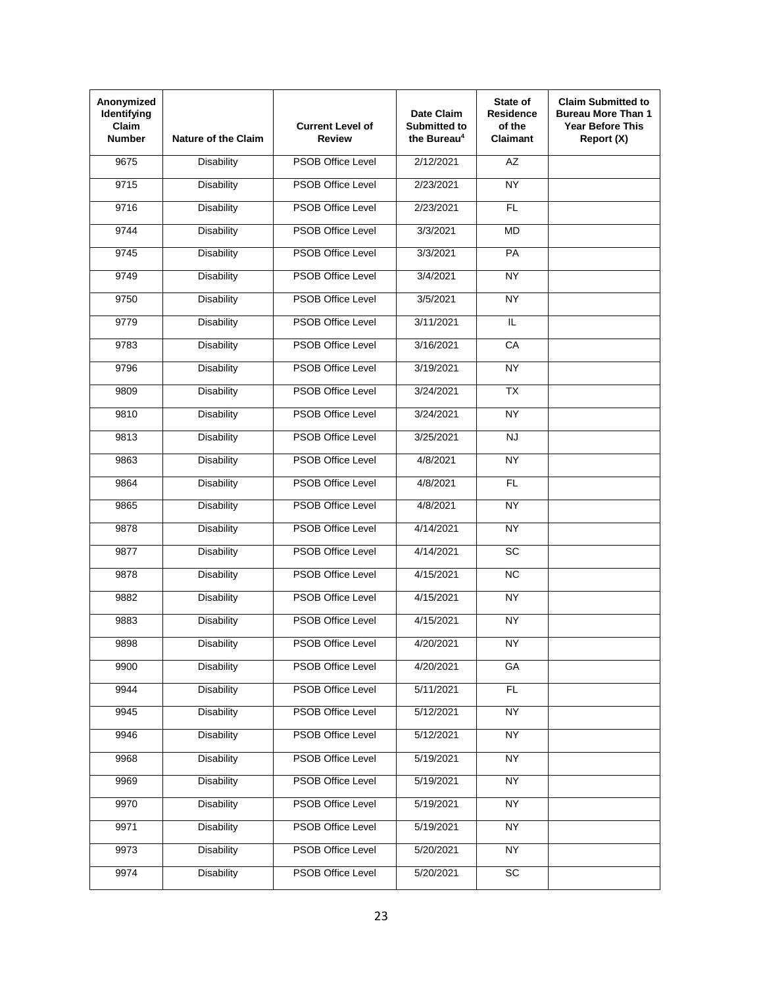| Anonymized<br>Identifying<br><b>Claim</b><br><b>Number</b> | <b>Nature of the Claim</b> | <b>Current Level of</b><br><b>Review</b> | Date Claim<br><b>Submitted to</b><br>the Bureau <sup>4</sup> | State of<br><b>Residence</b><br>of the<br><b>Claimant</b> | <b>Claim Submitted to</b><br><b>Bureau More Than 1</b><br><b>Year Before This</b><br>Report (X) |
|------------------------------------------------------------|----------------------------|------------------------------------------|--------------------------------------------------------------|-----------------------------------------------------------|-------------------------------------------------------------------------------------------------|
| 9675                                                       | <b>Disability</b>          | <b>PSOB Office Level</b>                 | 2/12/2021                                                    | <b>AZ</b>                                                 |                                                                                                 |
| 9715                                                       | <b>Disability</b>          | <b>PSOB Office Level</b>                 | 2/23/2021                                                    | <b>NY</b>                                                 |                                                                                                 |
| 9716                                                       | <b>Disability</b>          | <b>PSOB Office Level</b>                 | 2/23/2021                                                    | <b>FL</b>                                                 |                                                                                                 |
| 9744                                                       | <b>Disability</b>          | <b>PSOB Office Level</b>                 | 3/3/2021                                                     | <b>MD</b>                                                 |                                                                                                 |
| 9745                                                       | <b>Disability</b>          | <b>PSOB Office Level</b>                 | 3/3/2021                                                     | PA                                                        |                                                                                                 |
| 9749                                                       | <b>Disability</b>          | <b>PSOB Office Level</b>                 | 3/4/2021                                                     | <b>NY</b>                                                 |                                                                                                 |
| 9750                                                       | <b>Disability</b>          | <b>PSOB Office Level</b>                 | 3/5/2021                                                     | <b>NY</b>                                                 |                                                                                                 |
| 9779                                                       | <b>Disability</b>          | PSOB Office Level                        | 3/11/2021                                                    | IL.                                                       |                                                                                                 |
| 9783                                                       | <b>Disability</b>          | PSOB Office Level                        | 3/16/2021                                                    | CA                                                        |                                                                                                 |
| 9796                                                       | <b>Disability</b>          | <b>PSOB Office Level</b>                 | 3/19/2021                                                    | <b>NY</b>                                                 |                                                                                                 |
| 9809                                                       | <b>Disability</b>          | <b>PSOB Office Level</b>                 | 3/24/2021                                                    | <b>TX</b>                                                 |                                                                                                 |
| 9810                                                       | <b>Disability</b>          | <b>PSOB Office Level</b>                 | 3/24/2021                                                    | NY                                                        |                                                                                                 |
| 9813                                                       | <b>Disability</b>          | <b>PSOB Office Level</b>                 | 3/25/2021                                                    | <b>NJ</b>                                                 |                                                                                                 |
| 9863                                                       | <b>Disability</b>          | <b>PSOB Office Level</b>                 | 4/8/2021                                                     | <b>NY</b>                                                 |                                                                                                 |
| 9864                                                       | <b>Disability</b>          | <b>PSOB Office Level</b>                 | 4/8/2021                                                     | <b>FL</b>                                                 |                                                                                                 |
| 9865                                                       | <b>Disability</b>          | <b>PSOB Office Level</b>                 | 4/8/2021                                                     | <b>NY</b>                                                 |                                                                                                 |
| 9878                                                       | <b>Disability</b>          | <b>PSOB Office Level</b>                 | 4/14/2021                                                    | <b>NY</b>                                                 |                                                                                                 |
| 9877                                                       | <b>Disability</b>          | <b>PSOB Office Level</b>                 | 4/14/2021                                                    | $\overline{SC}$                                           |                                                                                                 |
| 9878                                                       | <b>Disability</b>          | <b>PSOB Office Level</b>                 | 4/15/2021                                                    | NC                                                        |                                                                                                 |
| 9882                                                       | <b>Disability</b>          | <b>PSOB Office Level</b>                 | 4/15/2021                                                    | <b>NY</b>                                                 |                                                                                                 |
| 9883                                                       | <b>Disability</b>          | <b>PSOB Office Level</b>                 | 4/15/2021                                                    | <b>NY</b>                                                 |                                                                                                 |
| 9898                                                       | Disability                 | PSOB Office Level                        | 4/20/2021                                                    | <b>NY</b>                                                 |                                                                                                 |
| 9900                                                       | <b>Disability</b>          | PSOB Office Level                        | 4/20/2021                                                    | GA                                                        |                                                                                                 |
| 9944                                                       | <b>Disability</b>          | <b>PSOB Office Level</b>                 | 5/11/2021                                                    | FL                                                        |                                                                                                 |
| 9945                                                       | <b>Disability</b>          | <b>PSOB Office Level</b>                 | 5/12/2021                                                    | <b>NY</b>                                                 |                                                                                                 |
| 9946                                                       | <b>Disability</b>          | <b>PSOB Office Level</b>                 | 5/12/2021                                                    | <b>NY</b>                                                 |                                                                                                 |
| 9968                                                       | <b>Disability</b>          | <b>PSOB Office Level</b>                 | 5/19/2021                                                    | <b>NY</b>                                                 |                                                                                                 |
| 9969                                                       | <b>Disability</b>          | PSOB Office Level                        | 5/19/2021                                                    | <b>NY</b>                                                 |                                                                                                 |
| 9970                                                       | <b>Disability</b>          | PSOB Office Level                        | 5/19/2021                                                    | <b>NY</b>                                                 |                                                                                                 |
| 9971                                                       | <b>Disability</b>          | PSOB Office Level                        | 5/19/2021                                                    | <b>NY</b>                                                 |                                                                                                 |
| 9973                                                       | <b>Disability</b>          | PSOB Office Level                        | 5/20/2021                                                    | <b>NY</b>                                                 |                                                                                                 |
| 9974                                                       | <b>Disability</b>          | PSOB Office Level                        | 5/20/2021                                                    | SC                                                        |                                                                                                 |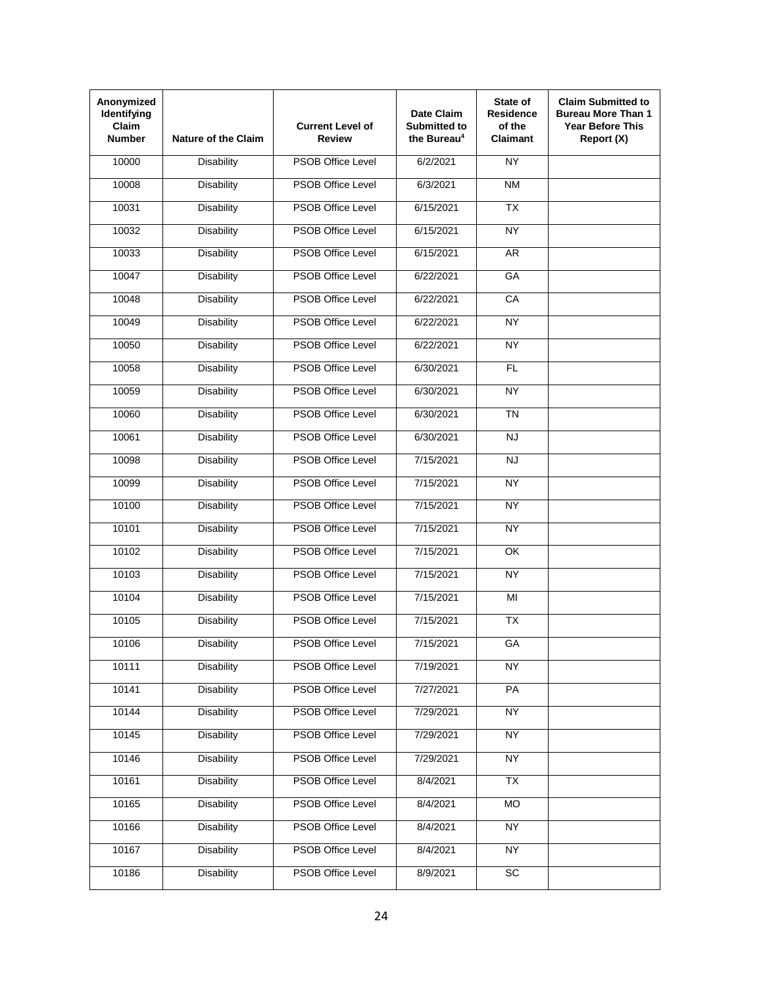| Anonymized<br>Identifying<br><b>Claim</b><br><b>Number</b> | <b>Nature of the Claim</b> | <b>Current Level of</b><br><b>Review</b> | Date Claim<br><b>Submitted to</b><br>the Bureau <sup>4</sup> | State of<br><b>Residence</b><br>of the<br><b>Claimant</b> | <b>Claim Submitted to</b><br><b>Bureau More Than 1</b><br><b>Year Before This</b><br>Report (X) |
|------------------------------------------------------------|----------------------------|------------------------------------------|--------------------------------------------------------------|-----------------------------------------------------------|-------------------------------------------------------------------------------------------------|
| 10000                                                      | <b>Disability</b>          | <b>PSOB Office Level</b>                 | 6/2/2021                                                     | NY                                                        |                                                                                                 |
| 10008                                                      | <b>Disability</b>          | <b>PSOB Office Level</b>                 | 6/3/2021                                                     | <b>NM</b>                                                 |                                                                                                 |
| 10031                                                      | <b>Disability</b>          | <b>PSOB Office Level</b>                 | 6/15/2021                                                    | $\overline{TX}$                                           |                                                                                                 |
| 10032                                                      | <b>Disability</b>          | <b>PSOB Office Level</b>                 | 6/15/2021                                                    | <b>NY</b>                                                 |                                                                                                 |
| 10033                                                      | <b>Disability</b>          | <b>PSOB Office Level</b>                 | 6/15/2021                                                    | AR                                                        |                                                                                                 |
| 10047                                                      | <b>Disability</b>          | <b>PSOB Office Level</b>                 | 6/22/2021                                                    | GA                                                        |                                                                                                 |
| 10048                                                      | <b>Disability</b>          | <b>PSOB Office Level</b>                 | 6/22/2021                                                    | CA                                                        |                                                                                                 |
| 10049                                                      | <b>Disability</b>          | <b>PSOB Office Level</b>                 | 6/22/2021                                                    | NY                                                        |                                                                                                 |
| 10050                                                      | <b>Disability</b>          | PSOB Office Level                        | 6/22/2021                                                    | <b>NY</b>                                                 |                                                                                                 |
| 10058                                                      | <b>Disability</b>          | <b>PSOB Office Level</b>                 | 6/30/2021                                                    | FL                                                        |                                                                                                 |
| 10059                                                      | <b>Disability</b>          | <b>PSOB Office Level</b>                 | 6/30/2021                                                    | <b>NY</b>                                                 |                                                                                                 |
| 10060                                                      | <b>Disability</b>          | <b>PSOB Office Level</b>                 | 6/30/2021                                                    | $\overline{T}N$                                           |                                                                                                 |
| 10061                                                      | <b>Disability</b>          | <b>PSOB Office Level</b>                 | 6/30/2021                                                    | <b>NJ</b>                                                 |                                                                                                 |
| 10098                                                      | <b>Disability</b>          | <b>PSOB Office Level</b>                 | 7/15/2021                                                    | <b>NJ</b>                                                 |                                                                                                 |
| 10099                                                      | <b>Disability</b>          | <b>PSOB Office Level</b>                 | 7/15/2021                                                    | <b>NY</b>                                                 |                                                                                                 |
| 10100                                                      | <b>Disability</b>          | <b>PSOB Office Level</b>                 | 7/15/2021                                                    | <b>NY</b>                                                 |                                                                                                 |
| 10101                                                      | <b>Disability</b>          | <b>PSOB Office Level</b>                 | 7/15/2021                                                    | <b>NY</b>                                                 |                                                                                                 |
| 10102                                                      | <b>Disability</b>          | <b>PSOB Office Level</b>                 | 7/15/2021                                                    | $\overline{\alpha}$                                       |                                                                                                 |
| 10103                                                      | <b>Disability</b>          | <b>PSOB Office Level</b>                 | 7/15/2021                                                    | <b>NY</b>                                                 |                                                                                                 |
| 10104                                                      | <b>Disability</b>          | <b>PSOB Office Level</b>                 | 7/15/2021                                                    | MI                                                        |                                                                                                 |
| 10105                                                      | <b>Disability</b>          | <b>PSOB Office Level</b>                 | 7/15/2021                                                    | <b>TX</b>                                                 |                                                                                                 |
| 10106                                                      | Disability                 | PSOB Office Level                        | 7/15/2021                                                    | GA                                                        |                                                                                                 |
| 10111                                                      | <b>Disability</b>          | PSOB Office Level                        | 7/19/2021                                                    | <b>NY</b>                                                 |                                                                                                 |
| 10141                                                      | <b>Disability</b>          | <b>PSOB Office Level</b>                 | 7/27/2021                                                    | PA                                                        |                                                                                                 |
| 10144                                                      | <b>Disability</b>          | <b>PSOB Office Level</b>                 | 7/29/2021                                                    | <b>NY</b>                                                 |                                                                                                 |
| 10145                                                      | <b>Disability</b>          | PSOB Office Level                        | 7/29/2021                                                    | <b>NY</b>                                                 |                                                                                                 |
| 10146                                                      | <b>Disability</b>          | PSOB Office Level                        | 7/29/2021                                                    | <b>NY</b>                                                 |                                                                                                 |
| 10161                                                      | <b>Disability</b>          | PSOB Office Level                        | 8/4/2021                                                     | <b>TX</b>                                                 |                                                                                                 |
| 10165                                                      | <b>Disability</b>          | PSOB Office Level                        | 8/4/2021                                                     | <b>MO</b>                                                 |                                                                                                 |
| 10166                                                      | <b>Disability</b>          | PSOB Office Level                        | 8/4/2021                                                     | <b>NY</b>                                                 |                                                                                                 |
| 10167                                                      | <b>Disability</b>          | PSOB Office Level                        | 8/4/2021                                                     | <b>NY</b>                                                 |                                                                                                 |
| 10186                                                      | <b>Disability</b>          | PSOB Office Level                        | 8/9/2021                                                     | SC                                                        |                                                                                                 |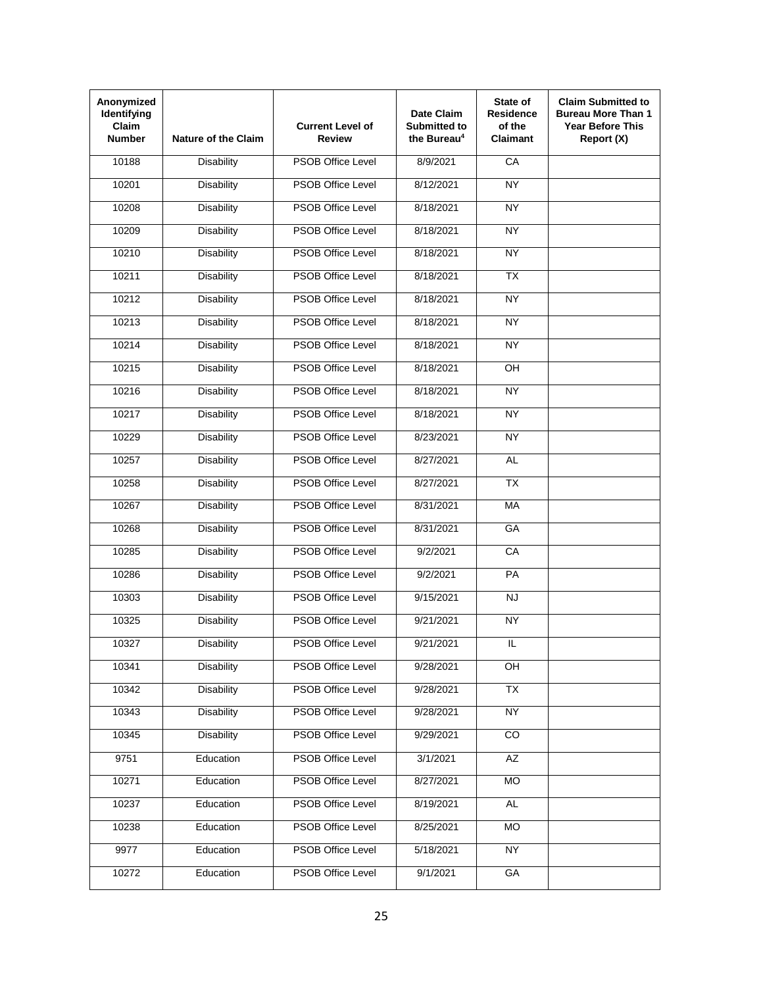| Anonymized<br>Identifying<br><b>Claim</b><br><b>Number</b> | <b>Nature of the Claim</b> | <b>Current Level of</b><br><b>Review</b> | Date Claim<br><b>Submitted to</b><br>the Bureau <sup>4</sup> | State of<br><b>Residence</b><br>of the<br><b>Claimant</b> | <b>Claim Submitted to</b><br><b>Bureau More Than 1</b><br><b>Year Before This</b><br>Report (X) |
|------------------------------------------------------------|----------------------------|------------------------------------------|--------------------------------------------------------------|-----------------------------------------------------------|-------------------------------------------------------------------------------------------------|
| 10188                                                      | <b>Disability</b>          | <b>PSOB Office Level</b>                 | 8/9/2021                                                     | CA                                                        |                                                                                                 |
| 10201                                                      | <b>Disability</b>          | <b>PSOB Office Level</b>                 | 8/12/2021                                                    | <b>NY</b>                                                 |                                                                                                 |
| 10208                                                      | <b>Disability</b>          | <b>PSOB Office Level</b>                 | 8/18/2021                                                    | <b>NY</b>                                                 |                                                                                                 |
| 10209                                                      | <b>Disability</b>          | <b>PSOB Office Level</b>                 | 8/18/2021                                                    | <b>NY</b>                                                 |                                                                                                 |
| 10210                                                      | <b>Disability</b>          | <b>PSOB Office Level</b>                 | 8/18/2021                                                    | NY                                                        |                                                                                                 |
| 10211                                                      | <b>Disability</b>          | <b>PSOB Office Level</b>                 | 8/18/2021                                                    | <b>TX</b>                                                 |                                                                                                 |
| 10212                                                      | <b>Disability</b>          | <b>PSOB Office Level</b>                 | 8/18/2021                                                    | <b>NY</b>                                                 |                                                                                                 |
| 10213                                                      | <b>Disability</b>          | PSOB Office Level                        | 8/18/2021                                                    | NY                                                        |                                                                                                 |
| 10214                                                      | <b>Disability</b>          | PSOB Office Level                        | 8/18/2021                                                    | NY                                                        |                                                                                                 |
| 10215                                                      | <b>Disability</b>          | <b>PSOB Office Level</b>                 | 8/18/2021                                                    | OH                                                        |                                                                                                 |
| 10216                                                      | <b>Disability</b>          | PSOB Office Level                        | 8/18/2021                                                    | <b>NY</b>                                                 |                                                                                                 |
| 10217                                                      | <b>Disability</b>          | <b>PSOB Office Level</b>                 | 8/18/2021                                                    | NY                                                        |                                                                                                 |
| 10229                                                      | <b>Disability</b>          | <b>PSOB Office Level</b>                 | 8/23/2021                                                    | <b>NY</b>                                                 |                                                                                                 |
| 10257                                                      | <b>Disability</b>          | <b>PSOB Office Level</b>                 | 8/27/2021                                                    | <b>AL</b>                                                 |                                                                                                 |
| 10258                                                      | <b>Disability</b>          | <b>PSOB Office Level</b>                 | 8/27/2021                                                    | <b>TX</b>                                                 |                                                                                                 |
| 10267                                                      | <b>Disability</b>          | <b>PSOB Office Level</b>                 | 8/31/2021                                                    | <b>MA</b>                                                 |                                                                                                 |
| 10268                                                      | <b>Disability</b>          | <b>PSOB Office Level</b>                 | 8/31/2021                                                    | GA                                                        |                                                                                                 |
| 10285                                                      | <b>Disability</b>          | <b>PSOB Office Level</b>                 | 9/2/2021                                                     | CA                                                        |                                                                                                 |
| 10286                                                      | <b>Disability</b>          | <b>PSOB Office Level</b>                 | 9/2/2021                                                     | PA                                                        |                                                                                                 |
| 10303                                                      | <b>Disability</b>          | <b>PSOB Office Level</b>                 | 9/15/2021                                                    | <b>NJ</b>                                                 |                                                                                                 |
| 10325                                                      | <b>Disability</b>          | <b>PSOB Office Level</b>                 | 9/21/2021                                                    | <b>NY</b>                                                 |                                                                                                 |
| 10327                                                      | Disability                 | PSOB Office Level                        | 9/21/2021                                                    | IL                                                        |                                                                                                 |
| 10341                                                      | <b>Disability</b>          | PSOB Office Level                        | 9/28/2021                                                    | OH                                                        |                                                                                                 |
| 10342                                                      | <b>Disability</b>          | <b>PSOB Office Level</b>                 | 9/28/2021                                                    | <b>TX</b>                                                 |                                                                                                 |
| 10343                                                      | <b>Disability</b>          | <b>PSOB Office Level</b>                 | 9/28/2021                                                    | <b>NY</b>                                                 |                                                                                                 |
| 10345                                                      | <b>Disability</b>          | <b>PSOB Office Level</b>                 | 9/29/2021                                                    | $\overline{CO}$                                           |                                                                                                 |
| 9751                                                       | Education                  | PSOB Office Level                        | 3/1/2021                                                     | AZ                                                        |                                                                                                 |
| 10271                                                      | Education                  | <b>PSOB Office Level</b>                 | 8/27/2021                                                    | <b>MO</b>                                                 |                                                                                                 |
| 10237                                                      | Education                  | PSOB Office Level                        | 8/19/2021                                                    | <b>AL</b>                                                 |                                                                                                 |
| 10238                                                      | Education                  | PSOB Office Level                        | 8/25/2021                                                    | <b>MO</b>                                                 |                                                                                                 |
| 9977                                                       | Education                  | PSOB Office Level                        | 5/18/2021                                                    | <b>NY</b>                                                 |                                                                                                 |
| 10272                                                      | Education                  | <b>PSOB Office Level</b>                 | 9/1/2021                                                     | GA                                                        |                                                                                                 |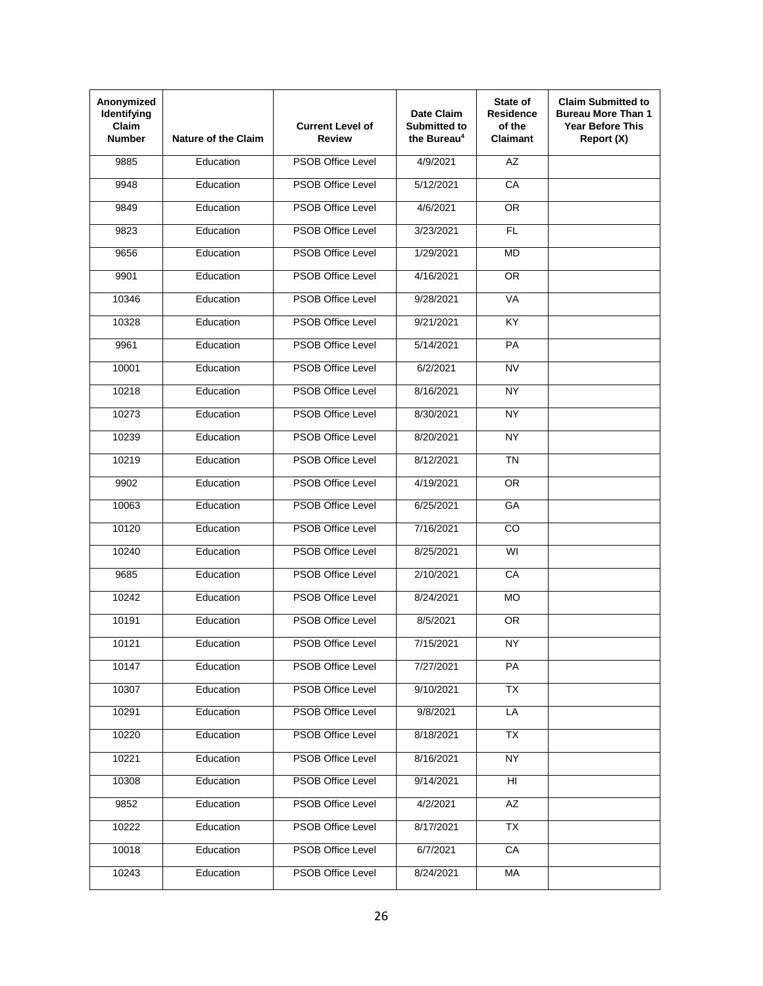| Anonymized<br>Identifying<br>Claim<br><b>Number</b> | <b>Nature of the Claim</b> | <b>Current Level of</b><br>Review | Date Claim<br>Submitted to<br>the Bureau <sup>4</sup> | State of<br><b>Residence</b><br>of the<br>Claimant | <b>Claim Submitted to</b><br><b>Bureau More Than 1</b><br><b>Year Before This</b><br>Report (X) |
|-----------------------------------------------------|----------------------------|-----------------------------------|-------------------------------------------------------|----------------------------------------------------|-------------------------------------------------------------------------------------------------|
| 9885                                                | Education                  | <b>PSOB Office Level</b>          | 4/9/2021                                              | AZ                                                 |                                                                                                 |
| 9948                                                | Education                  | <b>PSOB Office Level</b>          | 5/12/2021                                             | CA                                                 |                                                                                                 |
| 9849                                                | Education                  | <b>PSOB Office Level</b>          | 4/6/2021                                              | <b>OR</b>                                          |                                                                                                 |
| 9823                                                | Education                  | <b>PSOB Office Level</b>          | 3/23/2021                                             | <b>FL</b>                                          |                                                                                                 |
| 9656                                                | Education                  | <b>PSOB Office Level</b>          | 1/29/2021                                             | <b>MD</b>                                          |                                                                                                 |
| 9901                                                | Education                  | <b>PSOB Office Level</b>          | 4/16/2021                                             | <b>OR</b>                                          |                                                                                                 |
| 10346                                               | Education                  | <b>PSOB Office Level</b>          | 9/28/2021                                             | VA                                                 |                                                                                                 |
| 10328                                               | Education                  | <b>PSOB Office Level</b>          | 9/21/2021                                             | KY                                                 |                                                                                                 |
| 9961                                                | Education                  | <b>PSOB Office Level</b>          | 5/14/2021                                             | PA                                                 |                                                                                                 |
| 10001                                               | Education                  | <b>PSOB Office Level</b>          | 6/2/2021                                              | <b>NV</b>                                          |                                                                                                 |
| 10218                                               | Education                  | <b>PSOB Office Level</b>          | 8/16/2021                                             | <b>NY</b>                                          |                                                                                                 |
| 10273                                               | Education                  | <b>PSOB Office Level</b>          | 8/30/2021                                             | <b>NY</b>                                          |                                                                                                 |
| 10239                                               | Education                  | <b>PSOB Office Level</b>          | 8/20/2021                                             | <b>NY</b>                                          |                                                                                                 |
| 10219                                               | Education                  | <b>PSOB Office Level</b>          | 8/12/2021                                             | <b>TN</b>                                          |                                                                                                 |
| 9902                                                | Education                  | <b>PSOB Office Level</b>          | 4/19/2021                                             | OR.                                                |                                                                                                 |
| 10063                                               | Education                  | <b>PSOB Office Level</b>          | 6/25/2021                                             | GA                                                 |                                                                                                 |
| 10120                                               | Education                  | <b>PSOB Office Level</b>          | 7/16/2021                                             | CO                                                 |                                                                                                 |
| 10240                                               | Education                  | <b>PSOB Office Level</b>          | 8/25/2021                                             | WI                                                 |                                                                                                 |
| 9685                                                | Education                  | <b>PSOB Office Level</b>          | 2/10/2021                                             | CA                                                 |                                                                                                 |
| 10242                                               | Education                  | <b>PSOB Office Level</b>          | 8/24/2021                                             | <b>MO</b>                                          |                                                                                                 |
| 10191                                               | Education                  | <b>PSOB Office Level</b>          | 8/5/2021                                              | <b>OR</b>                                          |                                                                                                 |
| 10121                                               | Education                  | PSOB Office Level                 | 7/15/2021                                             | NY                                                 |                                                                                                 |
| 10147                                               | Education                  | PSOB Office Level                 | 7/27/2021                                             | PA                                                 |                                                                                                 |
| 10307                                               | Education                  | PSOB Office Level                 | 9/10/2021                                             | $\overline{TX}$                                    |                                                                                                 |
| 10291                                               | Education                  | PSOB Office Level                 | 9/8/2021                                              | LA                                                 |                                                                                                 |
| 10220                                               | Education                  | PSOB Office Level                 | 8/18/2021                                             | <b>TX</b>                                          |                                                                                                 |
| 10221                                               | Education                  | PSOB Office Level                 | 8/16/2021                                             | NY                                                 |                                                                                                 |
| 10308                                               | Education                  | PSOB Office Level                 | 9/14/2021                                             | HI                                                 |                                                                                                 |
| 9852                                                | Education                  | PSOB Office Level                 | 4/2/2021                                              | AZ                                                 |                                                                                                 |
| 10222                                               | Education                  | PSOB Office Level                 | 8/17/2021                                             | <b>TX</b>                                          |                                                                                                 |
| 10018                                               | Education                  | PSOB Office Level                 | 6/7/2021                                              | CA                                                 |                                                                                                 |
| 10243                                               | Education                  | PSOB Office Level                 | 8/24/2021                                             | МA                                                 |                                                                                                 |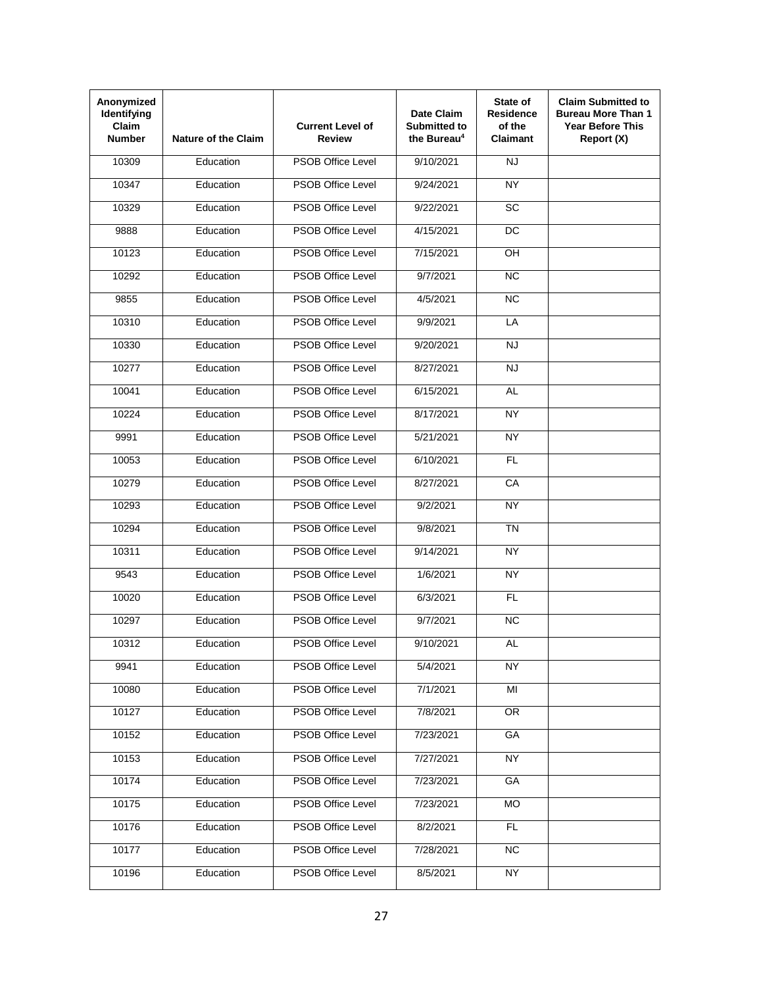| Anonymized<br>Identifying<br>Claim<br><b>Number</b> | <b>Nature of the Claim</b> | <b>Current Level of</b><br>Review | Date Claim<br><b>Submitted to</b><br>the Bureau <sup>4</sup> | State of<br><b>Residence</b><br>of the<br>Claimant | <b>Claim Submitted to</b><br><b>Bureau More Than 1</b><br><b>Year Before This</b><br>Report (X) |
|-----------------------------------------------------|----------------------------|-----------------------------------|--------------------------------------------------------------|----------------------------------------------------|-------------------------------------------------------------------------------------------------|
| 10309                                               | Education                  | <b>PSOB Office Level</b>          | 9/10/2021                                                    | <b>NJ</b>                                          |                                                                                                 |
| 10347                                               | Education                  | <b>PSOB Office Level</b>          | 9/24/2021                                                    | <b>NY</b>                                          |                                                                                                 |
| 10329                                               | Education                  | <b>PSOB Office Level</b>          | 9/22/2021                                                    | SC                                                 |                                                                                                 |
| 9888                                                | Education                  | <b>PSOB Office Level</b>          | 4/15/2021                                                    | <b>DC</b>                                          |                                                                                                 |
| 10123                                               | Education                  | <b>PSOB Office Level</b>          | 7/15/2021                                                    | OH                                                 |                                                                                                 |
| 10292                                               | Education                  | <b>PSOB Office Level</b>          | 9/7/2021                                                     | <b>NC</b>                                          |                                                                                                 |
| 9855                                                | Education                  | <b>PSOB Office Level</b>          | 4/5/2021                                                     | NC                                                 |                                                                                                 |
| 10310                                               | Education                  | <b>PSOB Office Level</b>          | 9/9/2021                                                     | LA                                                 |                                                                                                 |
| 10330                                               | Education                  | <b>PSOB Office Level</b>          | 9/20/2021                                                    | <b>NJ</b>                                          |                                                                                                 |
| 10277                                               | Education                  | <b>PSOB Office Level</b>          | 8/27/2021                                                    | <b>NJ</b>                                          |                                                                                                 |
| 10041                                               | Education                  | <b>PSOB Office Level</b>          | 6/15/2021                                                    | <b>AL</b>                                          |                                                                                                 |
| 10224                                               | Education                  | <b>PSOB Office Level</b>          | 8/17/2021                                                    | <b>NY</b>                                          |                                                                                                 |
| 9991                                                | Education                  | <b>PSOB Office Level</b>          | 5/21/2021                                                    | <b>NY</b>                                          |                                                                                                 |
| 10053                                               | Education                  | <b>PSOB Office Level</b>          | 6/10/2021                                                    | FL                                                 |                                                                                                 |
| 10279                                               | Education                  | <b>PSOB Office Level</b>          | 8/27/2021                                                    | CA                                                 |                                                                                                 |
| 10293                                               | Education                  | <b>PSOB Office Level</b>          | $\frac{1}{9/2/2021}$                                         | <b>NY</b>                                          |                                                                                                 |
| 10294                                               | Education                  | <b>PSOB Office Level</b>          | 9/8/2021                                                     | <b>TN</b>                                          |                                                                                                 |
| 10311                                               | Education                  | <b>PSOB Office Level</b>          | 9/14/2021                                                    | NY                                                 |                                                                                                 |
| 9543                                                | Education                  | <b>PSOB Office Level</b>          | 1/6/2021                                                     | <b>NY</b>                                          |                                                                                                 |
| 10020                                               | Education                  | <b>PSOB Office Level</b>          | 6/3/2021                                                     | <b>FL</b>                                          |                                                                                                 |
| 10297                                               | Education                  | <b>PSOB Office Level</b>          | 9/7/2021                                                     | N <sub>C</sub>                                     |                                                                                                 |
| 10312                                               | Education                  | PSOB Office Level                 | 9/10/2021                                                    | AL                                                 |                                                                                                 |
| 9941                                                | Education                  | PSOB Office Level                 | 5/4/2021                                                     | NY                                                 |                                                                                                 |
| 10080                                               | Education                  | PSOB Office Level                 | 7/1/2021                                                     | MI                                                 |                                                                                                 |
| 10127                                               | Education                  | PSOB Office Level                 | 7/8/2021                                                     | $\overline{OR}$                                    |                                                                                                 |
| 10152                                               | Education                  | PSOB Office Level                 | 7/23/2021                                                    | GA                                                 |                                                                                                 |
| 10153                                               | Education                  | PSOB Office Level                 | 7/27/2021                                                    | NY                                                 |                                                                                                 |
| 10174                                               | Education                  | PSOB Office Level                 | 7/23/2021                                                    | GA                                                 |                                                                                                 |
| 10175                                               | Education                  | PSOB Office Level                 | 7/23/2021                                                    | <b>MO</b>                                          |                                                                                                 |
| 10176                                               | Education                  | PSOB Office Level                 | 8/2/2021                                                     | FL.                                                |                                                                                                 |
| 10177                                               | Education                  | PSOB Office Level                 | 7/28/2021                                                    | <b>NC</b>                                          |                                                                                                 |
| 10196                                               | Education                  | PSOB Office Level                 | 8/5/2021                                                     | <b>NY</b>                                          |                                                                                                 |